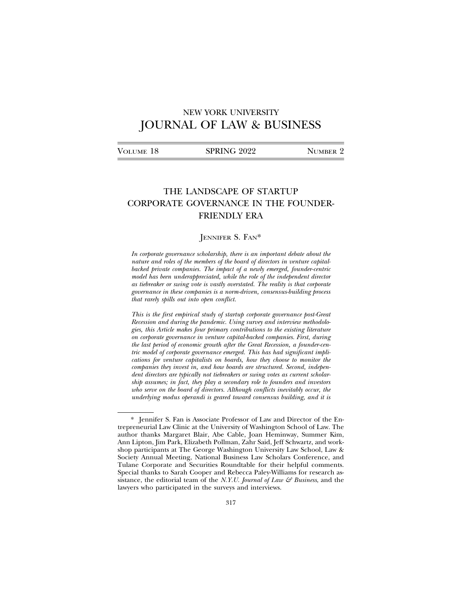# NEW YORK UNIVERSITY JOURNAL OF LAW & BUSINESS

| Volume 18 | SPRING 2022 | NUMBER 2 |
|-----------|-------------|----------|
|           |             |          |

# THE LANDSCAPE OF STARTUP CORPORATE GOVERNANCE IN THE FOUNDER-FRIENDLY ERA

# JENNIFER S. FAN\*

*In corporate governance scholarship, there is an important debate about the nature and roles of the members of the board of directors in venture capitalbacked private companies. The impact of a newly emerged, founder-centric model has been underappreciated, while the role of the independent director as tiebreaker or swing vote is vastly overstated. The reality is that corporate governance in these companies is a norm-driven, consensus-building process that rarely spills out into open conflict.*

*This is the first empirical study of startup corporate governance post-Great Recession and during the pandemic. Using survey and interview methodologies, this Article makes four primary contributions to the existing literature on corporate governance in venture capital-backed companies. First, during the last period of economic growth after the Great Recession, a founder-centric model of corporate governance emerged. This has had significant implications for venture capitalists on boards, how they choose to monitor the companies they invest in, and how boards are structured. Second, independent directors are typically not tiebreakers or swing votes as current scholarship assumes; in fact, they play a secondary role to founders and investors who serve on the board of directors. Although conflicts inevitably occur, the underlying modus operandi is geared toward consensus building, and it is*

<sup>\*</sup> Jennifer S. Fan is Associate Professor of Law and Director of the Entrepreneurial Law Clinic at the University of Washington School of Law. The author thanks Margaret Blair, Abe Cable, Joan Heminway, Summer Kim, Ann Lipton, Jim Park, Elizabeth Pollman, Zahr Said, Jeff Schwartz, and workshop participants at The George Washington University Law School, Law & Society Annual Meeting, National Business Law Scholars Conference, and Tulane Corporate and Securities Roundtable for their helpful comments. Special thanks to Sarah Cooper and Rebecca Paley-Williams for research assistance, the editorial team of the *N.Y.U. Journal of Law & Business*, and the lawyers who participated in the surveys and interviews.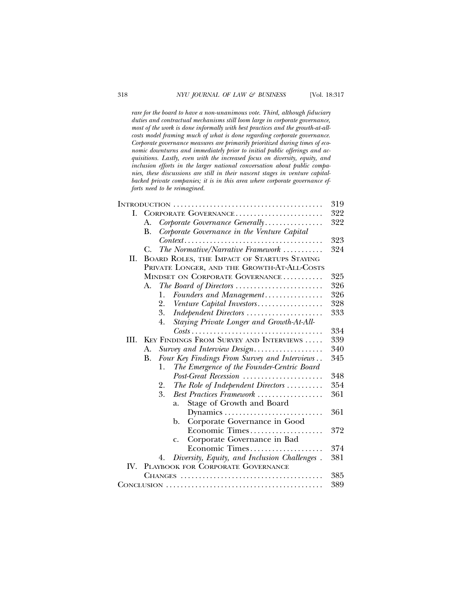*rare for the board to have a non-unanimous vote. Third, although fiduciary duties and contractual mechanisms still loom large in corporate governance, most of the work is done informally with best practices and the growth-at-allcosts model framing much of what is done regarding corporate governance. Corporate governance measures are primarily prioritized during times of economic downturns and immediately prior to initial public offerings and acquisitions. Lastly, even with the increased focus on diversity, equity, and inclusion efforts in the larger national conversation about public companies, these discussions are still in their nascent stages in venture capitalbacked private companies; it is in this area where corporate governance efforts need to be reimagined.*

|     |                                                    | 319 |  |
|-----|----------------------------------------------------|-----|--|
| L.  | CORPORATE GOVERNANCE                               |     |  |
|     | Corporate Governance Generally<br>А.               | 322 |  |
|     | Corporate Governance in the Venture Capital<br>В.  |     |  |
|     |                                                    | 323 |  |
|     | The Normative/Narrative Framework<br>C.            | 324 |  |
| II. | BOARD ROLES, THE IMPACT OF STARTUPS STAYING        |     |  |
|     | PRIVATE LONGER, AND THE GROWTH-AT-ALL-COSTS        |     |  |
|     | MINDSET ON CORPORATE GOVERNANCE                    | 325 |  |
|     | The Board of Directors<br>А.                       | 326 |  |
|     | Founders and Management<br>1.                      | 326 |  |
|     | Venture Capital Investors<br>2.                    | 328 |  |
|     | 3.<br>Independent Directors                        | 333 |  |
|     | Staying Private Longer and Growth-At-All-<br>4.    |     |  |
|     |                                                    | 334 |  |
| HL. | KEY FINDINGS FROM SURVEY AND INTERVIEWS            | 339 |  |
|     | Survey and Interview Design<br>А.                  | 340 |  |
|     | Four Key Findings From Survey and Interviews<br>В. | 345 |  |
|     | The Emergence of the Founder-Centric Board<br>1.   |     |  |
|     | Post-Great Recession                               | 348 |  |
|     | The Role of Independent Directors<br>2.            | 354 |  |
|     | 3.<br>Best Practices Framework                     | 361 |  |
|     | Stage of Growth and Board<br>a.                    |     |  |
|     | Dynamics                                           | 361 |  |
|     | Corporate Governance in Good<br>b.                 |     |  |
|     | Economic Times                                     | 372 |  |
|     | Corporate Governance in Bad<br>$C_{\bullet}$       |     |  |
|     | Economic Times                                     | 374 |  |
|     | Diversity, Equity, and Inclusion Challenges.<br>4. | 381 |  |
| IV. | PLAYBOOK FOR CORPORATE GOVERNANCE                  |     |  |
|     |                                                    | 385 |  |
|     |                                                    | 389 |  |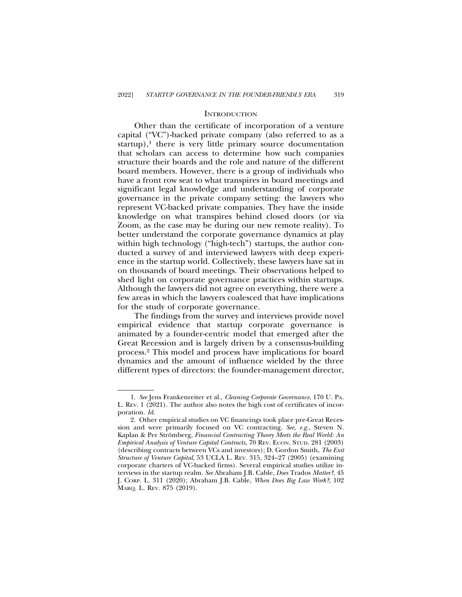#### **INTRODUCTION**

Other than the certificate of incorporation of a venture capital ("VC")-backed private company (also referred to as a startup), $<sup>1</sup>$  there is very little primary source documentation</sup> that scholars can access to determine how such companies structure their boards and the role and nature of the different board members. However, there is a group of individuals who have a front row seat to what transpires in board meetings and significant legal knowledge and understanding of corporate governance in the private company setting: the lawyers who represent VC-backed private companies. They have the inside knowledge on what transpires behind closed doors (or via Zoom, as the case may be during our new remote reality). To better understand the corporate governance dynamics at play within high technology ("high-tech") startups, the author conducted a survey of and interviewed lawyers with deep experience in the startup world. Collectively, these lawyers have sat in on thousands of board meetings. Their observations helped to shed light on corporate governance practices within startups. Although the lawyers did not agree on everything, there were a few areas in which the lawyers coalesced that have implications for the study of corporate governance.

The findings from the survey and interviews provide novel empirical evidence that startup corporate governance is animated by a founder-centric model that emerged after the Great Recession and is largely driven by a consensus-building process.2 This model and process have implications for board dynamics and the amount of influence wielded by the three different types of directors: the founder-management director,

<sup>1.</sup> *See* Jens Frankenreiter et al., *Cleaning Corporate Governance*, 170 U. PA. L. REV. 1 (2021). The author also notes the high cost of certificates of incorporation. *Id.*

<sup>2.</sup> Other empirical studies on VC financings took place pre-Great Recession and were primarily focused on VC contracting. *See, e.g.*, Steven N. Kaplan & Per Strömberg, *Financial Contracting Theory Meets the Real World: An Empirical Analysis of Venture Capital Contracts*, 70 REV. ECON. STUD. 281 (2003) (describing contracts between VCs and investors); D. Gordon Smith, *The Exit Structure of Venture Capital*, 53 UCLA L. REV. 315, 324–27 (2005) (examining corporate charters of VC-backed firms). Several empirical studies utilize interviews in the startup realm. *See* Abraham J.B. Cable, *Does* Trados *Matter?*, 45 J. CORP. L. 311 (2020); Abraham J.B. Cable, *When Does Big Law Work?*, 102 MARQ. L. REV. 875 (2019).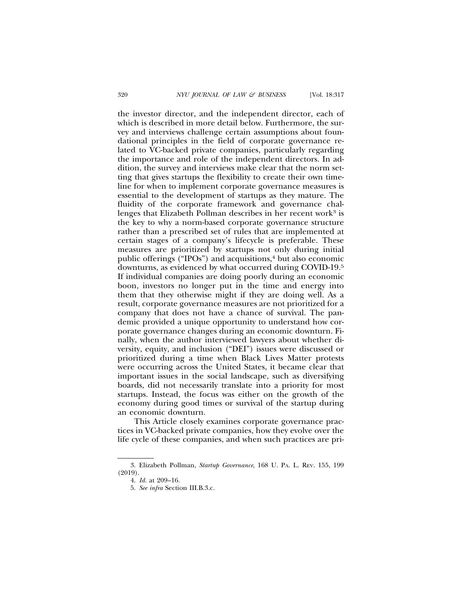the investor director, and the independent director, each of which is described in more detail below. Furthermore, the survey and interviews challenge certain assumptions about foundational principles in the field of corporate governance related to VC-backed private companies, particularly regarding the importance and role of the independent directors. In addition, the survey and interviews make clear that the norm setting that gives startups the flexibility to create their own timeline for when to implement corporate governance measures is essential to the development of startups as they mature. The fluidity of the corporate framework and governance challenges that Elizabeth Pollman describes in her recent work<sup>3</sup> is the key to why a norm-based corporate governance structure rather than a prescribed set of rules that are implemented at certain stages of a company's lifecycle is preferable. These measures are prioritized by startups not only during initial public offerings ("IPOs") and acquisitions, $4$  but also economic downturns, as evidenced by what occurred during COVID-19.5 If individual companies are doing poorly during an economic boon, investors no longer put in the time and energy into them that they otherwise might if they are doing well. As a result, corporate governance measures are not prioritized for a company that does not have a chance of survival. The pandemic provided a unique opportunity to understand how corporate governance changes during an economic downturn. Finally, when the author interviewed lawyers about whether diversity, equity, and inclusion ("DEI") issues were discussed or prioritized during a time when Black Lives Matter protests were occurring across the United States, it became clear that important issues in the social landscape, such as diversifying boards, did not necessarily translate into a priority for most startups. Instead, the focus was either on the growth of the economy during good times or survival of the startup during an economic downturn.

This Article closely examines corporate governance practices in VC-backed private companies, how they evolve over the life cycle of these companies, and when such practices are pri-

<sup>3.</sup> Elizabeth Pollman, *Startup Governance*, 168 U. PA. L. REV. 155, 199 (2019).

<sup>4.</sup> *Id.* at 209–16.

<sup>5.</sup> *See infra* Section III.B.3.c.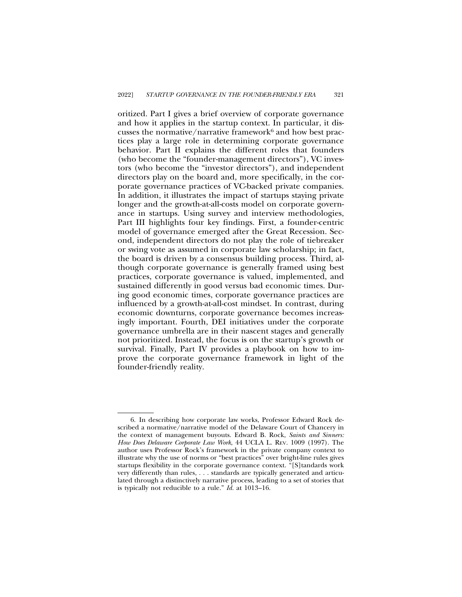oritized. Part I gives a brief overview of corporate governance and how it applies in the startup context. In particular, it discusses the normative/narrative framework $6$  and how best practices play a large role in determining corporate governance behavior. Part II explains the different roles that founders (who become the "founder-management directors"), VC investors (who become the "investor directors"), and independent directors play on the board and, more specifically, in the corporate governance practices of VC-backed private companies. In addition, it illustrates the impact of startups staying private longer and the growth-at-all-costs model on corporate governance in startups. Using survey and interview methodologies, Part III highlights four key findings. First, a founder-centric model of governance emerged after the Great Recession. Second, independent directors do not play the role of tiebreaker or swing vote as assumed in corporate law scholarship; in fact, the board is driven by a consensus building process. Third, although corporate governance is generally framed using best practices, corporate governance is valued, implemented, and sustained differently in good versus bad economic times. During good economic times, corporate governance practices are influenced by a growth-at-all-cost mindset. In contrast, during economic downturns, corporate governance becomes increasingly important. Fourth, DEI initiatives under the corporate governance umbrella are in their nascent stages and generally not prioritized. Instead, the focus is on the startup's growth or survival. Finally, Part IV provides a playbook on how to improve the corporate governance framework in light of the founder-friendly reality.

<sup>6.</sup> In describing how corporate law works, Professor Edward Rock described a normative/narrative model of the Delaware Court of Chancery in the context of management buyouts. Edward B. Rock, *Saints and Sinners: How Does Delaware Corporate Law Work*, 44 UCLA L. REV. 1009 (1997). The author uses Professor Rock's framework in the private company context to illustrate why the use of norms or "best practices" over bright-line rules gives startups flexibility in the corporate governance context. "[S]tandards work very differently than rules, . . . standards are typically generated and articulated through a distinctively narrative process, leading to a set of stories that is typically not reducible to a rule." *Id.* at 1013–16.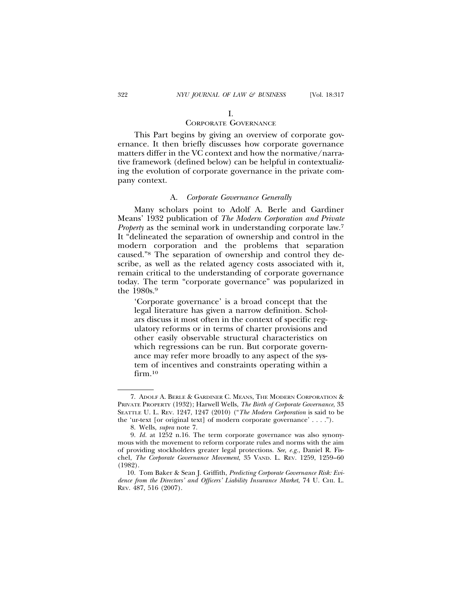# I.

### CORPORATE GOVERNANCE

This Part begins by giving an overview of corporate governance. It then briefly discusses how corporate governance matters differ in the VC context and how the normative/narrative framework (defined below) can be helpful in contextualizing the evolution of corporate governance in the private company context.

#### A. *Corporate Governance Generally*

Many scholars point to Adolf A. Berle and Gardiner Means' 1932 publication of *The Modern Corporation and Private Property* as the seminal work in understanding corporate law.<sup>7</sup> It "delineated the separation of ownership and control in the modern corporation and the problems that separation caused."8 The separation of ownership and control they describe, as well as the related agency costs associated with it, remain critical to the understanding of corporate governance today. The term "corporate governance" was popularized in the 1980s.9

'Corporate governance' is a broad concept that the legal literature has given a narrow definition. Scholars discuss it most often in the context of specific regulatory reforms or in terms of charter provisions and other easily observable structural characteristics on which regressions can be run. But corporate governance may refer more broadly to any aspect of the system of incentives and constraints operating within a firm.<sup>10</sup>

<sup>7.</sup> ADOLF A. BERLE & GARDINER C. MEANS, THE MODERN CORPORATION & PRIVATE PROPERTY (1932); Harwell Wells, *The Birth of Corporate Governance*, 33 SEATTLE U. L. REV. 1247, 1247 (2010) ("*The Modern Corporation* is said to be the 'ur-text [or original text] of modern corporate governance' . . . .").

<sup>8.</sup> Wells, *supra* note 7.

<sup>9.</sup> *Id.* at 1252 n.16. The term corporate governance was also synonymous with the movement to reform corporate rules and norms with the aim of providing stockholders greater legal protections. *See, e.g.*, Daniel R. Fischel, *The Corporate Governance Movement*, 35 VAND. L. REV. 1259, 1259–60 (1982).

<sup>10.</sup> Tom Baker & Sean J. Griffith, *Predicting Corporate Governance Risk: Evidence from the Directors' and Officers' Liability Insurance Market*, 74 U. CHI. L. REV. 487, 516 (2007).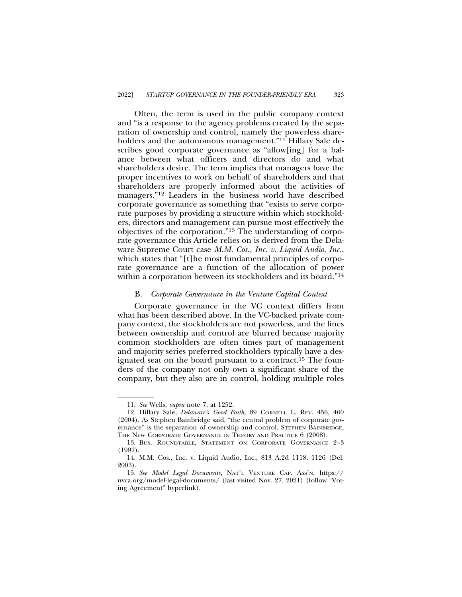Often, the term is used in the public company context and "is a response to the agency problems created by the separation of ownership and control, namely the powerless shareholders and the autonomous management."<sup>11</sup> Hillary Sale describes good corporate governance as "allow[ing] for a balance between what officers and directors do and what shareholders desire. The term implies that managers have the proper incentives to work on behalf of shareholders and that shareholders are properly informed about the activities of managers."12 Leaders in the business world have described corporate governance as something that "exists to serve corporate purposes by providing a structure within which stockholders, directors and management can pursue most effectively the objectives of the corporation."13 The understanding of corporate governance this Article relies on is derived from the Delaware Supreme Court case *M.M. Cos., Inc. v. Liquid Audio, Inc.*, which states that "[t]he most fundamental principles of corporate governance are a function of the allocation of power within a corporation between its stockholders and its board."14

### B. *Corporate Governance in the Venture Capital Context*

Corporate governance in the VC context differs from what has been described above. In the VC-backed private company context, the stockholders are not powerless, and the lines between ownership and control are blurred because majority common stockholders are often times part of management and majority series preferred stockholders typically have a designated seat on the board pursuant to a contract.15 The founders of the company not only own a significant share of the company, but they also are in control, holding multiple roles

<sup>11.</sup> *See* Wells, *supra* note 7, at 1252.

<sup>12.</sup> Hillary Sale, *Delaware's Good Faith*, 89 CORNELL L. REV. 456, 460 (2004). As Stephen Bainbridge said, "the central problem of corporate governance" is the separation of ownership and control. STEPHEN BAINBRIDGE, THE NEW CORPORATE GOVERNANCE IN THEORY AND PRACTICE 6 (2008).

<sup>13.</sup> BUS. ROUNDTABLE, STATEMENT ON CORPORATE GOVERNANCE 2–3 (1997).

<sup>14.</sup> M.M. Cos., Inc. v. Liquid Audio, Inc., 813 A.2d 1118, 1126 (Del. 2003).

<sup>15.</sup> *See Model Legal Documents*, NAT'L VENTURE CAP. ASS'N, https:// nvca.org/model-legal-documents/ (last visited Nov. 27, 2021) (follow "Voting Agreement" hyperlink).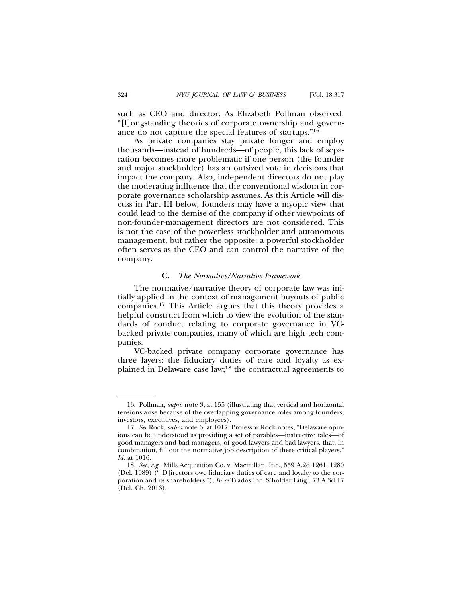such as CEO and director. As Elizabeth Pollman observed, "[l]ongstanding theories of corporate ownership and governance do not capture the special features of startups."16

As private companies stay private longer and employ thousands—instead of hundreds—of people, this lack of separation becomes more problematic if one person (the founder and major stockholder) has an outsized vote in decisions that impact the company. Also, independent directors do not play the moderating influence that the conventional wisdom in corporate governance scholarship assumes. As this Article will discuss in Part III below, founders may have a myopic view that could lead to the demise of the company if other viewpoints of non-founder-management directors are not considered. This is not the case of the powerless stockholder and autonomous management, but rather the opposite: a powerful stockholder often serves as the CEO and can control the narrative of the company.

#### C. *The Normative/Narrative Framework*

The normative/narrative theory of corporate law was initially applied in the context of management buyouts of public companies.17 This Article argues that this theory provides a helpful construct from which to view the evolution of the standards of conduct relating to corporate governance in VCbacked private companies, many of which are high tech companies.

VC-backed private company corporate governance has three layers: the fiduciary duties of care and loyalty as explained in Delaware case law;18 the contractual agreements to

<sup>16.</sup> Pollman, *supra* note 3, at 155 (illustrating that vertical and horizontal tensions arise because of the overlapping governance roles among founders, investors, executives, and employees).

<sup>17.</sup> *See* Rock, *supra* note 6, at 1017. Professor Rock notes, "Delaware opinions can be understood as providing a set of parables—instructive tales—of good managers and bad managers, of good lawyers and bad lawyers, that, in combination, fill out the normative job description of these critical players." *Id*. at 1016.

<sup>18.</sup> *See, e.g.*, Mills Acquisition Co. v. Macmillan, Inc., 559 A.2d 1261, 1280 (Del. 1989) ("[D]irectors owe fiduciary duties of care and loyalty to the corporation and its shareholders."); *In re* Trados Inc. S'holder Litig., 73 A.3d 17 (Del. Ch. 2013).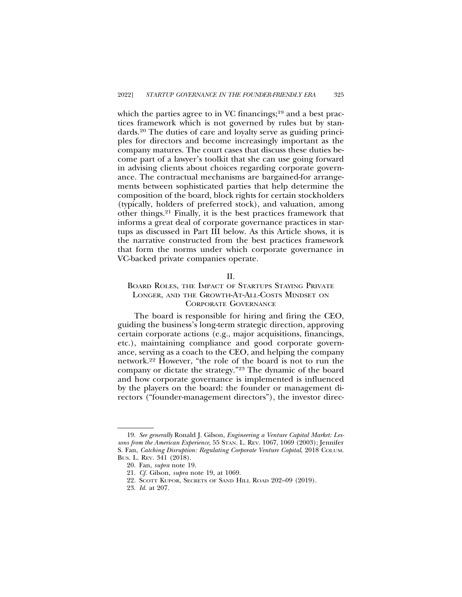which the parties agree to in VC financings; $19$  and a best practices framework which is not governed by rules but by standards.20 The duties of care and loyalty serve as guiding principles for directors and become increasingly important as the company matures. The court cases that discuss these duties become part of a lawyer's toolkit that she can use going forward in advising clients about choices regarding corporate governance. The contractual mechanisms are bargained-for arrangements between sophisticated parties that help determine the composition of the board, block rights for certain stockholders (typically, holders of preferred stock), and valuation, among other things.21 Finally, it is the best practices framework that informs a great deal of corporate governance practices in startups as discussed in Part III below. As this Article shows, it is the narrative constructed from the best practices framework that form the norms under which corporate governance in VC-backed private companies operate.

#### II.

# BOARD ROLES, THE IMPACT OF STARTUPS STAYING PRIVATE LONGER, AND THE GROWTH-AT-ALL-COSTS MINDSET ON CORPORATE GOVERNANCE

The board is responsible for hiring and firing the CEO, guiding the business's long-term strategic direction, approving certain corporate actions (e.g., major acquisitions, financings, etc.), maintaining compliance and good corporate governance, serving as a coach to the CEO, and helping the company network.22 However, "the role of the board is not to run the company or dictate the strategy."23 The dynamic of the board and how corporate governance is implemented is influenced by the players on the board: the founder or management directors ("founder-management directors"), the investor direc-

<sup>19.</sup> *See generally* Ronald J. Gilson, *Engineering a Venture Capital Market: Lessons from the American Experience*, 55 STAN. L. REV. 1067, 1069 (2003); Jennifer S. Fan, *Catching Disruption: Regulating Corporate Venture Capital*, 2018 COLUM. BUS. L. REV. 341 (2018).

<sup>20.</sup> Fan, *supra* note 19.

<sup>21.</sup> *Cf.* Gilson, *supra* note 19, at 1069.

<sup>22.</sup> SCOTT KUPOR, SECRETS OF SAND HILL ROAD 202–09 (2019).

<sup>23.</sup> *Id.* at 207.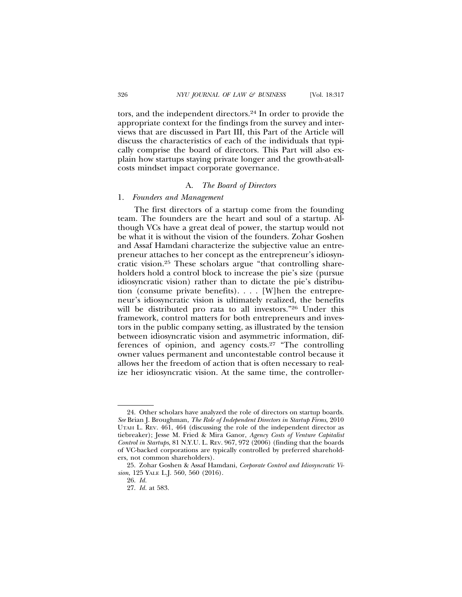tors, and the independent directors.24 In order to provide the appropriate context for the findings from the survey and interviews that are discussed in Part III, this Part of the Article will discuss the characteristics of each of the individuals that typically comprise the board of directors. This Part will also explain how startups staying private longer and the growth-at-allcosts mindset impact corporate governance.

# A. *The Board of Directors*

#### 1. *Founders and Management*

The first directors of a startup come from the founding team. The founders are the heart and soul of a startup. Although VCs have a great deal of power, the startup would not be what it is without the vision of the founders. Zohar Goshen and Assaf Hamdani characterize the subjective value an entrepreneur attaches to her concept as the entrepreneur's idiosyncratic vision.25 These scholars argue "that controlling shareholders hold a control block to increase the pie's size (pursue idiosyncratic vision) rather than to dictate the pie's distribution (consume private benefits). . . . [W]hen the entrepreneur's idiosyncratic vision is ultimately realized, the benefits will be distributed pro rata to all investors."26 Under this framework, control matters for both entrepreneurs and investors in the public company setting, as illustrated by the tension between idiosyncratic vision and asymmetric information, differences of opinion, and agency costs.27 "The controlling owner values permanent and uncontestable control because it allows her the freedom of action that is often necessary to realize her idiosyncratic vision. At the same time, the controller-

<sup>24.</sup> Other scholars have analyzed the role of directors on startup boards. *See* Brian J. Broughman, *The Role of Independent Directors in Startup Firms*, 2010 UTAH L. REV. 461, 464 (discussing the role of the independent director as tiebreaker); Jesse M. Fried & Mira Ganor, *Agency Costs of Venture Capitalist Control in Startups*, 81 N.Y.U. L. REV. 967, 972 (2006) (finding that the boards of VC-backed corporations are typically controlled by preferred shareholders, not common shareholders).

<sup>25.</sup> Zohar Goshen & Assaf Hamdani, *Corporate Control and Idiosyncratic Vision*, 125 YALE L.J. 560, 560 (2016).

<sup>26.</sup> *Id.*

<sup>27.</sup> *Id.* at 583.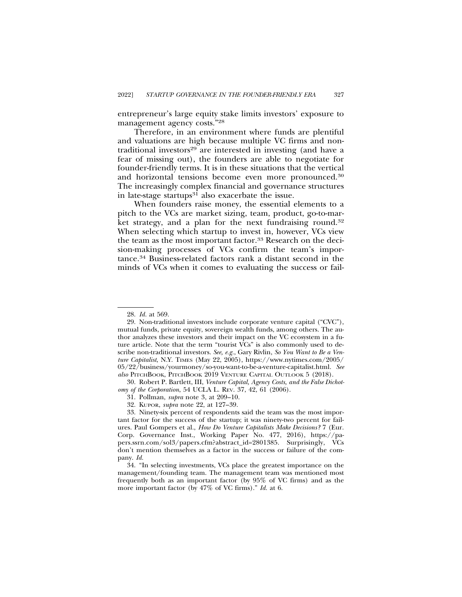entrepreneur's large equity stake limits investors' exposure to management agency costs."28

Therefore, in an environment where funds are plentiful and valuations are high because multiple VC firms and nontraditional investors<sup>29</sup> are interested in investing (and have a fear of missing out), the founders are able to negotiate for founder-friendly terms. It is in these situations that the vertical and horizontal tensions become even more pronounced.30 The increasingly complex financial and governance structures in late-stage startups $31$  also exacerbate the issue.

When founders raise money, the essential elements to a pitch to the VCs are market sizing, team, product, go-to-market strategy, and a plan for the next fundraising round.<sup>32</sup> When selecting which startup to invest in, however, VCs view the team as the most important factor.<sup>33</sup> Research on the decision-making processes of VCs confirm the team's importance.34 Business-related factors rank a distant second in the minds of VCs when it comes to evaluating the success or fail-

30. Robert P. Bartlett, III, *Venture Capital, Agency Costs, and the False Dichotomy of the Corporation*, 54 UCLA L. REV. 37, 42, 61 (2006).

32. KUPOR, *supra* note 22, at 127–39.

<sup>28.</sup> *Id.* at 569.

<sup>29.</sup> Non-traditional investors include corporate venture capital ("CVC"), mutual funds, private equity, sovereign wealth funds, among others. The author analyzes these investors and their impact on the VC ecosystem in a future article. Note that the term "tourist VCs" is also commonly used to describe non-traditional investors. *See, e.g.*, Gary Rivlin, *So You Want to Be a Venture Capitalist*, N.Y. TIMES (May 22, 2005), https://www.nytimes.com/2005/ 05/22/business/yourmoney/so-you-want-to-be-a-venture-capitalist.html. *See also* PITCHBOOK, PITCHBOOK 2019 VENTURE CAPITAL OUTLOOK 5 (2018).

<sup>31.</sup> Pollman, *supra* note 3, at 209–10.

<sup>33.</sup> Ninety-six percent of respondents said the team was the most important factor for the success of the startup; it was ninety-two percent for failures. Paul Gompers et al., *How Do Venture Capitalists Make Decisions?* 7 (Eur. Corp. Governance Inst., Working Paper No. 477, 2016), https://papers.ssrn.com/sol3/papers.cfm?abstract\_id=2801385. Surprisingly, VCs don't mention themselves as a factor in the success or failure of the company. *Id.*

<sup>34. &</sup>quot;In selecting investments, VCs place the greatest importance on the management/founding team. The management team was mentioned most frequently both as an important factor (by 95% of VC firms) and as the more important factor (by 47% of VC firms)." *Id.* at 6.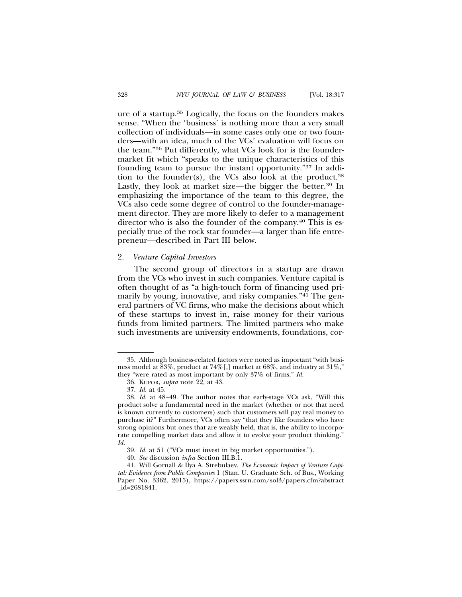ure of a startup.35 Logically, the focus on the founders makes sense. "When the 'business' is nothing more than a very small collection of individuals—in some cases only one or two founders—with an idea, much of the VCs' evaluation will focus on the team."36 Put differently, what VCs look for is the foundermarket fit which "speaks to the unique characteristics of this founding team to pursue the instant opportunity."37 In addition to the founder(s), the VCs also look at the product.<sup>38</sup> Lastly, they look at market size—the bigger the better.<sup>39</sup> In emphasizing the importance of the team to this degree, the VCs also cede some degree of control to the founder-management director. They are more likely to defer to a management director who is also the founder of the company.<sup>40</sup> This is especially true of the rock star founder—a larger than life entrepreneur—described in Part III below.

# 2. *Venture Capital Investors*

The second group of directors in a startup are drawn from the VCs who invest in such companies. Venture capital is often thought of as "a high-touch form of financing used primarily by young, innovative, and risky companies."<sup>41</sup> The general partners of VC firms, who make the decisions about which of these startups to invest in, raise money for their various funds from limited partners. The limited partners who make such investments are university endowments, foundations, cor-

<sup>35.</sup> Although business-related factors were noted as important "with business model at 83%, product at 74%[,] market at 68%, and industry at 31%," they "were rated as most important by only 37% of firms." *Id.*

<sup>36.</sup> KUPOR, *supra* note 22, at 43.

<sup>37.</sup> *Id.* at 45.

<sup>38.</sup> *Id.* at 48–49. The author notes that early-stage VCs ask, "Will this product solve a fundamental need in the market (whether or not that need is known currently to customers) such that customers will pay real money to purchase it?" Furthermore, VCs often say "that they like founders who have strong opinions but ones that are weakly held, that is, the ability to incorporate compelling market data and allow it to evolve your product thinking." *Id.*

<sup>39.</sup> *Id.* at 51 ("VCs must invest in big market opportunities.").

<sup>40.</sup> *See* discussion *infra* Section III.B.1.

<sup>41.</sup> Will Gornall & Ilya A. Strebulaev, *The Economic Impact of Venture Capital: Evidence from Public Companies* 1 (Stan. U. Graduate Sch. of Bus., Working Paper No. 3362, 2015), https://papers.ssrn.com/sol3/papers.cfm?abstract \_id=2681841.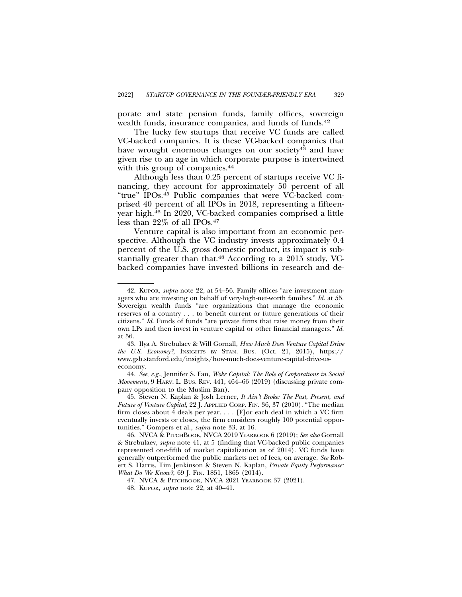porate and state pension funds, family offices, sovereign wealth funds, insurance companies, and funds of funds.<sup>42</sup>

The lucky few startups that receive VC funds are called VC-backed companies. It is these VC-backed companies that have wrought enormous changes on our society<sup>43</sup> and have given rise to an age in which corporate purpose is intertwined with this group of companies.<sup>44</sup>

Although less than 0.25 percent of startups receive VC financing, they account for approximately 50 percent of all "true" IPOs.45 Public companies that were VC-backed comprised 40 percent of all IPOs in 2018, representing a fifteenyear high.46 In 2020, VC-backed companies comprised a little less than 22% of all IPOs.47

Venture capital is also important from an economic perspective. Although the VC industry invests approximately 0.4 percent of the U.S. gross domestic product, its impact is substantially greater than that.<sup>48</sup> According to a 2015 study, VCbacked companies have invested billions in research and de-

<sup>42.</sup> KUPOR, *supra* note 22, at 54–56. Family offices "are investment managers who are investing on behalf of very-high-net-worth families." *Id.* at 55. Sovereign wealth funds "are organizations that manage the economic reserves of a country . . . to benefit current or future generations of their citizens." *Id.* Funds of funds "are private firms that raise money from their own LPs and then invest in venture capital or other financial managers." *Id.* at 56.

<sup>43.</sup> Ilya A. Strebulaev & Will Gornall, *How Much Does Venture Capital Drive the U.S. Economy?*, INSIGHTS BY STAN. BUS. (Oct. 21, 2015), https:// www.gsb.stanford.edu/insights/how-much-does-venture-capital-drive-useconomy.

<sup>44.</sup> *See, e.g.*, Jennifer S. Fan, *Woke Capital: The Role of Corporations in Social Movements*, 9 HARV. L. BUS. REV. 441, 464–66 (2019) (discussing private company opposition to the Muslim Ban).

<sup>45.</sup> Steven N. Kaplan & Josh Lerner, *It Ain't Broke: The Past, Present, and Future of Venture Capital*, 22 J. APPLIED CORP. FIN. 36, 37 (2010). "The median firm closes about 4 deals per year. . . . [F]or each deal in which a VC firm eventually invests or closes, the firm considers roughly 100 potential opportunities." Gompers et al., *supra* note 33, at 16.

<sup>46.</sup> NVCA & PITCHBOOK, NVCA 2019 YEARBOOK 6 (2019); *See also* Gornall & Strebulaev, *supra* note 41, at 5 (finding that VC-backed public companies represented one-fifth of market capitalization as of 2014). VC funds have generally outperformed the public markets net of fees, on average. *See* Robert S. Harris, Tim Jenkinson & Steven N. Kaplan, *Private Equity Performance: What Do We Know?*, 69 J. FIN. 1851, 1865 (2014).

<sup>47.</sup> NVCA & PITCHBOOK, NVCA 2021 YEARBOOK 37 (2021).

<sup>48.</sup> KUPOR, *supra* note 22, at 40–41.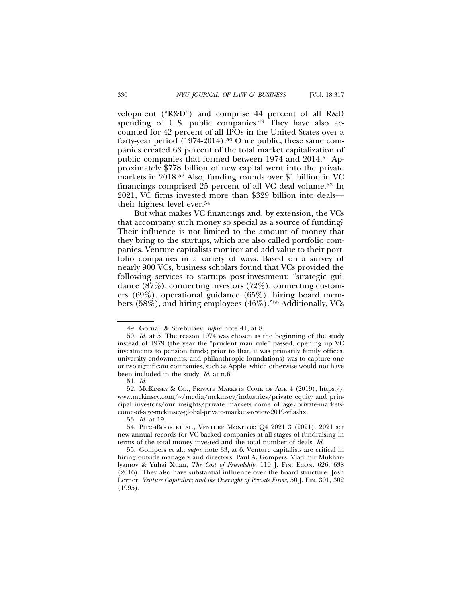velopment ("R&D") and comprise 44 percent of all R&D spending of U.S. public companies.<sup>49</sup> They have also accounted for 42 percent of all IPOs in the United States over a forty-year period (1974-2014).<sup>50</sup> Once public, these same companies created 63 percent of the total market capitalization of public companies that formed between 1974 and 2014.51 Approximately \$778 billion of new capital went into the private markets in 2018.52 Also, funding rounds over \$1 billion in VC financings comprised 25 percent of all VC deal volume.53 In 2021, VC firms invested more than \$329 billion into deals their highest level ever.54

But what makes VC financings and, by extension, the VCs that accompany such money so special as a source of funding? Their influence is not limited to the amount of money that they bring to the startups, which are also called portfolio companies. Venture capitalists monitor and add value to their portfolio companies in a variety of ways. Based on a survey of nearly 900 VCs, business scholars found that VCs provided the following services to startups post-investment: "strategic guidance (87%), connecting investors (72%), connecting customers (69%), operational guidance (65%), hiring board members (58%), and hiring employees (46%)."55 Additionally, VCs

<sup>49.</sup> Gornall & Strebulaev, *supra* note 41, at 8.

<sup>50.</sup> *Id.* at 5*.* The reason 1974 was chosen as the beginning of the study instead of 1979 (the year the "prudent man rule" passed, opening up VC investments to pension funds; prior to that, it was primarily family offices, university endowments, and philanthropic foundations) was to capture one or two significant companies, such as Apple, which otherwise would not have been included in the study. *Id.* at n.6.

<sup>51.</sup> *Id.*

<sup>52.</sup> MCKINSEY & CO., PRIVATE MARKETS COME OF AGE 4 (2019), https:// www.mckinsey.com/~/media/mckinsey/industries/private equity and principal investors/our insights/private markets come of age/private-marketscome-of-age-mckinsey-global-private-markets-review-2019-vf.ashx.

<sup>53.</sup> *Id.* at 19.

<sup>54.</sup> PITCHBOOK ET AL., VENTURE MONITOR: Q4 2021 3 (2021). 2021 set new annual records for VC-backed companies at all stages of fundraising in terms of the total money invested and the total number of deals. *Id.*

<sup>55.</sup> Gompers et al., *supra* note 33, at 6. Venture capitalists are critical in hiring outside managers and directors. Paul A. Gompers, Vladimir Mukharlyamov & Yuhai Xuan, *The Cost of Friendship*, 119 J. FIN. ECON. 626, 638 (2016). They also have substantial influence over the board structure. Josh Lerner, *Venture Capitalists and the Oversight of Private Firms*, 50 J. FIN. 301, 302 (1995).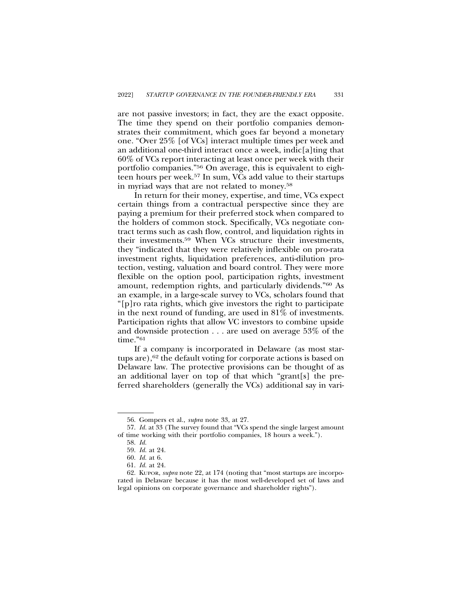are not passive investors; in fact, they are the exact opposite. The time they spend on their portfolio companies demonstrates their commitment, which goes far beyond a monetary one. "Over 25% [of VCs] interact multiple times per week and an additional one-third interact once a week, indic[a]ting that 60% of VCs report interacting at least once per week with their portfolio companies."56 On average, this is equivalent to eighteen hours per week.57 In sum, VCs add value to their startups in myriad ways that are not related to money.58

In return for their money, expertise, and time, VCs expect certain things from a contractual perspective since they are paying a premium for their preferred stock when compared to the holders of common stock. Specifically, VCs negotiate contract terms such as cash flow, control, and liquidation rights in their investments.59 When VCs structure their investments, they "indicated that they were relatively inflexible on pro-rata investment rights, liquidation preferences, anti-dilution protection, vesting, valuation and board control. They were more flexible on the option pool, participation rights, investment amount, redemption rights, and particularly dividends."60 As an example, in a large-scale survey to VCs, scholars found that "[p]ro rata rights, which give investors the right to participate in the next round of funding, are used in 81% of investments. Participation rights that allow VC investors to combine upside and downside protection . . . are used on average 53% of the time."<sup>61</sup>

If a company is incorporated in Delaware (as most startups are),<sup>62</sup> the default voting for corporate actions is based on Delaware law. The protective provisions can be thought of as an additional layer on top of that which "grant[s] the preferred shareholders (generally the VCs) additional say in vari-

<sup>56.</sup> Gompers et al., *supra* note 33, at 27.

<sup>57.</sup> *Id.* at 33 (The survey found that "VCs spend the single largest amount of time working with their portfolio companies, 18 hours a week.").

<sup>58.</sup> *Id.*

<sup>59.</sup> *Id.* at 24.

<sup>60.</sup> *Id.* at 6.

<sup>61.</sup> *Id.* at 24.

<sup>62.</sup> KUPOR, *supra* note 22, at 174 (noting that "most startups are incorporated in Delaware because it has the most well-developed set of laws and legal opinions on corporate governance and shareholder rights").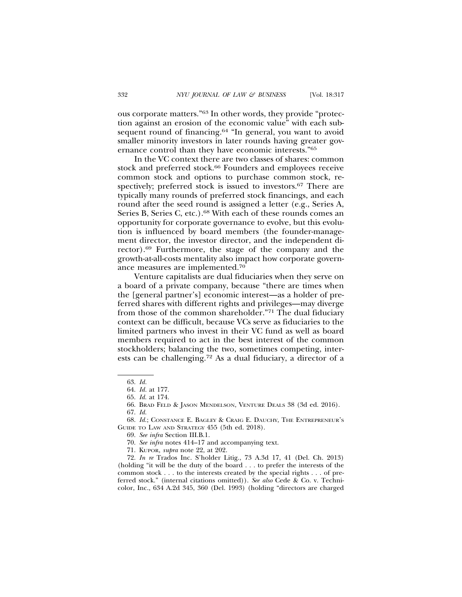ous corporate matters."63 In other words, they provide "protection against an erosion of the economic value" with each subsequent round of financing.<sup>64</sup> "In general, you want to avoid smaller minority investors in later rounds having greater governance control than they have economic interests."65

In the VC context there are two classes of shares: common stock and preferred stock.<sup>66</sup> Founders and employees receive common stock and options to purchase common stock, respectively; preferred stock is issued to investors.<sup>67</sup> There are typically many rounds of preferred stock financings, and each round after the seed round is assigned a letter (e.g., Series A, Series B, Series C, etc.).<sup>68</sup> With each of these rounds comes an opportunity for corporate governance to evolve, but this evolution is influenced by board members (the founder-management director, the investor director, and the independent director).69 Furthermore, the stage of the company and the growth-at-all-costs mentality also impact how corporate governance measures are implemented.70

Venture capitalists are dual fiduciaries when they serve on a board of a private company, because "there are times when the [general partner's] economic interest—as a holder of preferred shares with different rights and privileges—may diverge from those of the common shareholder."71 The dual fiduciary context can be difficult, because VCs serve as fiduciaries to the limited partners who invest in their VC fund as well as board members required to act in the best interest of the common stockholders; balancing the two, sometimes competing, interests can be challenging.72 As a dual fiduciary, a director of a

<sup>63.</sup> *Id.*

<sup>64.</sup> *Id.* at 177.

<sup>65.</sup> *Id.* at 174.

<sup>66.</sup> BRAD FELD & JASON MENDELSON, VENTURE DEALS 38 (3d ed. 2016). 67. *Id.*

<sup>68.</sup> *Id.*; CONSTANCE E. BAGLEY & CRAIG E. DAUCHY, THE ENTREPRENEUR'S GUIDE TO LAW AND STRATEGY 455 (5th ed. 2018).

<sup>69.</sup> *See infra* Section III.B.1.

<sup>70.</sup> *See infra* notes 414–17 and accompanying text.

<sup>71.</sup> KUPOR, *supra* note 22, at 202.

<sup>72.</sup> *In re* Trados Inc. S'holder Litig., 73 A.3d 17, 41 (Del. Ch. 2013) (holding "it will be the duty of the board . . . to prefer the interests of the common stock . . . to the interests created by the special rights . . . of preferred stock." (internal citations omitted)). *See also* Cede & Co. v. Technicolor, Inc., 634 A.2d 345, 360 (Del. 1993) (holding "directors are charged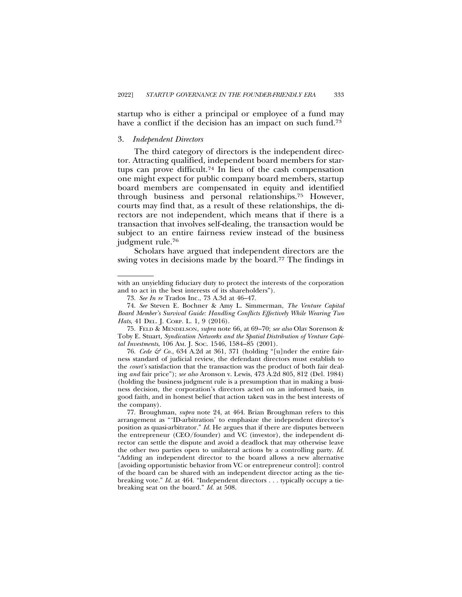startup who is either a principal or employee of a fund may have a conflict if the decision has an impact on such fund.<sup>73</sup>

#### 3. *Independent Directors*

The third category of directors is the independent director. Attracting qualified, independent board members for startups can prove difficult.74 In lieu of the cash compensation one might expect for public company board members, startup board members are compensated in equity and identified through business and personal relationships.75 However, courts may find that, as a result of these relationships, the directors are not independent, which means that if there is a transaction that involves self-dealing, the transaction would be subject to an entire fairness review instead of the business judgment rule.76

Scholars have argued that independent directors are the swing votes in decisions made by the board.<sup>77</sup> The findings in

with an unyielding fiduciary duty to protect the interests of the corporation and to act in the best interests of its shareholders").

<sup>73.</sup> *See In re* Trados Inc., 73 A.3d at 46–47.

<sup>74.</sup> *See* Steven E. Bochner & Amy L. Simmerman, *The Venture Capital Board Member's Survival Guide: Handling Conflicts Effectively While Wearing Two Hats*, 41 DEL. J. CORP. L. 1, 9 (2016).

<sup>75.</sup> FELD & MENDELSON, *supra* note 66, at 69–70; *see also* Olav Sorenson & Toby E. Stuart, *Syndication Networks and the Spatial Distribution of Venture Capital Investments*, 106 AM. J. SOC. 1546, 1584–85 (2001).

<sup>76.</sup> *Cede & Co.*, 634 A.2d at 361, 371 (holding "[u]nder the entire fairness standard of judicial review, the defendant directors must establish to the *court's* satisfaction that the transaction was the product of both fair dealing *and* fair price"); *see also* Aronson v. Lewis, 473 A.2d 805, 812 (Del. 1984) (holding the business judgment rule is a presumption that in making a business decision, the corporation's directors acted on an informed basis, in good faith, and in honest belief that action taken was in the best interests of the company).

<sup>77.</sup> Broughman, *supra* note 24, at 464. Brian Broughman refers to this arrangement as "'ID-arbitration' to emphasize the independent director's position as quasi-arbitrator." *Id.* He argues that if there are disputes between the entrepreneur (CEO/founder) and VC (investor), the independent director can settle the dispute and avoid a deadlock that may otherwise leave the other two parties open to unilateral actions by a controlling party. *Id.* "Adding an independent director to the board allows a new alternative [avoiding opportunistic behavior from VC or entrepreneur control]: control of the board can be shared with an independent director acting as the tiebreaking vote." *Id.* at 464. "Independent directors . . . typically occupy a tiebreaking seat on the board." *Id.* at 508.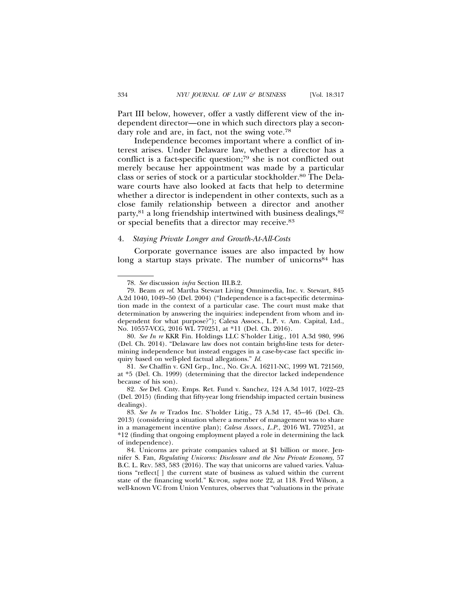Part III below, however, offer a vastly different view of the independent director—one in which such directors play a secondary role and are, in fact, not the swing vote.78

Independence becomes important where a conflict of interest arises. Under Delaware law, whether a director has a conflict is a fact-specific question;79 she is not conflicted out merely because her appointment was made by a particular class or series of stock or a particular stockholder.80 The Delaware courts have also looked at facts that help to determine whether a director is independent in other contexts, such as a close family relationship between a director and another party,<sup>81</sup> a long friendship intertwined with business dealings,<sup>82</sup> or special benefits that a director may receive.83

#### 4. *Staying Private Longer and Growth-At-All-Costs*

Corporate governance issues are also impacted by how long a startup stays private. The number of unicorns<sup>84</sup> has

<sup>78.</sup> *See* discussion *infra* Section III.B.2.

<sup>79.</sup> Beam *ex rel*. Martha Stewart Living Omnimedia, Inc. v. Stewart, 845 A.2d 1040, 1049–50 (Del. 2004) ("Independence is a fact-specific determination made in the context of a particular case. The court must make that determination by answering the inquiries: independent from whom and independent for what purpose?"); Calesa Assocs., L.P. v. Am. Capital, Ltd., No. 10557-VCG, 2016 WL 770251, at \*11 (Del. Ch. 2016).

<sup>80.</sup> *See In re* KKR Fin. Holdings LLC S'holder Litig., 101 A.3d 980, 996 (Del. Ch. 2014). "Delaware law does not contain bright-line tests for determining independence but instead engages in a case-by-case fact specific inquiry based on well-pled factual allegations." *Id.*

<sup>81.</sup> *See* Chaffin v. GNI Grp., Inc., No. Civ.A. 16211-NC, 1999 WL 721569, at \*5 (Del. Ch. 1999) (determining that the director lacked independence because of his son).

<sup>82.</sup> *See* Del. Cnty. Emps. Ret. Fund v. Sanchez, 124 A.3d 1017, 1022–23 (Del. 2015) (finding that fifty-year long friendship impacted certain business dealings).

<sup>83.</sup> *See In re* Trados Inc. S'holder Litig., 73 A.3d 17, 45–46 (Del. Ch. 2013) (considering a situation where a member of management was to share in a management incentive plan); *Calesa Assocs., L.P.*, 2016 WL 770251, at \*12 (finding that ongoing employment played a role in determining the lack of independence).

<sup>84.</sup> Unicorns are private companies valued at \$1 billion or more. Jennifer S. Fan, *Regulating Unicorns: Disclosure and the New Private Economy*, 57 B.C. L. REV. 583, 583 (2016). The way that unicorns are valued varies. Valuations "reflect[ ] the current state of business as valued within the current state of the financing world." KUPOR, *supra* note 22, at 118. Fred Wilson, a well-known VC from Union Ventures, observes that "valuations in the private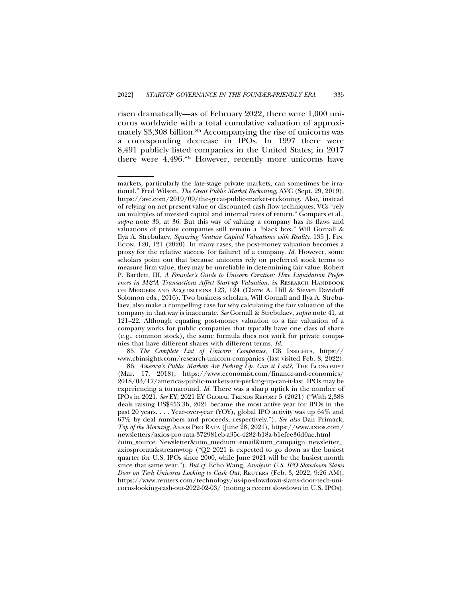risen dramatically—as of February 2022, there were 1,000 unicorns worldwide with a total cumulative valuation of approximately \$3,308 billion.85 Accompanying the rise of unicorns was a corresponding decrease in IPOs. In 1997 there were 8,491 publicly listed companies in the United States; in 2017 there were 4,496.86 However, recently more unicorns have

85. *The Complete List of Unicorn Companies*, CB INSIGHTS, https:// www.cbinsights.com/research-unicorn-companies (last visited Feb. 8, 2022).

markets, particularly the late-stage private markets, can sometimes be irrational." Fred Wilson, *The Great Public Market Reckoning*, AVC (Sept. 29, 2019), https://avc.com/2019/09/the-great-public-market-reckoning. Also, instead of relying on net present value or discounted cash flow techniques, VCs "rely on multiples of invested capital and internal rates of return." Gompers et al., *supra* note 33, at 36. But this way of valuing a company has its flaws and valuations of private companies still remain a "black box." Will Gornall & Ilya A. Strebulaev, *Squaring Venture Capital Valuations with Reality*, 135 J. FIN. ECON. 120, 121 (2020). In many cases, the post-money valuation becomes a proxy for the relative success (or failure) of a company. *Id.* However, some scholars point out that because unicorns rely on preferred stock terms to measure firm value, they may be unreliable in determining fair value. Robert P. Bartlett, III, *A Founder's Guide to Unicorn Creation: How Liquidation Preferences in M&A Transactions Affect Start-up Valuation*, *in* RESEARCH HANDBOOK ON MERGERS AND ACQUISITIONS 123, 124 (Claire A. Hill & Steven Davidoff Solomon eds., 2016). Two business scholars, Will Gornall and Ilya A. Strebulaev, also make a compelling case for why calculating the fair valuation of the company in that way is inaccurate. *See* Gornall & Strebulaev, *supra* note 41, at 121–22. Although equating post-money valuation to a fair valuation of a company works for public companies that typically have one class of share (e.g., common stock), the same formula does not work for private companies that have different shares with different terms*. Id.*

<sup>86.</sup> America's Public Markets Are Perking Up. Can it Last?, THE ECONOMIST (Mar. 17, 2018), https://www.economist.com/finance-and-economics/ 2018/03/17/americas-public-markets-are-perking-up-can-it-last. IPOs may be experiencing a turnaround. *Id.* There was a sharp uptick in the number of IPOs in 2021. *See* EY, 2021 EY GLOBAL TRENDS REPORT 5 (2021) ("With 2,388 deals raising US\$453.3b, 2021 became the most active year for IPOs in the past 20 years. . . . Year-over-year (YOY), global IPO activity was up 64% and 67% by deal numbers and proceeds, respectively."). *See also* Dan Primack, *Top of the Morning*, AXIOS PRO RATA (June 28, 2021), https://www.axios.com/ newsletters/axios-pro-rata-372981eb-a35c-4282-b18a-b1efee36d0ae.html ?utm\_source=Newsletter&utm\_medium=email&utm\_campaign=newsletter\_ axiosprorata&stream=top ("Q2 2021 is expected to go down as the busiest quarter for U.S. IPOs since 2000, while June 2021 will be the busiest month since that same year."). *But cf.* Echo Wang, *Analysis: U.S. IPO Slowdown Slams Door on Tech Unicorns Looking to Cash Out*, REUTERS (Feb. 3, 2022, 9:26 AM), https://www.reuters.com/technology/us-ipo-slowdown-slams-door-tech-unicorns-looking-cash-out-2022-02-03/ (noting a recent slowdown in U.S. IPOs).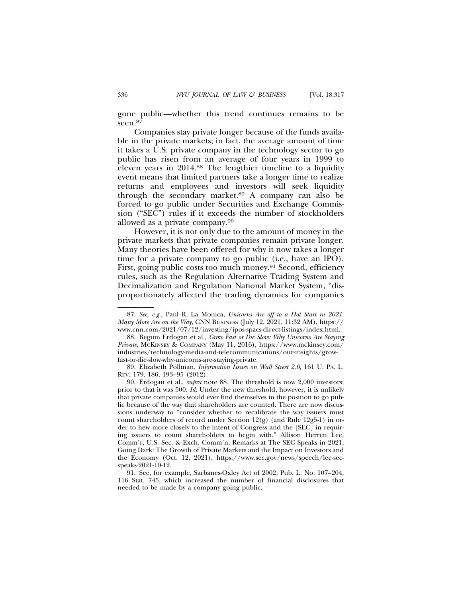gone public—whether this trend continues remains to be seen.87

Companies stay private longer because of the funds available in the private markets; in fact, the average amount of time it takes a U.S. private company in the technology sector to go public has risen from an average of four years in 1999 to eleven years in 2014.88 The lengthier timeline to a liquidity event means that limited partners take a longer time to realize returns and employees and investors will seek liquidity through the secondary market.89 A company can also be forced to go public under Securities and Exchange Commission ("SEC") rules if it exceeds the number of stockholders allowed as a private company.90

However, it is not only due to the amount of money in the private markets that private companies remain private longer. Many theories have been offered for why it now takes a longer time for a private company to go public (i.e., have an IPO). First, going public costs too much money.91 Second, efficiency rules, such as the Regulation Alternative Trading System and Decimalization and Regulation National Market System, "disproportionately affected the trading dynamics for companies

<sup>87.</sup> *See, e.g.*, Paul R. La Monica, *Unicorns Are off to a Hot Start in 2021. Many More Are on the Way*, CNN BUSINESS (July 12, 2021, 11:32 AM), https:// www.cnn.com/2021/07/12/investing/ipos-spacs-direct-listings/index.html.

<sup>88.</sup> Begum Erdogan et al., *Grow Fast or Die Slow: Why Unicorns Are Staying Private*, MCKINSEY & COMPANY (May 11, 2016), https://www.mckinsey.com/ industries/technology-media-and-telecommunications/our-insights/growfast-or-die-slow-why-unicorns-are-staying-private.

<sup>89.</sup> Elizabeth Pollman, *Information Issues on Wall Street 2.0*, 161 U. PA. L. REV. 179, 186, 193–95 (2012).

<sup>90.</sup> Erdogan et al., *supra* note 88*.* The threshold is now 2,000 investors; prior to that it was 500. *Id.* Under the new threshold, however, it is unlikely that private companies would ever find themselves in the position to go public because of the way that shareholders are counted. There are now discussions underway to "consider whether to recalibrate the way issuers must count shareholders of record under Section 12(g) (and Rule 12g5-1) in order to hew more closely to the intent of Congress and the [SEC] in requiring issuers to count shareholders to begin with." Allison Herren Lee, Comm'r, U.S. Sec. & Exch. Comm'n, Remarks at The SEC Speaks in 2021, Going Dark: The Growth of Private Markets and the Impact on Investors and the Economy (Oct. 12, 2021), https://www.sec.gov/news/speech/lee-secspeaks-2021-10-12.

<sup>91.</sup> See, for example, Sarbanes-Oxley Act of 2002, Pub. L. No. 107–204, 116 Stat. 745, which increased the number of financial disclosures that needed to be made by a company going public.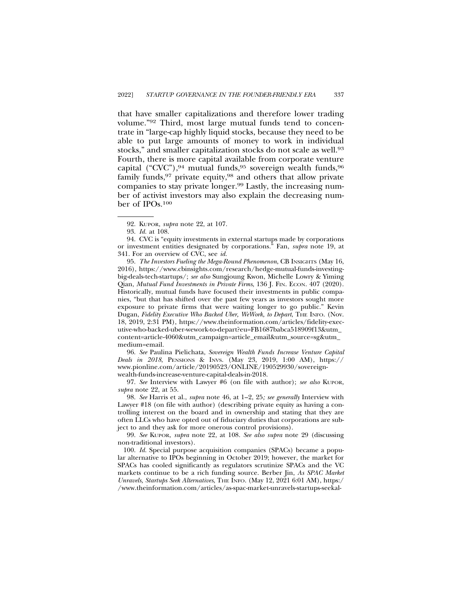that have smaller capitalizations and therefore lower trading volume."92 Third, most large mutual funds tend to concentrate in "large-cap highly liquid stocks, because they need to be able to put large amounts of money to work in individual stocks," and smaller capitalization stocks do not scale as well.93 Fourth, there is more capital available from corporate venture capital ("CVC"),  $94$  mutual funds,  $95$  sovereign wealth funds,  $96$ family funds,<sup>97</sup> private equity,<sup>98</sup> and others that allow private companies to stay private longer.99 Lastly, the increasing number of activist investors may also explain the decreasing number of IPOs.100

94. CVC is "equity investments in external startups made by corporations or investment entities designated by corporations." Fan, *supra* note 19, at 341. For an overview of CVC, see *id.*

95. *The Investors Fueling the Mega-Round Phenomenon*, CB INSIGHTS (May 16, 2016), https://www.cbinsights.com/research/hedge-mutual-funds-investingbig-deals-tech-startups/; *see also* Sungjoung Kwon, Michelle Lowry & Yiming Qian, *Mutual Fund Investments in Private Firms*, 136 J. FIN. ECON. 407 (2020). Historically, mutual funds have focused their investments in public companies, "but that has shifted over the past few years as investors sought more exposure to private firms that were waiting longer to go public." Kevin Dugan, *Fidelity Executive Who Backed Uber, WeWork, to Depart*, THE INFO. (Nov. 18, 2019, 2:31 PM), https://www.theinformation.com/articles/fidelity-executive-who-backed-uber-wework-to-depart?eu=FB1687babca518909f13&utm\_ content=article-4060&utm\_campaign=article\_email&utm\_source=sg&utm\_ medium=email.

96. *See* Paulina Pielichata, *Sovereign Wealth Funds Increase Venture Capital Deals in 2018*, PENSIONS & INVS. (May 23, 2019, 1:00 AM), https:// www.pionline.com/article/20190523/ONLINE/190529930/sovereignwealth-funds-increase-venture-capital-deals-in-2018.

97. *See* Interview with Lawyer #6 (on file with author); *see also* KUPOR, *supra* note 22, at 55.

98. *See* Harris et al., *supra* note 46, at 1–2, 25*; see generally* Interview with Lawyer #18 (on file with author) (describing private equity as having a controlling interest on the board and in ownership and stating that they are often LLCs who have opted out of fiduciary duties that corporations are subject to and they ask for more onerous control provisions).

99. *See* KUPOR, *supra* note 22, at 108. *See also supra* note 29 (discussing non-traditional investors).

100. *Id.* Special purpose acquisition companies (SPACs) became a popular alternative to IPOs beginning in October 2019; however, the market for SPACs has cooled significantly as regulators scrutinize SPACs and the VC markets continue to be a rich funding source. Berber Jin, *As SPAC Market Unravels, Startups Seek Alternatives*, THE INFO. (May 12, 2021 6:01 AM), https:/ /www.theinformation.com/articles/as-spac-market-unravels-startups-seekal-

<sup>92.</sup> KUPOR, *supra* note 22, at 107.

<sup>93.</sup> *Id.* at 108.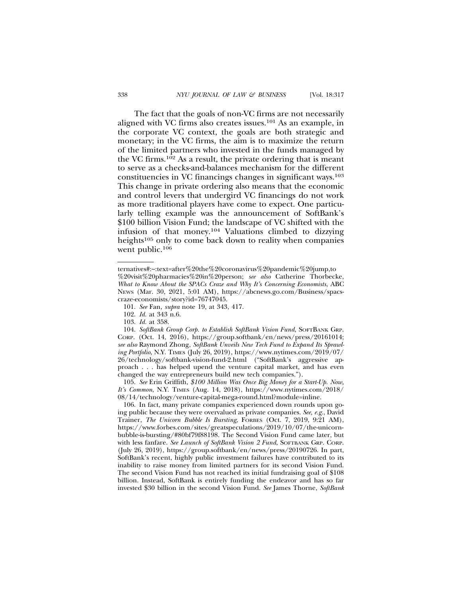The fact that the goals of non-VC firms are not necessarily aligned with VC firms also creates issues.101 As an example, in the corporate VC context, the goals are both strategic and monetary; in the VC firms, the aim is to maximize the return of the limited partners who invested in the funds managed by the VC firms.102 As a result, the private ordering that is meant to serve as a checks-and-balances mechanism for the different constituencies in VC financings changes in significant ways.103 This change in private ordering also means that the economic and control levers that undergird VC financings do not work as more traditional players have come to expect. One particularly telling example was the announcement of SoftBank's \$100 billion Vision Fund; the landscape of VC shifted with the infusion of that money.104 Valuations climbed to dizzying heights<sup>105</sup> only to come back down to reality when companies went public.<sup>106</sup>

ternatives#:~:text=after%20the%20coronavirus%20pandemic%20jump,to

<sup>%20</sup>visit%20pharmacies%20in%20person; *see also* Catherine Thorbecke, *What to Know About the SPACs Craze and Why It's Concerning Economists*, ABC NEWS (Mar. 30, 2021, 5:01 AM), https://abcnews.go.com/Business/spacscraze-economists/story?id=76747045.

<sup>101.</sup> *See* Fan, *supra* note 19, at 343, 417.

<sup>102.</sup> *Id.* at 343 n.6.

<sup>103.</sup> *Id.* at 358.

<sup>104.</sup> *SoftBank Group Corp. to Establish SoftBank Vision Fund*, SOFTBANK GRP. CORP. (Oct. 14, 2016), https://group.softbank/en/news/press/20161014; *see also* Raymond Zhong, *SoftBank Unveils New Tech Fund to Expand Its Sprawling Portfolio*, N.Y. TIMES (July 26, 2019), https://www.nytimes.com/2019/07/ 26/technology/softbank-vision-fund-2.html ("SoftBank's aggressive approach . . . has helped upend the venture capital market, and has even changed the way entrepreneurs build new tech companies.").

<sup>105.</sup> *See* Erin Griffith, *\$100 Million Was Once Big Money for a Start-Up. Now, It's Common*, N.Y. TIMES (Aug. 14, 2018), https://www.nytimes.com/2018/ 08/14/technology/venture-capital-mega-round.html?module=inline.

<sup>106.</sup> In fact, many private companies experienced down rounds upon going public because they were overvalued as private companies. *See, e.g.*, David Trainer, *The Unicorn Bubble Is Bursting*, FORBES (Oct. 7, 2019, 9:21 AM), https://www.forbes.com/sites/greatspeculations/2019/10/07/the-unicornbubble-is-bursting/#80bf79f88198. The Second Vision Fund came later, but with less fanfare. *See Launch of SoftBank Vision 2 Fund*, SOFTBANK GRP. CORP. (July 26, 2019), https://group.softbank/en/news/press/20190726. In part, SoftBank's recent, highly public investment failures have contributed to its inability to raise money from limited partners for its second Vision Fund. The second Vision Fund has not reached its initial fundraising goal of \$108 billion. Instead, SoftBank is entirely funding the endeavor and has so far invested \$30 billion in the second Vision Fund. *See* James Thorne, *SoftBank*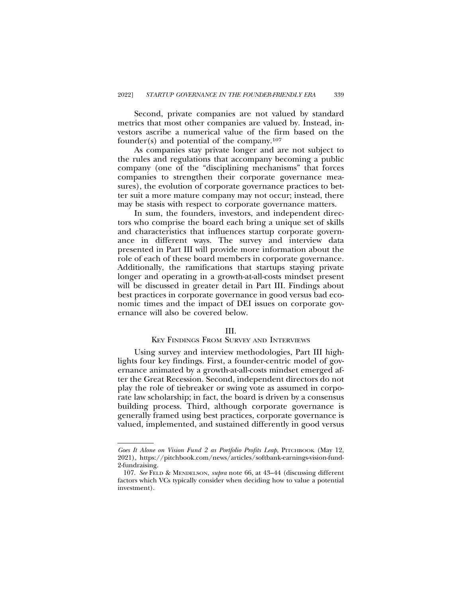Second, private companies are not valued by standard metrics that most other companies are valued by. Instead, investors ascribe a numerical value of the firm based on the founder(s) and potential of the company.<sup>107</sup>

As companies stay private longer and are not subject to the rules and regulations that accompany becoming a public company (one of the "disciplining mechanisms" that forces companies to strengthen their corporate governance measures), the evolution of corporate governance practices to better suit a more mature company may not occur; instead, there may be stasis with respect to corporate governance matters.

In sum, the founders, investors, and independent directors who comprise the board each bring a unique set of skills and characteristics that influences startup corporate governance in different ways. The survey and interview data presented in Part III will provide more information about the role of each of these board members in corporate governance. Additionally, the ramifications that startups staying private longer and operating in a growth-at-all-costs mindset present will be discussed in greater detail in Part III. Findings about best practices in corporate governance in good versus bad economic times and the impact of DEI issues on corporate governance will also be covered below.

# III.

#### KEY FINDINGS FROM SURVEY AND INTERVIEWS

Using survey and interview methodologies, Part III highlights four key findings. First, a founder-centric model of governance animated by a growth-at-all-costs mindset emerged after the Great Recession. Second, independent directors do not play the role of tiebreaker or swing vote as assumed in corporate law scholarship; in fact, the board is driven by a consensus building process. Third, although corporate governance is generally framed using best practices, corporate governance is valued, implemented, and sustained differently in good versus

Goes It Alone on Vision Fund 2 as Portfolio Profits Leap, PITCHBOOK (May 12, 2021), https://pitchbook.com/news/articles/softbank-earnings-vision-fund-2-fundraising.

<sup>107.</sup> *See* FELD & MENDELSON, *supra* note 66, at 43–44 (discussing different factors which VCs typically consider when deciding how to value a potential investment).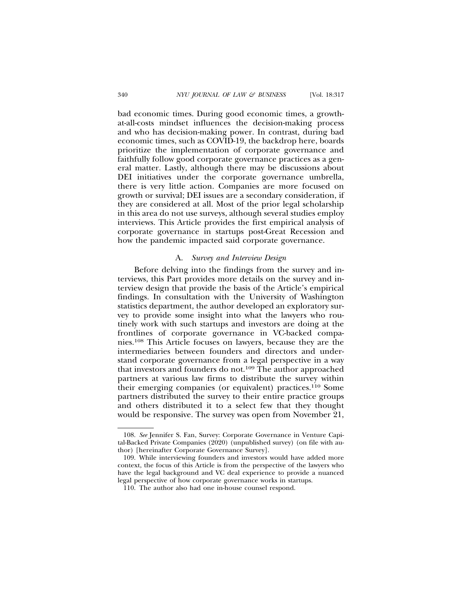bad economic times. During good economic times, a growthat-all-costs mindset influences the decision-making process and who has decision-making power. In contrast, during bad economic times, such as COVID-19, the backdrop here, boards prioritize the implementation of corporate governance and faithfully follow good corporate governance practices as a general matter. Lastly, although there may be discussions about DEI initiatives under the corporate governance umbrella, there is very little action. Companies are more focused on growth or survival; DEI issues are a secondary consideration, if they are considered at all. Most of the prior legal scholarship in this area do not use surveys, although several studies employ interviews. This Article provides the first empirical analysis of corporate governance in startups post-Great Recession and how the pandemic impacted said corporate governance.

#### A. *Survey and Interview Design*

Before delving into the findings from the survey and interviews, this Part provides more details on the survey and interview design that provide the basis of the Article's empirical findings. In consultation with the University of Washington statistics department, the author developed an exploratory survey to provide some insight into what the lawyers who routinely work with such startups and investors are doing at the frontlines of corporate governance in VC-backed companies.108 This Article focuses on lawyers, because they are the intermediaries between founders and directors and understand corporate governance from a legal perspective in a way that investors and founders do not.109 The author approached partners at various law firms to distribute the survey within their emerging companies (or equivalent) practices.110 Some partners distributed the survey to their entire practice groups and others distributed it to a select few that they thought would be responsive. The survey was open from November 21,

<sup>108.</sup> *See* Jennifer S. Fan, Survey: Corporate Governance in Venture Capital-Backed Private Companies (2020) (unpublished survey) (on file with author) [hereinafter Corporate Governance Survey].

<sup>109.</sup> While interviewing founders and investors would have added more context, the focus of this Article is from the perspective of the lawyers who have the legal background and VC deal experience to provide a nuanced legal perspective of how corporate governance works in startups.

<sup>110.</sup> The author also had one in-house counsel respond.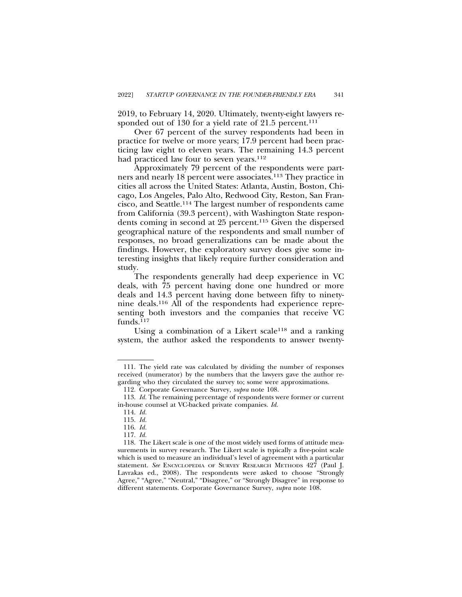2019, to February 14, 2020. Ultimately, twenty-eight lawyers responded out of 130 for a yield rate of 21.5 percent.<sup>111</sup>

Over 67 percent of the survey respondents had been in practice for twelve or more years; 17.9 percent had been practicing law eight to eleven years. The remaining 14.3 percent had practiced law four to seven years.<sup>112</sup>

Approximately 79 percent of the respondents were partners and nearly 18 percent were associates.113 They practice in cities all across the United States: Atlanta, Austin, Boston, Chicago, Los Angeles, Palo Alto, Redwood City, Reston, San Francisco, and Seattle.114 The largest number of respondents came from California (39.3 percent), with Washington State respondents coming in second at 25 percent.115 Given the dispersed geographical nature of the respondents and small number of responses, no broad generalizations can be made about the findings. However, the exploratory survey does give some interesting insights that likely require further consideration and study.

The respondents generally had deep experience in VC deals, with 75 percent having done one hundred or more deals and 14.3 percent having done between fifty to ninetynine deals.116 All of the respondents had experience representing both investors and the companies that receive VC funds. $117$ 

Using a combination of a Likert scale<sup>118</sup> and a ranking system, the author asked the respondents to answer twenty-

<sup>111.</sup> The yield rate was calculated by dividing the number of responses received (numerator) by the numbers that the lawyers gave the author regarding who they circulated the survey to; some were approximations.

<sup>112.</sup> Corporate Governance Survey, *supra* note 108.

<sup>113.</sup> *Id.* The remaining percentage of respondents were former or current in-house counsel at VC-backed private companies. *Id.*

<sup>114.</sup> *Id.*

<sup>115.</sup> *Id.*

<sup>116.</sup> *Id.*

<sup>117.</sup> *Id.*

<sup>118.</sup> The Likert scale is one of the most widely used forms of attitude measurements in survey research. The Likert scale is typically a five-point scale which is used to measure an individual's level of agreement with a particular statement. *See* ENCYCLOPEDIA OF SURVEY RESEARCH METHODS 427 (Paul J. Lavrakas ed., 2008). The respondents were asked to choose "Strongly Agree," "Agree," "Neutral," "Disagree," or "Strongly Disagree" in response to different statements. Corporate Governance Survey, *supra* note 108.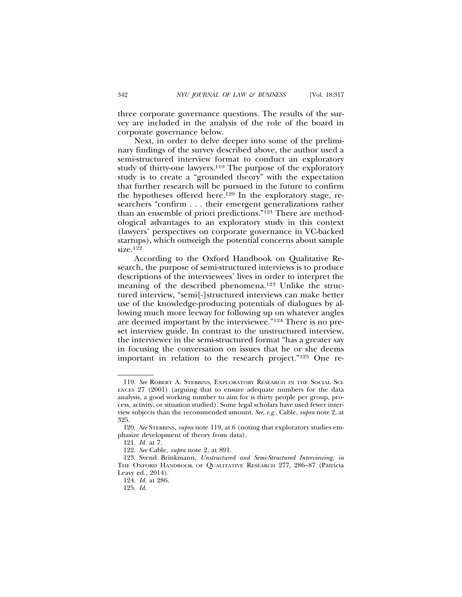three corporate governance questions. The results of the survey are included in the analysis of the role of the board in corporate governance below.

Next, in order to delve deeper into some of the preliminary findings of the survey described above, the author used a semi-structured interview format to conduct an exploratory study of thirty-one lawyers.<sup>119</sup> The purpose of the exploratory study is to create a "grounded theory" with the expectation that further research will be pursued in the future to confirm the hypotheses offered here.120 In the exploratory stage, researchers "confirm . . . their emergent generalizations rather than an ensemble of priori predictions."121 There are methodological advantages to an exploratory study in this context (lawyers' perspectives on corporate governance in VC-backed startups), which outweigh the potential concerns about sample size.122

According to the Oxford Handbook on Qualitative Research, the purpose of semi-structured interviews is to produce descriptions of the interviewees' lives in order to interpret the meaning of the described phenomena.123 Unlike the structured interview, "semi[-]structured interviews can make better use of the knowledge-producing potentials of dialogues by allowing much more leeway for following up on whatever angles are deemed important by the interviewee."124 There is no preset interview guide. In contrast to the unstructured interview, the interviewer in the semi-structured format "has a greater say in focusing the conversation on issues that he or she deems important in relation to the research project."125 One re-

<sup>119.</sup> *See* ROBERT A. STEBBINS, EXPLORATORY RESEARCH IN THE SOCIAL SCI-ENCES 27 (2001) (arguing that to ensure adequate numbers for the data analysis, a good working number to aim for is thirty people per group, process, activity, or situation studied). Some legal scholars have used fewer interview subjects than the recommended amount. *See, e.g.*, Cable, *supra* note 2, at 325.

<sup>120.</sup> *See* STEBBINS*, supra* note 119*,* at 6 (noting that exploratory studies emphasize development of theory from data).

<sup>121.</sup> *Id.* at 7.

<sup>122.</sup> *See* Cable, *supra* note 2, at 891.

<sup>123.</sup> Svend Brinkmann, *Unstructured and Semi-Structured Interviewing*, *in* THE OXFORD HANDBOOK OF QUALITATIVE RESEARCH 277, 286–87 (Patricia Leavy ed., 2014).

<sup>124.</sup> *Id.* at 286.

<sup>125.</sup> *Id.*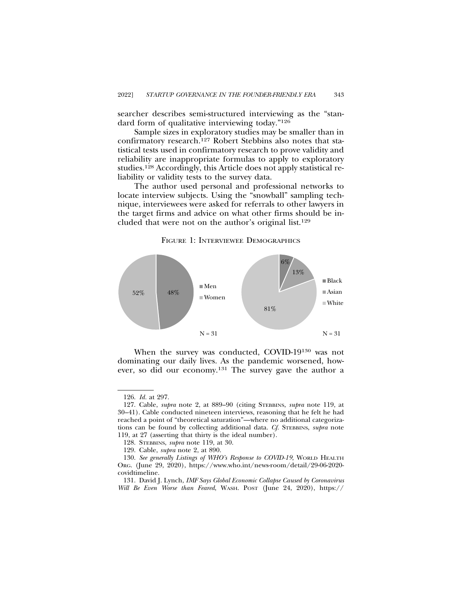searcher describes semi-structured interviewing as the "standard form of qualitative interviewing today."126

Sample sizes in exploratory studies may be smaller than in confirmatory research.127 Robert Stebbins also notes that statistical tests used in confirmatory research to prove validity and reliability are inappropriate formulas to apply to exploratory studies.128 Accordingly, this Article does not apply statistical reliability or validity tests to the survey data.

The author used personal and professional networks to locate interview subjects. Using the "snowball" sampling technique, interviewees were asked for referrals to other lawyers in the target firms and advice on what other firms should be included that were not on the author's original list.129

#### FIGURE 1: INTERVIEWEE DEMOGRAPHICS



When the survey was conducted, COVID-19130 was not dominating our daily lives. As the pandemic worsened, however, so did our economy.131 The survey gave the author a

<sup>126.</sup> *Id.* at 297.

<sup>127.</sup> Cable, *supra* note 2, at 889–90 (citing STEBBINS, *supra* note 119, at 30–41). Cable conducted nineteen interviews, reasoning that he felt he had reached a point of "theoretical saturation"—where no additional categorizations can be found by collecting additional data. *Cf.* STEBBINS, *supra* note 119, at 27 (asserting that thirty is the ideal number).

<sup>128.</sup> STEBBINS, *supra* note 119, at 30.

<sup>129.</sup> Cable, *supra* note 2, at 890.

<sup>130.</sup> *See generally Listings of WHO's Response to COVID-19*, WORLD HEALTH ORG. (June 29, 2020), https://www.who.int/news-room/detail/29-06-2020 covidtimeline.

<sup>131.</sup> David J. Lynch, *IMF Says Global Economic Collapse Caused by Coronavirus Will Be Even Worse than Feared*, WASH. POST (June 24, 2020), https://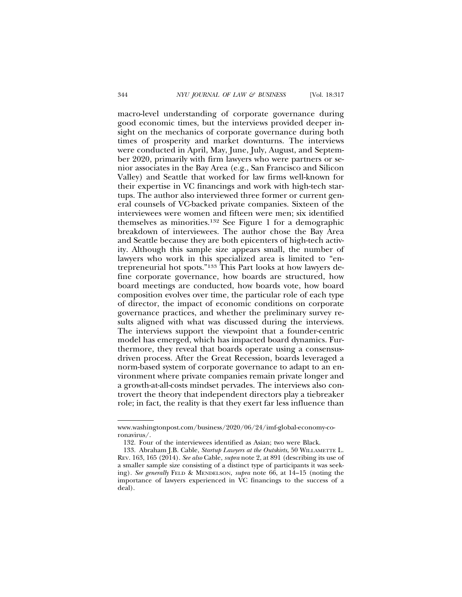macro-level understanding of corporate governance during good economic times, but the interviews provided deeper insight on the mechanics of corporate governance during both times of prosperity and market downturns. The interviews were conducted in April, May, June, July, August, and September 2020, primarily with firm lawyers who were partners or senior associates in the Bay Area (e.g., San Francisco and Silicon Valley) and Seattle that worked for law firms well-known for their expertise in VC financings and work with high-tech startups. The author also interviewed three former or current general counsels of VC-backed private companies. Sixteen of the interviewees were women and fifteen were men; six identified themselves as minorities.132 See Figure 1 for a demographic breakdown of interviewees. The author chose the Bay Area and Seattle because they are both epicenters of high-tech activity. Although this sample size appears small, the number of lawyers who work in this specialized area is limited to "entrepreneurial hot spots."133 This Part looks at how lawyers define corporate governance, how boards are structured, how board meetings are conducted, how boards vote, how board composition evolves over time, the particular role of each type of director, the impact of economic conditions on corporate governance practices, and whether the preliminary survey results aligned with what was discussed during the interviews. The interviews support the viewpoint that a founder-centric model has emerged, which has impacted board dynamics. Furthermore, they reveal that boards operate using a consensusdriven process. After the Great Recession, boards leveraged a norm-based system of corporate governance to adapt to an environment where private companies remain private longer and a growth-at-all-costs mindset pervades. The interviews also controvert the theory that independent directors play a tiebreaker role; in fact, the reality is that they exert far less influence than

www.washingtonpost.com/business/2020/06/24/imf-global-economy-coronavirus/.

<sup>132.</sup> Four of the interviewees identified as Asian; two were Black.

<sup>133.</sup> Abraham J.B. Cable, *Startup Lawyers at the Outskirts*, 50 WILLAMETTE L. REV. 163, 165 (2014). *See also* Cable, *supra* note 2, at 891 (describing its use of a smaller sample size consisting of a distinct type of participants it was seeking)*. See generally* FELD & MENDELSON, *supra* note 66, at 14–15 (noting the importance of lawyers experienced in VC financings to the success of a deal).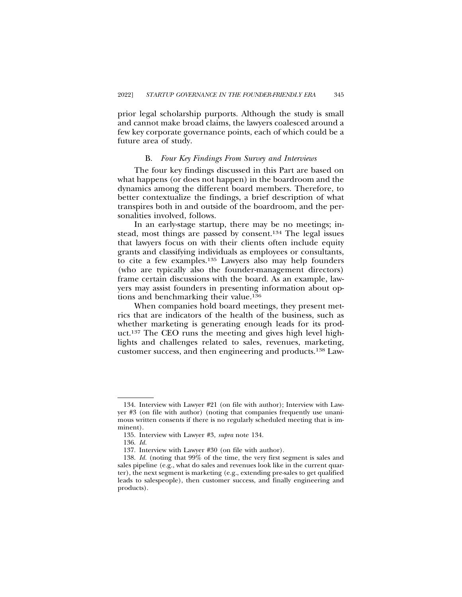prior legal scholarship purports. Although the study is small and cannot make broad claims, the lawyers coalesced around a few key corporate governance points, each of which could be a future area of study.

#### B. *Four Key Findings From Survey and Interviews*

The four key findings discussed in this Part are based on what happens (or does not happen) in the boardroom and the dynamics among the different board members. Therefore, to better contextualize the findings, a brief description of what transpires both in and outside of the boardroom, and the personalities involved, follows.

In an early-stage startup, there may be no meetings; instead, most things are passed by consent.134 The legal issues that lawyers focus on with their clients often include equity grants and classifying individuals as employees or consultants, to cite a few examples.135 Lawyers also may help founders (who are typically also the founder-management directors) frame certain discussions with the board. As an example, lawyers may assist founders in presenting information about options and benchmarking their value.136

When companies hold board meetings, they present metrics that are indicators of the health of the business, such as whether marketing is generating enough leads for its product.137 The CEO runs the meeting and gives high level highlights and challenges related to sales, revenues, marketing, customer success, and then engineering and products.138 Law-

<sup>134.</sup> Interview with Lawyer #21 (on file with author); Interview with Lawyer #3 (on file with author) (noting that companies frequently use unanimous written consents if there is no regularly scheduled meeting that is imminent).

<sup>135.</sup> Interview with Lawyer #3, *supra* note 134.

<sup>136.</sup> *Id.*

<sup>137.</sup> Interview with Lawyer #30 (on file with author).

<sup>138.</sup> *Id.* (noting that 99% of the time, the very first segment is sales and sales pipeline (e.g., what do sales and revenues look like in the current quarter), the next segment is marketing (e.g., extending pre-sales to get qualified leads to salespeople), then customer success, and finally engineering and products).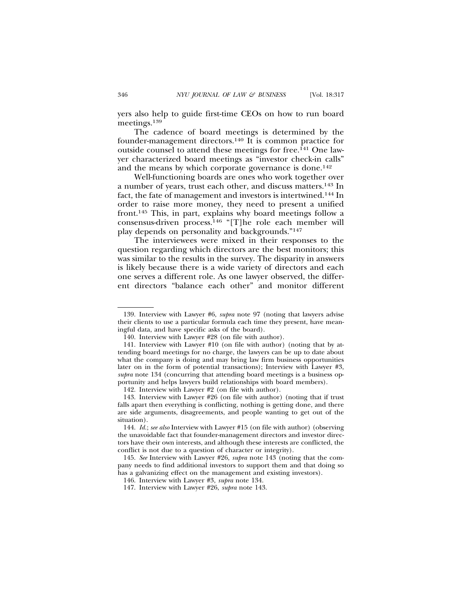yers also help to guide first-time CEOs on how to run board meetings.139

The cadence of board meetings is determined by the founder-management directors.140 It is common practice for outside counsel to attend these meetings for free.<sup>141</sup> One lawyer characterized board meetings as "investor check-in calls" and the means by which corporate governance is done.<sup>142</sup>

Well-functioning boards are ones who work together over a number of years, trust each other, and discuss matters.143 In fact, the fate of management and investors is intertwined.144 In order to raise more money, they need to present a unified front.145 This, in part, explains why board meetings follow a consensus-driven process.146 "[T]he role each member will play depends on personality and backgrounds."147

The interviewees were mixed in their responses to the question regarding which directors are the best monitors; this was similar to the results in the survey. The disparity in answers is likely because there is a wide variety of directors and each one serves a different role. As one lawyer observed, the different directors "balance each other" and monitor different

<sup>139.</sup> Interview with Lawyer #6, *supra* note 97 (noting that lawyers advise their clients to use a particular formula each time they present, have meaningful data, and have specific asks of the board).

<sup>140.</sup> Interview with Lawyer #28 (on file with author).

<sup>141.</sup> Interview with Lawyer #10 (on file with author) (noting that by attending board meetings for no charge, the lawyers can be up to date about what the company is doing and may bring law firm business opportunities later on in the form of potential transactions); Interview with Lawyer #3, *supra* note 134 (concurring that attending board meetings is a business opportunity and helps lawyers build relationships with board members).

<sup>142.</sup> Interview with Lawyer #2 (on file with author).

<sup>143.</sup> Interview with Lawyer #26 (on file with author) (noting that if trust falls apart then everything is conflicting, nothing is getting done, and there are side arguments, disagreements, and people wanting to get out of the situation).

<sup>144.</sup> *Id.*; *see also* Interview with Lawyer #15 (on file with author) (observing the unavoidable fact that founder-management directors and investor directors have their own interests, and although these interests are conflicted, the conflict is not due to a question of character or integrity).

<sup>145.</sup> *See* Interview with Lawyer #26, *supra* note 143 (noting that the company needs to find additional investors to support them and that doing so has a galvanizing effect on the management and existing investors).

<sup>146.</sup> Interview with Lawyer #3, *supra* note 134.

<sup>147.</sup> Interview with Lawyer #26, *supra* note 143.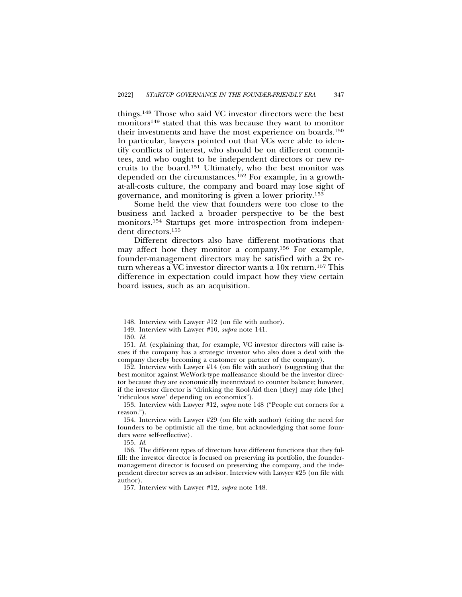things.148 Those who said VC investor directors were the best monitors149 stated that this was because they want to monitor their investments and have the most experience on boards.150 In particular, lawyers pointed out that VCs were able to identify conflicts of interest, who should be on different committees, and who ought to be independent directors or new recruits to the board.151 Ultimately, who the best monitor was depended on the circumstances.152 For example, in a growthat-all-costs culture, the company and board may lose sight of governance, and monitoring is given a lower priority.153

Some held the view that founders were too close to the business and lacked a broader perspective to be the best monitors.154 Startups get more introspection from independent directors.155

Different directors also have different motivations that may affect how they monitor a company.156 For example, founder-management directors may be satisfied with a 2x return whereas a VC investor director wants a 10x return.157 This difference in expectation could impact how they view certain board issues, such as an acquisition.

<sup>148.</sup> Interview with Lawyer #12 (on file with author).

<sup>149.</sup> Interview with Lawyer #10, *supra* note 141.

<sup>150.</sup> *Id.*

<sup>151.</sup> *Id.* (explaining that, for example, VC investor directors will raise issues if the company has a strategic investor who also does a deal with the company thereby becoming a customer or partner of the company).

<sup>152.</sup> Interview with Lawyer #14 (on file with author) (suggesting that the best monitor against WeWork-type malfeasance should be the investor director because they are economically incentivized to counter balance; however, if the investor director is "drinking the Kool-Aid then [they] may ride [the] 'ridiculous wave' depending on economics").

<sup>153.</sup> Interview with Lawyer #12, *supra* note 148 ("People cut corners for a reason.").

<sup>154.</sup> Interview with Lawyer #29 (on file with author) (citing the need for founders to be optimistic all the time, but acknowledging that some founders were self-reflective).

<sup>155.</sup> *Id.*

<sup>156.</sup> The different types of directors have different functions that they fulfill: the investor director is focused on preserving its portfolio, the foundermanagement director is focused on preserving the company, and the independent director serves as an advisor. Interview with Lawyer #25 (on file with author).

<sup>157.</sup> Interview with Lawyer #12, *supra* note 148.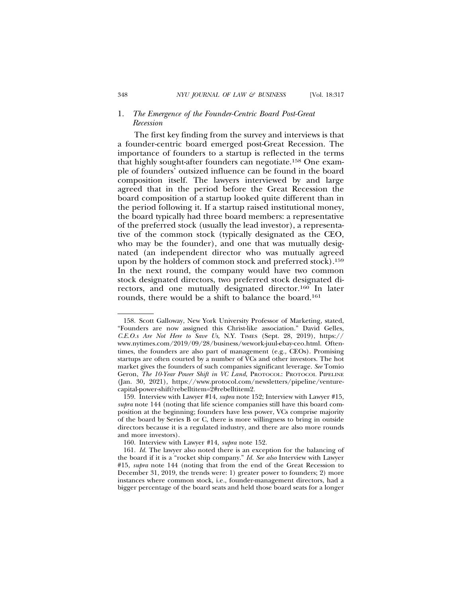# 1. *The Emergence of the Founder-Centric Board Post-Great Recession*

The first key finding from the survey and interviews is that a founder-centric board emerged post-Great Recession. The importance of founders to a startup is reflected in the terms that highly sought-after founders can negotiate.158 One example of founders' outsized influence can be found in the board composition itself. The lawyers interviewed by and large agreed that in the period before the Great Recession the board composition of a startup looked quite different than in the period following it. If a startup raised institutional money, the board typically had three board members: a representative of the preferred stock (usually the lead investor), a representative of the common stock (typically designated as the CEO, who may be the founder), and one that was mutually designated (an independent director who was mutually agreed upon by the holders of common stock and preferred stock).159 In the next round, the company would have two common stock designated directors, two preferred stock designated directors, and one mutually designated director.160 In later rounds, there would be a shift to balance the board.161

<sup>158.</sup> Scott Galloway, New York University Professor of Marketing, stated, "Founders are now assigned this Christ-like association." David Gelles, *C.E.O.s Are Not Here to Save Us*, N.Y. TIMES (Sept. 28, 2019), https:// www.nytimes.com/2019/09/28/business/wework-juul-ebay-ceo.html. Oftentimes, the founders are also part of management (e.g., CEOs). Promising startups are often courted by a number of VCs and other investors. The hot market gives the founders of such companies significant leverage. *See* Tomio Geron, *The 10-Year Power Shift in VC Land*, PROTOCOL: PROTOCOL PIPELINE (Jan. 30, 2021), https://www.protocol.com/newsletters/pipeline/venturecapital-power-shift?rebelltitem=2#rebelltitem2.

<sup>159.</sup> Interview with Lawyer #14, *supra* note 152; Interview with Lawyer #15, *supra* note 144 (noting that life science companies still have this board composition at the beginning; founders have less power, VCs comprise majority of the board by Series B or C, there is more willingness to bring in outside directors because it is a regulated industry, and there are also more rounds and more investors).

<sup>160.</sup> Interview with Lawyer #14, *supra* note 152.

<sup>161.</sup> *Id.* The lawyer also noted there is an exception for the balancing of the board if it is a "rocket ship company." *Id. See also* Interview with Lawyer #15, *supra* note 144 (noting that from the end of the Great Recession to December 31, 2019, the trends were: 1) greater power to founders; 2) more instances where common stock, i.e., founder-management directors, had a bigger percentage of the board seats and held those board seats for a longer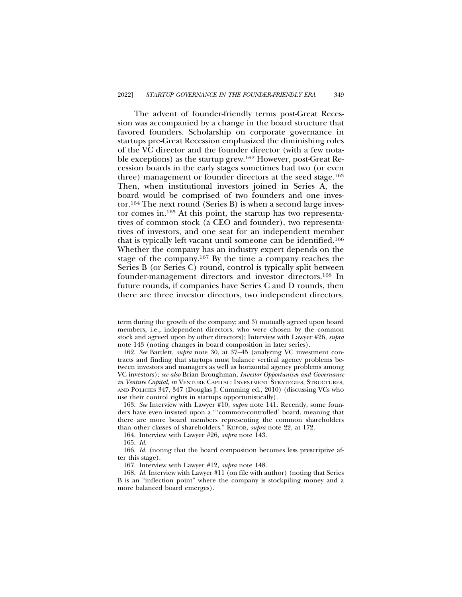The advent of founder-friendly terms post-Great Recession was accompanied by a change in the board structure that favored founders. Scholarship on corporate governance in startups pre-Great Recession emphasized the diminishing roles of the VC director and the founder director (with a few notable exceptions) as the startup grew.162 However, post-Great Recession boards in the early stages sometimes had two (or even three) management or founder directors at the seed stage.<sup>163</sup> Then, when institutional investors joined in Series A, the board would be comprised of two founders and one investor.164 The next round (Series B) is when a second large investor comes in.165 At this point, the startup has two representatives of common stock (a CEO and founder), two representatives of investors, and one seat for an independent member that is typically left vacant until someone can be identified.166 Whether the company has an industry expert depends on the stage of the company.167 By the time a company reaches the Series B (or Series C) round, control is typically split between founder-management directors and investor directors.168 In future rounds, if companies have Series C and D rounds, then there are three investor directors, two independent directors,

term during the growth of the company; and 3) mutually agreed upon board members, i.e., independent directors, who were chosen by the common stock and agreed upon by other directors); Interview with Lawyer #26, *supra* note 143 (noting changes in board composition in later series).

<sup>162.</sup> *See* Bartlett, *supra* note 30, at 37–45 (analyzing VC investment contracts and finding that startups must balance vertical agency problems between investors and managers as well as horizontal agency problems among VC investors); *see also* Brian Broughman, *Investor Opportunism and Governance in Venture Capital*, *in* VENTURE CAPITAL: INVESTMENT STRATEGIES, STRUCTURES, AND POLICIES 347, 347 (Douglas J. Cumming ed., 2010) (discussing VCs who use their control rights in startups opportunistically).

<sup>163.</sup> *See* Interview with Lawyer #10, *supra* note 141. Recently, some founders have even insisted upon a "'common-controlled' board, meaning that there are more board members representing the common shareholders than other classes of shareholders." KUPOR, *supra* note 22, at 172.

<sup>164.</sup> Interview with Lawyer #26, *supra* note 143.

<sup>165.</sup> *Id.*

<sup>166.</sup> *Id.* (noting that the board composition becomes less prescriptive after this stage).

<sup>167.</sup> Interview with Lawyer #12, *supra* note 148.

<sup>168.</sup> *Id.* Interview with Lawyer #11 (on file with author) (noting that Series B is an "inflection point" where the company is stockpiling money and a more balanced board emerges).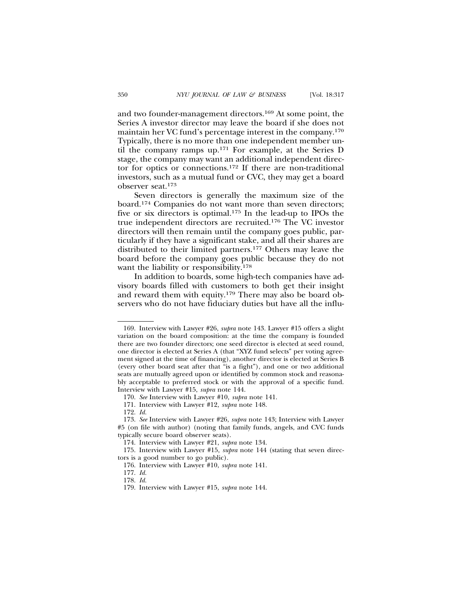and two founder-management directors.169 At some point, the Series A investor director may leave the board if she does not maintain her VC fund's percentage interest in the company.170 Typically, there is no more than one independent member until the company ramps up.171 For example, at the Series D stage, the company may want an additional independent director for optics or connections.172 If there are non-traditional investors, such as a mutual fund or CVC, they may get a board observer seat.173

Seven directors is generally the maximum size of the board.174 Companies do not want more than seven directors; five or six directors is optimal.175 In the lead-up to IPOs the true independent directors are recruited.176 The VC investor directors will then remain until the company goes public, particularly if they have a significant stake, and all their shares are distributed to their limited partners.177 Others may leave the board before the company goes public because they do not want the liability or responsibility.178

In addition to boards, some high-tech companies have advisory boards filled with customers to both get their insight and reward them with equity.179 There may also be board observers who do not have fiduciary duties but have all the influ-

<sup>169.</sup> Interview with Lawyer #26, *supra* note 143. Lawyer #15 offers a slight variation on the board composition: at the time the company is founded there are two founder directors; one seed director is elected at seed round, one director is elected at Series A (that "XYZ fund selects" per voting agreement signed at the time of financing), another director is elected at Series B (every other board seat after that "is a fight"), and one or two additional seats are mutually agreed upon or identified by common stock and reasonably acceptable to preferred stock or with the approval of a specific fund. Interview with Lawyer #15, *supra* note 144.

<sup>170.</sup> *See* Interview with Lawyer #10, *supra* note 141.

<sup>171.</sup> Interview with Lawyer #12, *supra* note 148.

<sup>172.</sup> *Id.*

<sup>173.</sup> *See* Interview with Lawyer #26, *supra* note 143; Interview with Lawyer #5 (on file with author) (noting that family funds, angels, and CVC funds typically secure board observer seats).

<sup>174.</sup> Interview with Lawyer #21, *supra* note 134.

<sup>175.</sup> Interview with Lawyer #15, *supra* note 144 (stating that seven directors is a good number to go public).

<sup>176.</sup> Interview with Lawyer #10, *supra* note 141.

<sup>177.</sup> *Id.*

<sup>178.</sup> *Id.*

<sup>179.</sup> Interview with Lawyer #15, *supra* note 144.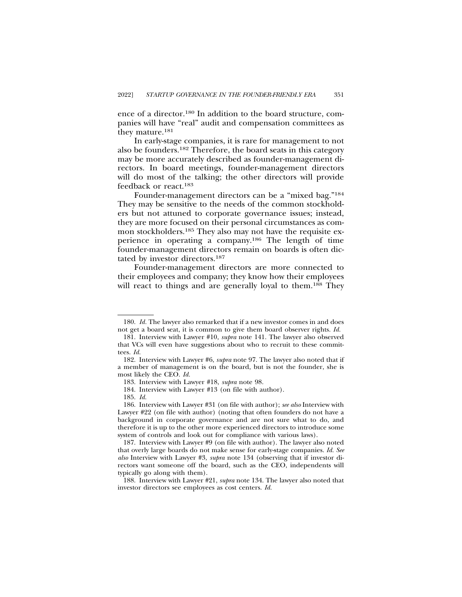ence of a director.180 In addition to the board structure, companies will have "real" audit and compensation committees as they mature.181

In early-stage companies, it is rare for management to not also be founders.182 Therefore, the board seats in this category may be more accurately described as founder-management directors. In board meetings, founder-management directors will do most of the talking; the other directors will provide feedback or react.183

Founder-management directors can be a "mixed bag."184 They may be sensitive to the needs of the common stockholders but not attuned to corporate governance issues; instead, they are more focused on their personal circumstances as common stockholders.185 They also may not have the requisite experience in operating a company.186 The length of time founder-management directors remain on boards is often dictated by investor directors.187

Founder-management directors are more connected to their employees and company; they know how their employees will react to things and are generally loyal to them.<sup>188</sup> They

<sup>180.</sup> *Id.* The lawyer also remarked that if a new investor comes in and does not get a board seat, it is common to give them board observer rights. *Id.*

<sup>181.</sup> Interview with Lawyer #10, *supra* note 141. The lawyer also observed that VCs will even have suggestions about who to recruit to these committees. *Id.*

<sup>182.</sup> Interview with Lawyer #6, *supra* note 97. The lawyer also noted that if a member of management is on the board, but is not the founder, she is most likely the CEO. *Id.*

<sup>183.</sup> Interview with Lawyer #18, *supra* note 98.

<sup>184.</sup> Interview with Lawyer #13 (on file with author).

<sup>185.</sup> *Id.*

<sup>186.</sup> Interview with Lawyer #31 (on file with author); *see also* Interview with Lawyer #22 (on file with author) (noting that often founders do not have a background in corporate governance and are not sure what to do, and therefore it is up to the other more experienced directors to introduce some system of controls and look out for compliance with various laws).

<sup>187.</sup> Interview with Lawyer #9 (on file with author). The lawyer also noted that overly large boards do not make sense for early-stage companies. *Id. See also* Interview with Lawyer #3, *supra* note 134 (observing that if investor directors want someone off the board, such as the CEO, independents will typically go along with them).

<sup>188.</sup> Interview with Lawyer #21, *supra* note 134. The lawyer also noted that investor directors see employees as cost centers. *Id.*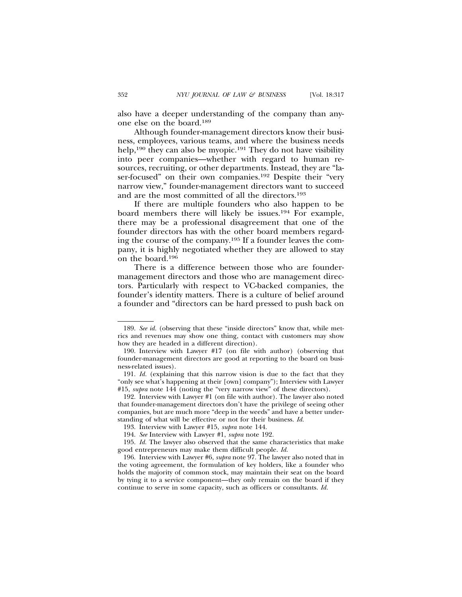also have a deeper understanding of the company than anyone else on the board.189

Although founder-management directors know their business, employees, various teams, and where the business needs help,<sup>190</sup> they can also be myopic.<sup>191</sup> They do not have visibility into peer companies—whether with regard to human resources, recruiting, or other departments. Instead, they are "laser-focused" on their own companies.192 Despite their "very narrow view," founder-management directors want to succeed and are the most committed of all the directors.193

If there are multiple founders who also happen to be board members there will likely be issues.194 For example, there may be a professional disagreement that one of the founder directors has with the other board members regarding the course of the company.195 If a founder leaves the company, it is highly negotiated whether they are allowed to stay on the board.196

There is a difference between those who are foundermanagement directors and those who are management directors. Particularly with respect to VC-backed companies, the founder's identity matters. There is a culture of belief around a founder and "directors can be hard pressed to push back on

<sup>189.</sup> *See id.* (observing that these "inside directors" know that, while metrics and revenues may show one thing, contact with customers may show how they are headed in a different direction).

<sup>190.</sup> Interview with Lawyer #17 (on file with author) (observing that founder-management directors are good at reporting to the board on business-related issues).

<sup>191.</sup> *Id.* (explaining that this narrow vision is due to the fact that they "only see what's happening at their [own] company"); Interview with Lawyer #15, *supra* note 144 (noting the "very narrow view" of these directors).

<sup>192.</sup> Interview with Lawyer #1 (on file with author). The lawyer also noted that founder-management directors don't have the privilege of seeing other companies, but are much more "deep in the weeds" and have a better understanding of what will be effective or not for their business. *Id.*

<sup>193.</sup> Interview with Lawyer #15, *supra* note 144.

<sup>194.</sup> *See* Interview with Lawyer #1, *supra* note 192.

<sup>195.</sup> *Id.* The lawyer also observed that the same characteristics that make good entrepreneurs may make them difficult people. *Id.*

<sup>196.</sup> Interview with Lawyer #6, *supra* note 97. The lawyer also noted that in the voting agreement, the formulation of key holders, like a founder who holds the majority of common stock, may maintain their seat on the board by tying it to a service component—they only remain on the board if they continue to serve in some capacity, such as officers or consultants. *Id.*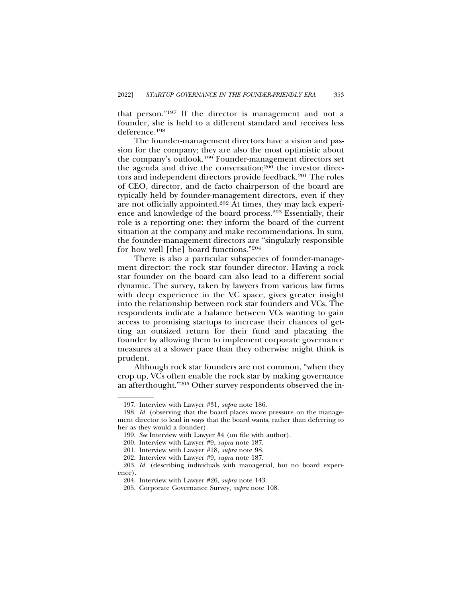that person."197 If the director is management and not a founder, she is held to a different standard and receives less deference.198

The founder-management directors have a vision and passion for the company; they are also the most optimistic about the company's outlook.199 Founder-management directors set the agenda and drive the conversation;<sup>200</sup> the investor directors and independent directors provide feedback.<sup>201</sup> The roles of CEO, director, and de facto chairperson of the board are typically held by founder-management directors, even if they are not officially appointed.202 At times, they may lack experience and knowledge of the board process.203 Essentially, their role is a reporting one: they inform the board of the current situation at the company and make recommendations. In sum, the founder-management directors are "singularly responsible for how well [the] board functions."204

There is also a particular subspecies of founder-management director: the rock star founder director. Having a rock star founder on the board can also lead to a different social dynamic. The survey, taken by lawyers from various law firms with deep experience in the VC space, gives greater insight into the relationship between rock star founders and VCs. The respondents indicate a balance between VCs wanting to gain access to promising startups to increase their chances of getting an outsized return for their fund and placating the founder by allowing them to implement corporate governance measures at a slower pace than they otherwise might think is prudent.

Although rock star founders are not common, "when they crop up, VCs often enable the rock star by making governance an afterthought."205 Other survey respondents observed the in-

<sup>197.</sup> Interview with Lawyer #31, *supra* note 186.

<sup>198.</sup> *Id.* (observing that the board places more pressure on the management director to lead in ways that the board wants, rather than deferring to her as they would a founder).

<sup>199.</sup> *See* Interview with Lawyer #4 (on file with author).

<sup>200.</sup> Interview with Lawyer #9, *supra* note 187.

<sup>201.</sup> Interview with Lawyer #18, *supra* note 98.

<sup>202.</sup> Interview with Lawyer #9, *supra* note 187.

<sup>203.</sup> *Id.* (describing individuals with managerial, but no board experience).

<sup>204.</sup> Interview with Lawyer #26, *supra* note 143.

<sup>205.</sup> Corporate Governance Survey, *supra* note 108.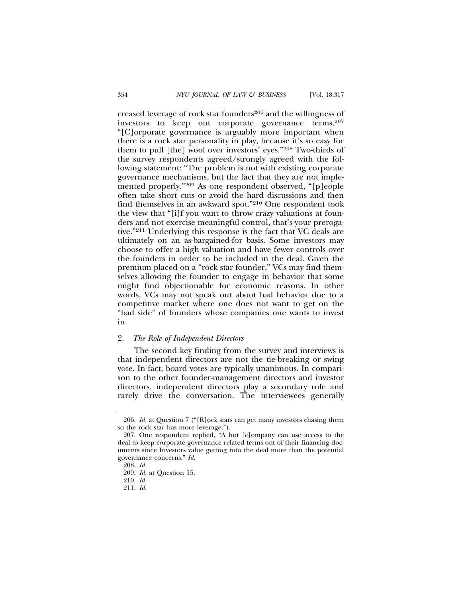creased leverage of rock star founders<sup>206</sup> and the willingness of investors to keep out corporate governance terms.207 "[C]orporate governance is arguably more important when there is a rock star personality in play, because it's so easy for them to pull [the] wool over investors' eyes."208 Two-thirds of the survey respondents agreed/strongly agreed with the following statement: "The problem is not with existing corporate governance mechanisms, but the fact that they are not implemented properly."209 As one respondent observed, "[p]eople often take short cuts or avoid the hard discussions and then find themselves in an awkward spot."210 One respondent took the view that "[i]f you want to throw crazy valuations at founders and not exercise meaningful control, that's your prerogative."211 Underlying this response is the fact that VC deals are ultimately on an as-bargained-for basis. Some investors may choose to offer a high valuation and have fewer controls over the founders in order to be included in the deal. Given the premium placed on a "rock star founder," VCs may find themselves allowing the founder to engage in behavior that some might find objectionable for economic reasons. In other words, VCs may not speak out about bad behavior due to a competitive market where one does not want to get on the "bad side" of founders whose companies one wants to invest in.

# 2. *The Role of Independent Directors*

The second key finding from the survey and interviews is that independent directors are not the tie-breaking or swing vote. In fact, board votes are typically unanimous. In comparison to the other founder-management directors and investor directors, independent directors play a secondary role and rarely drive the conversation. The interviewees generally

<sup>206.</sup> *Id.* at Question 7 ("[R]ock stars can get many investors chasing them so the rock star has more leverage.").

<sup>207.</sup> One respondent replied, "A hot [c]ompany can use access to the deal to keep corporate governance related terms out of their financing documents since Investors value getting into the deal more than the potential governance concerns." *Id.*

<sup>208.</sup> *Id.*

<sup>209.</sup> *Id.* at Question 15.

<sup>210.</sup> *Id.*

<sup>211.</sup> *Id.*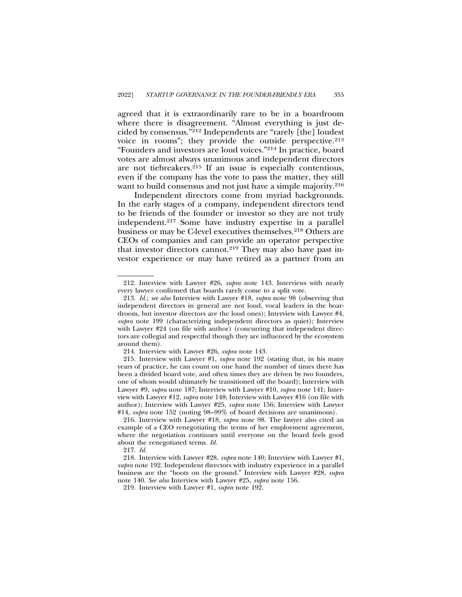agreed that it is extraordinarily rare to be in a boardroom where there is disagreement. "Almost everything is just decided by consensus."212 Independents are "rarely [the] loudest voice in rooms"; they provide the outside perspective.213 "Founders and investors are loud voices."214 In practice, board votes are almost always unanimous and independent directors are not tiebreakers.215 If an issue is especially contentious, even if the company has the vote to pass the matter, they still want to build consensus and not just have a simple majority.<sup>216</sup>

Independent directors come from myriad backgrounds. In the early stages of a company, independent directors tend to be friends of the founder or investor so they are not truly independent.217 Some have industry expertise in a parallel business or may be C-level executives themselves.218 Others are CEOs of companies and can provide an operator perspective that investor directors cannot.<sup>219</sup> They may also have past investor experience or may have retired as a partner from an

<sup>212.</sup> Interview with Lawyer #26, *supra* note 143. Interviews with nearly every lawyer confirmed that boards rarely come to a split vote.

<sup>213.</sup> *Id.*; *see also* Interview with Lawyer #18, *supra* note 98 (observing that independent directors in general are not loud, vocal leaders in the boardroom, but investor directors are the loud ones); Interview with Lawyer #4, *supra* note 199 (characterizing independent directors as quiet); Interview with Lawyer #24 (on file with author) (concurring that independent directors are collegial and respectful though they are influenced by the ecosystem around them).

<sup>214.</sup> Interview with Lawyer #26, *supra* note 143.

<sup>215.</sup> Interview with Lawyer #1, *supra* note 192 (stating that, in his many years of practice, he can count on one hand the number of times there has been a divided board vote, and often times they are driven by two founders, one of whom would ultimately be transitioned off the board); Interview with Lawyer #9, *supra* note 187; Interview with Lawyer #10, *supra* note 141; Interview with Lawyer #12, *supra* note 148; Interview with Lawyer #16 (on file with author); Interview with Lawyer #25, *supra* note 156; Interview with Lawyer #14, *supra* note 152 (noting 98–99% of board decisions are unanimous).

<sup>216.</sup> Interview with Lawyer #18, *supra* note 98. The lawyer also cited an example of a CEO renegotiating the terms of her employment agreement, where the negotiation continues until everyone on the board feels good about the renegotiated terms. *Id.*

<sup>217.</sup> *Id.*

<sup>218.</sup> Interview with Lawyer #28, *supra* note 140; Interview with Lawyer #1, *supra* note 192. Independent directors with industry experience in a parallel business are the "boots on the ground." Interview with Lawyer #28, *supra* note 140. *See also* Interview with Lawyer #25, *supra* note 156.

<sup>219.</sup> Interview with Lawyer #1, *supra* note 192.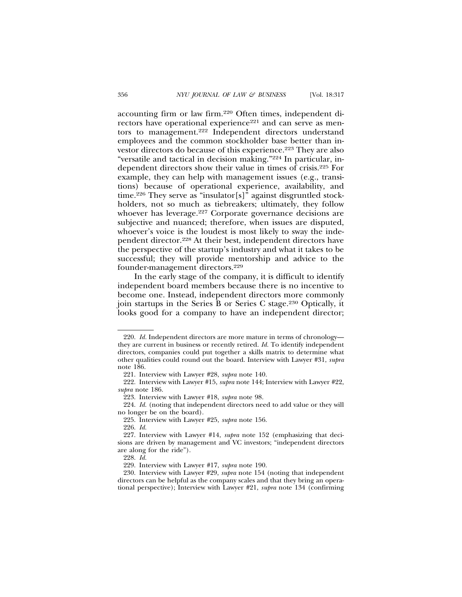accounting firm or law firm.220 Often times, independent directors have operational experience<sup>221</sup> and can serve as mentors to management.222 Independent directors understand employees and the common stockholder base better than investor directors do because of this experience.<sup>223</sup> They are also "versatile and tactical in decision making."224 In particular, independent directors show their value in times of crisis.225 For example, they can help with management issues (e.g., transitions) because of operational experience, availability, and time.<sup>226</sup> They serve as "insulator[s]" against disgruntled stockholders, not so much as tiebreakers; ultimately, they follow whoever has leverage.<sup>227</sup> Corporate governance decisions are subjective and nuanced; therefore, when issues are disputed, whoever's voice is the loudest is most likely to sway the independent director.228 At their best, independent directors have the perspective of the startup's industry and what it takes to be successful; they will provide mentorship and advice to the founder-management directors.229

In the early stage of the company, it is difficult to identify independent board members because there is no incentive to become one. Instead, independent directors more commonly join startups in the Series B or Series C stage.230 Optically, it looks good for a company to have an independent director;

226. *Id.*

<sup>220.</sup> *Id.* Independent directors are more mature in terms of chronology they are current in business or recently retired. *Id.* To identify independent directors, companies could put together a skills matrix to determine what other qualities could round out the board. Interview with Lawyer #31, *supra* note 186.

<sup>221.</sup> Interview with Lawyer #28, *supra* note 140.

<sup>222.</sup> Interview with Lawyer #15, *supra* note 144; Interview with Lawyer #22, *supra* note 186.

<sup>223.</sup> Interview with Lawyer #18, *supra* note 98.

<sup>224.</sup> *Id.* (noting that independent directors need to add value or they will no longer be on the board).

<sup>225.</sup> Interview with Lawyer #25, *supra* note 156.

<sup>227.</sup> Interview with Lawyer #14, *supra* note 152 (emphasizing that decisions are driven by management and VC investors; "independent directors are along for the ride").

<sup>228.</sup> *Id.*

<sup>229.</sup> Interview with Lawyer #17, *supra* note 190.

<sup>230.</sup> Interview with Lawyer #29, *supra* note 154 (noting that independent directors can be helpful as the company scales and that they bring an operational perspective); Interview with Lawyer #21, *supra* note 134 (confirming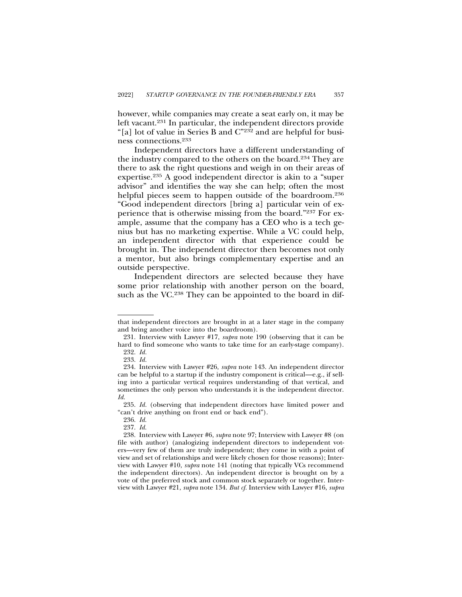however, while companies may create a seat early on, it may be left vacant.231 In particular, the independent directors provide "[a] lot of value in Series B and C"232 and are helpful for business connections.233

Independent directors have a different understanding of the industry compared to the others on the board.234 They are there to ask the right questions and weigh in on their areas of expertise.235 A good independent director is akin to a "super advisor" and identifies the way she can help; often the most helpful pieces seem to happen outside of the boardroom.<sup>236</sup> "Good independent directors [bring a] particular vein of experience that is otherwise missing from the board."237 For example, assume that the company has a CEO who is a tech genius but has no marketing expertise. While a VC could help, an independent director with that experience could be brought in. The independent director then becomes not only a mentor, but also brings complementary expertise and an outside perspective.

Independent directors are selected because they have some prior relationship with another person on the board, such as the VC.<sup>238</sup> They can be appointed to the board in dif-

that independent directors are brought in at a later stage in the company and bring another voice into the boardroom).

<sup>231.</sup> Interview with Lawyer #17, *supra* note 190 (observing that it can be hard to find someone who wants to take time for an early-stage company). 232. *Id.*

<sup>233.</sup> *Id.*

<sup>234.</sup> Interview with Lawyer #26, *supra* note 143. An independent director can be helpful to a startup if the industry component is critical—e.g., if selling into a particular vertical requires understanding of that vertical, and sometimes the only person who understands it is the independent director. *Id.*

<sup>235.</sup> *Id.* (observing that independent directors have limited power and "can't drive anything on front end or back end").

<sup>236.</sup> *Id.*

<sup>237.</sup> *Id.*

<sup>238.</sup> Interview with Lawyer #6, *supra* note 97; Interview with Lawyer #8 (on file with author) (analogizing independent directors to independent voters—very few of them are truly independent; they come in with a point of view and set of relationships and were likely chosen for those reasons); Interview with Lawyer #10, *supra* note 141 (noting that typically VCs recommend the independent directors). An independent director is brought on by a vote of the preferred stock and common stock separately or together. Interview with Lawyer #21, *supra* note 134. *But cf.* Interview with Lawyer #16, *supra*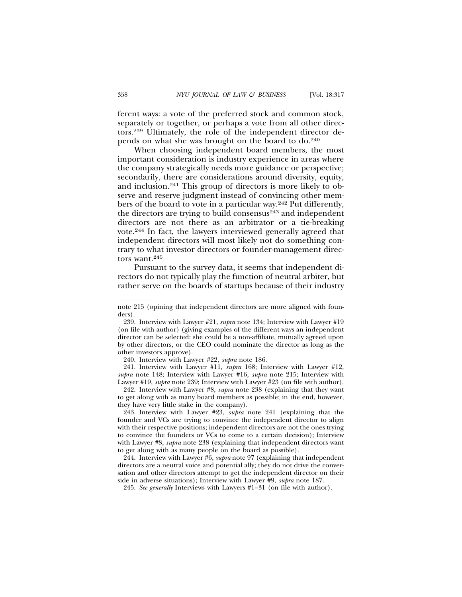ferent ways: a vote of the preferred stock and common stock, separately or together, or perhaps a vote from all other directors.239 Ultimately, the role of the independent director depends on what she was brought on the board to do.240

When choosing independent board members, the most important consideration is industry experience in areas where the company strategically needs more guidance or perspective; secondarily, there are considerations around diversity, equity, and inclusion.241 This group of directors is more likely to observe and reserve judgment instead of convincing other members of the board to vote in a particular way.242 Put differently, the directors are trying to build consensus<sup>243</sup> and independent directors are not there as an arbitrator or a tie-breaking vote.244 In fact, the lawyers interviewed generally agreed that independent directors will most likely not do something contrary to what investor directors or founder-management directors want.245

Pursuant to the survey data, it seems that independent directors do not typically play the function of neutral arbiter, but rather serve on the boards of startups because of their industry

240. Interview with Lawyer #22, *supra* note 186.

241. Interview with Lawyer #11, *supra* 168; Interview with Lawyer #12, *supra* note 148; Interview with Lawyer #16, *supra* note 215; Interview with Lawyer #19, *supra* note 239; Interview with Lawyer #23 (on file with author).

242. Interview with Lawyer #8, *supra* note 238 (explaining that they want to get along with as many board members as possible; in the end, however, they have very little stake in the company).

243. Interview with Lawyer #23, *supra* note 241 (explaining that the founder and VCs are trying to convince the independent director to align with their respective positions; independent directors are not the ones trying to convince the founders or VCs to come to a certain decision); Interview with Lawyer #8, *supra* note 238 (explaining that independent directors want to get along with as many people on the board as possible).

244. Interview with Lawyer #6, *supra* note 97 (explaining that independent directors are a neutral voice and potential ally; they do not drive the conversation and other directors attempt to get the independent director on their side in adverse situations); Interview with Lawyer #9, *supra* note 187.

245. *See generally* Interviews with Lawyers #1–31 (on file with author).

note 215 (opining that independent directors are more aligned with founders).

<sup>239.</sup> Interview with Lawyer #21, *supra* note 134; Interview with Lawyer #19 (on file with author) (giving examples of the different ways an independent director can be selected: she could be a non-affiliate, mutually agreed upon by other directors, or the CEO could nominate the director as long as the other investors approve).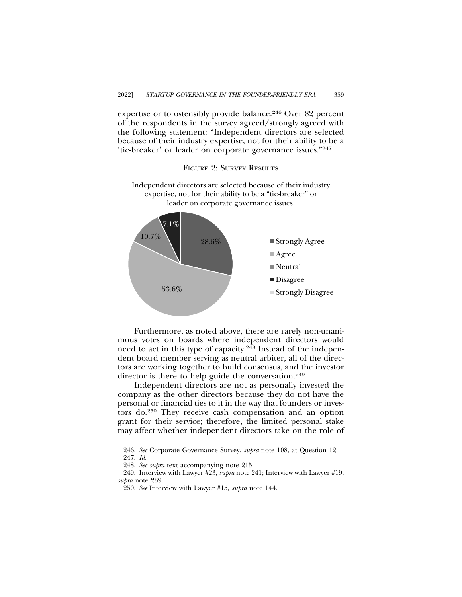expertise or to ostensibly provide balance.<sup>246</sup> Over 82 percent of the respondents in the survey agreed/strongly agreed with the following statement: "Independent directors are selected because of their industry expertise, not for their ability to be a 'tie-breaker' or leader on corporate governance issues."247

FIGURE 2: SURVEY RESULTS

Independent directors are selected because of their industry expertise, not for their ability to be a "tie-breaker" or leader on corporate governance issues.



Furthermore, as noted above, there are rarely non-unanimous votes on boards where independent directors would need to act in this type of capacity.<sup>248</sup> Instead of the independent board member serving as neutral arbiter, all of the directors are working together to build consensus, and the investor director is there to help guide the conversation.<sup>249</sup>

Independent directors are not as personally invested the company as the other directors because they do not have the personal or financial ties to it in the way that founders or investors do.250 They receive cash compensation and an option grant for their service; therefore, the limited personal stake may affect whether independent directors take on the role of

<sup>246.</sup> *See* Corporate Governance Survey, *supra* note 108, at Question 12. 247. *Id.*

<sup>248.</sup> *See supra* text accompanying note 215.

<sup>249.</sup> Interview with Lawyer #23, *supra* note 241; Interview with Lawyer #19, *supra* note 239.

<sup>250.</sup> *See* Interview with Lawyer #15, *supra* note 144.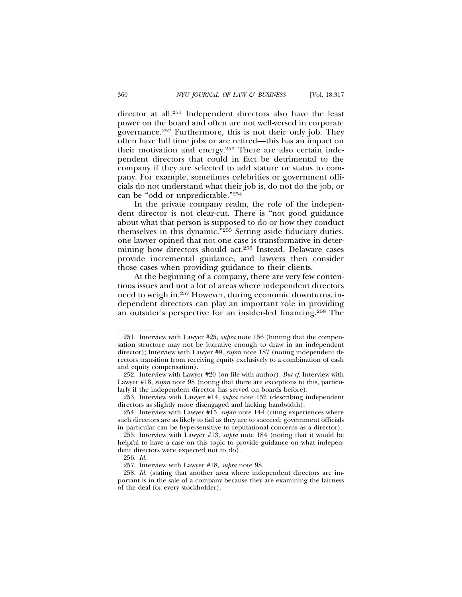director at all.251 Independent directors also have the least power on the board and often are not well-versed in corporate governance.252 Furthermore, this is not their only job. They often have full time jobs or are retired—this has an impact on their motivation and energy.253 There are also certain independent directors that could in fact be detrimental to the company if they are selected to add stature or status to company. For example, sometimes celebrities or government officials do not understand what their job is, do not do the job, or can be "odd or unpredictable."254

In the private company realm, the role of the independent director is not clear-cut. There is "not good guidance about what that person is supposed to do or how they conduct themselves in this dynamic."255 Setting aside fiduciary duties, one lawyer opined that not one case is transformative in determining how directors should act.256 Instead, Delaware cases provide incremental guidance, and lawyers then consider those cases when providing guidance to their clients.

At the beginning of a company, there are very few contentious issues and not a lot of areas where independent directors need to weigh in.257 However, during economic downturns, independent directors can play an important role in providing an outsider's perspective for an insider-led financing.258 The

<sup>251.</sup> Interview with Lawyer #25, *supra* note 156 (hinting that the compensation structure may not be lucrative enough to draw in an independent director); Interview with Lawyer #9, *supra* note 187 (noting independent directors transition from receiving equity exclusively to a combination of cash and equity compensation).

<sup>252.</sup> Interview with Lawyer #20 (on file with author)*. But cf*. Interview with Lawyer #18, *supra* note 98 (noting that there are exceptions to this, particularly if the independent director has served on boards before).

<sup>253.</sup> Interview with Lawyer #14, *supra* note 152 (describing independent directors as slightly more disengaged and lacking bandwidth).

<sup>254.</sup> Interview with Lawyer #15, *supra* note 144 (citing experiences where such directors are as likely to fail as they are to succeed; government officials in particular can be hypersensitive to reputational concerns as a director).

<sup>255.</sup> Interview with Lawyer #13, *supra* note 184 (noting that it would be helpful to have a case on this topic to provide guidance on what independent directors were expected not to do).

<sup>256.</sup> *Id.*

<sup>257.</sup> Interview with Lawyer #18, *supra* note 98.

<sup>258.</sup> *Id.* (stating that another area where independent directors are important is in the sale of a company because they are examining the fairness of the deal for every stockholder).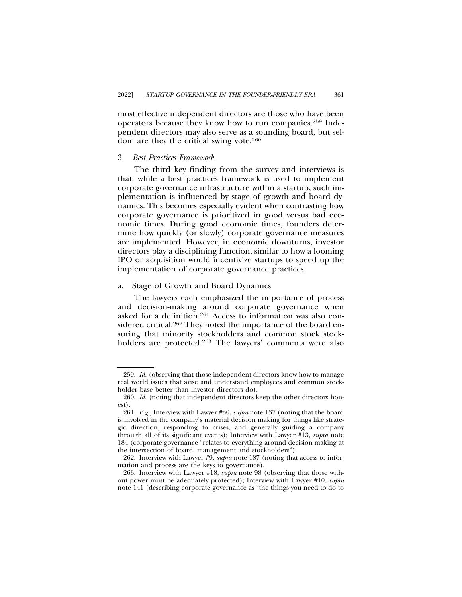most effective independent directors are those who have been operators because they know how to run companies.259 Independent directors may also serve as a sounding board, but seldom are they the critical swing vote.260

# 3. *Best Practices Framework*

The third key finding from the survey and interviews is that, while a best practices framework is used to implement corporate governance infrastructure within a startup, such implementation is influenced by stage of growth and board dynamics. This becomes especially evident when contrasting how corporate governance is prioritized in good versus bad economic times. During good economic times, founders determine how quickly (or slowly) corporate governance measures are implemented. However, in economic downturns, investor directors play a disciplining function, similar to how a looming IPO or acquisition would incentivize startups to speed up the implementation of corporate governance practices.

# a. Stage of Growth and Board Dynamics

The lawyers each emphasized the importance of process and decision-making around corporate governance when asked for a definition.261 Access to information was also considered critical.<sup>262</sup> They noted the importance of the board ensuring that minority stockholders and common stock stockholders are protected.<sup>263</sup> The lawyers' comments were also

<sup>259.</sup> *Id.* (observing that those independent directors know how to manage real world issues that arise and understand employees and common stockholder base better than investor directors do).

<sup>260.</sup> *Id.* (noting that independent directors keep the other directors honest).

<sup>261.</sup> *E.g.*, Interview with Lawyer #30, *supra* note 137 (noting that the board is involved in the company's material decision making for things like strategic direction, responding to crises, and generally guiding a company through all of its significant events); Interview with Lawyer #13, *supra* note 184 (corporate governance "relates to everything around decision making at the intersection of board, management and stockholders").

<sup>262.</sup> Interview with Lawyer #9, *supra* note 187 (noting that access to information and process are the keys to governance).

<sup>263.</sup> Interview with Lawyer #18, *supra* note 98 (observing that those without power must be adequately protected); Interview with Lawyer #10, *supra* note 141 (describing corporate governance as "the things you need to do to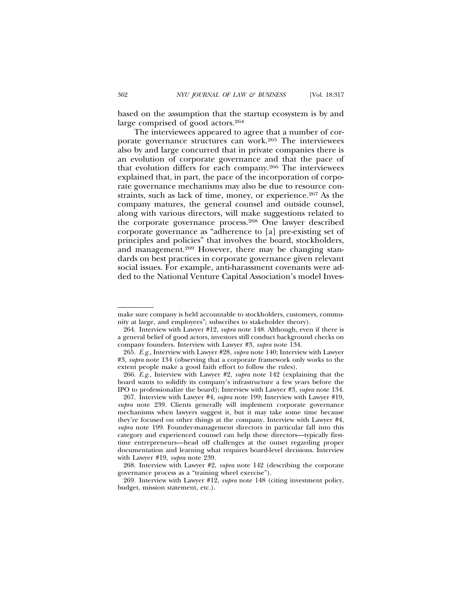based on the assumption that the startup ecosystem is by and large comprised of good actors.264

The interviewees appeared to agree that a number of corporate governance structures can work.265 The interviewees also by and large concurred that in private companies there is an evolution of corporate governance and that the pace of that evolution differs for each company.266 The interviewees explained that, in part, the pace of the incorporation of corporate governance mechanisms may also be due to resource constraints, such as lack of time, money, or experience.<sup>267</sup> As the company matures, the general counsel and outside counsel, along with various directors, will make suggestions related to the corporate governance process.268 One lawyer described corporate governance as "adherence to [a] pre-existing set of principles and policies" that involves the board, stockholders, and management.269 However, there may be changing standards on best practices in corporate governance given relevant social issues. For example, anti-harassment covenants were added to the National Venture Capital Association's model Inves-

make sure company is held accountable to stockholders, customers, community at large, and employees"; subscribes to stakeholder theory).

<sup>264.</sup> Interview with Lawyer #12, *supra* note 148. Although, even if there is a general belief of good actors, investors still conduct background checks on company founders. Interview with Lawyer #3, *supra* note 134.

<sup>265.</sup> *E.g.*, Interview with Lawyer #28, *supra* note 140; Interview with Lawyer #3, *supra* note 134 (observing that a corporate framework only works to the extent people make a good faith effort to follow the rules).

<sup>266.</sup> *E.g.*, Interview with Lawyer #2, *supra* note 142 (explaining that the board wants to solidify its company's infrastructure a few years before the IPO to professionalize the board); Interview with Lawyer #3, *supra* note 134.

<sup>267.</sup> Interview with Lawyer #4, *supra* note 199; Interview with Lawyer #19, *supra* note 239. Clients generally will implement corporate governance mechanisms when lawyers suggest it, but it may take some time because they're focused on other things at the company. Interview with Lawyer #4, *supra* note 199. Founder-management directors in particular fall into this category and experienced counsel can help these directors—typically firsttime entrepreneurs—head off challenges at the outset regarding proper documentation and learning what requires board-level decisions. Interview with Lawyer #19, *supra* note 239.

<sup>268.</sup> Interview with Lawyer #2, *supra* note 142 (describing the corporate governance process as a "training wheel exercise").

<sup>269.</sup> Interview with Lawyer #12, *supra* note 148 (citing investment policy, budget, mission statement, etc.).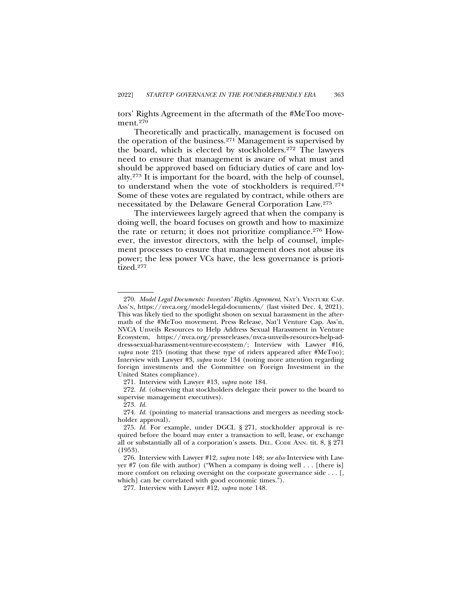tors' Rights Agreement in the aftermath of the #MeToo movement.<sup>270</sup>

Theoretically and practically, management is focused on the operation of the business.271 Management is supervised by the board, which is elected by stockholders.272 The lawyers need to ensure that management is aware of what must and should be approved based on fiduciary duties of care and loyalty.273 It is important for the board, with the help of counsel, to understand when the vote of stockholders is required.274 Some of these votes are regulated by contract, while others are necessitated by the Delaware General Corporation Law.275

The interviewees largely agreed that when the company is doing well, the board focuses on growth and how to maximize the rate or return; it does not prioritize compliance.<sup>276</sup> However, the investor directors, with the help of counsel, implement processes to ensure that management does not abuse its power; the less power VCs have, the less governance is prioritized.277

<sup>270.</sup> *Model Legal Documents: Investors' Rights Agreement*, NAT'L VENTURE CAP. ASS'N, https://nvca.org/model-legal-documents/ (last visited Dec. 4, 2021). This was likely tied to the spotlight shown on sexual harassment in the aftermath of the #MeToo movement. Press Release, Nat'l Venture Cap. Ass'n, NVCA Unveils Resources to Help Address Sexual Harassment in Venture Ecosystem, https://nvca.org/pressreleases/nvca-unveils-resources-help-address-sexual-harassment-venture-ecosystem/; Interview with Lawyer #16, *supra* note 215 (noting that these type of riders appeared after #MeToo); Interview with Lawyer #3, *supra* note 134 (noting more attention regarding foreign investments and the Committee on Foreign Investment in the United States compliance).

<sup>271.</sup> Interview with Lawyer #13, *supra* note 184.

<sup>272.</sup> *Id.* (observing that stockholders delegate their power to the board to supervise management executives).

<sup>273.</sup> *Id.*

<sup>274.</sup> *Id.* (pointing to material transactions and mergers as needing stockholder approval).

<sup>275.</sup> *Id.* For example, under DGCL § 271, stockholder approval is required before the board may enter a transaction to sell, lease, or exchange all or substantially all of a corporation's assets. DEL. CODE ANN. tit. 8, § 271 (1953).

<sup>276.</sup> Interview with Lawyer #12, *supra* note 148; *see also* Interview with Lawyer #7 (on file with author) ("When a company is doing well . . . [there is] more comfort on relaxing oversight on the corporate governance side . . . [, which] can be correlated with good economic times.").

<sup>277.</sup> Interview with Lawyer #12, *supra* note 148.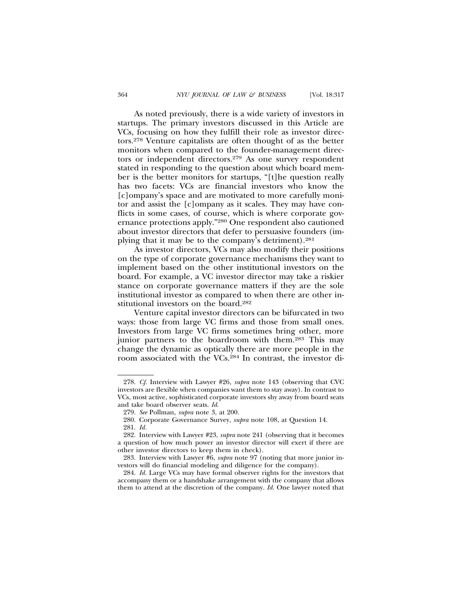As noted previously, there is a wide variety of investors in startups. The primary investors discussed in this Article are VCs, focusing on how they fulfill their role as investor directors.278 Venture capitalists are often thought of as the better monitors when compared to the founder-management directors or independent directors.279 As one survey respondent stated in responding to the question about which board member is the better monitors for startups, "[t]he question really has two facets: VCs are financial investors who know the [c]ompany's space and are motivated to more carefully monitor and assist the [c]ompany as it scales. They may have conflicts in some cases, of course, which is where corporate governance protections apply."280 One respondent also cautioned about investor directors that defer to persuasive founders (implying that it may be to the company's detriment).281

As investor directors, VCs may also modify their positions on the type of corporate governance mechanisms they want to implement based on the other institutional investors on the board. For example, a VC investor director may take a riskier stance on corporate governance matters if they are the sole institutional investor as compared to when there are other institutional investors on the board.282

Venture capital investor directors can be bifurcated in two ways: those from large VC firms and those from small ones. Investors from large VC firms sometimes bring other, more junior partners to the boardroom with them.283 This may change the dynamic as optically there are more people in the room associated with the VCs.284 In contrast, the investor di-

<sup>278.</sup> *Cf.* Interview with Lawyer #26, *supra* note 143 (observing that CVC investors are flexible when companies want them to stay away). In contrast to VCs, most active, sophisticated corporate investors shy away from board seats and take board observer seats. *Id.*

<sup>279.</sup> *See* Pollman, *supra* note 3, at 200.

<sup>280.</sup> Corporate Governance Survey, *supra* note 108, at Question 14.

<sup>281.</sup> *Id.*

<sup>282.</sup> Interview with Lawyer #23, *supra* note 241 (observing that it becomes a question of how much power an investor director will exert if there are other investor directors to keep them in check).

<sup>283.</sup> Interview with Lawyer #6, *supra* note 97 (noting that more junior investors will do financial modeling and diligence for the company).

<sup>284.</sup> *Id.* Large VCs may have formal observer rights for the investors that accompany them or a handshake arrangement with the company that allows them to attend at the discretion of the company. *Id.* One lawyer noted that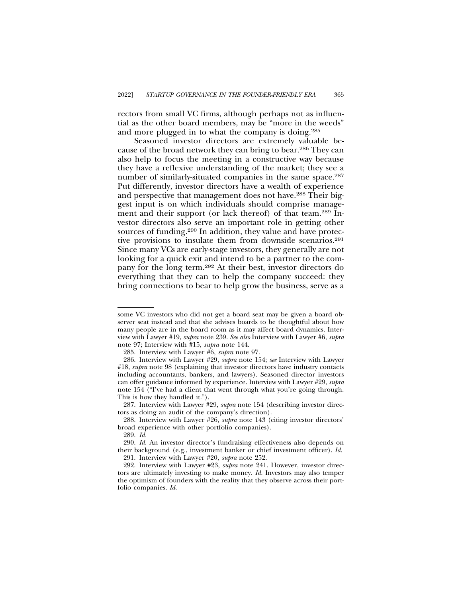rectors from small VC firms, although perhaps not as influential as the other board members, may be "more in the weeds" and more plugged in to what the company is doing.285

Seasoned investor directors are extremely valuable because of the broad network they can bring to bear.286 They can also help to focus the meeting in a constructive way because they have a reflexive understanding of the market; they see a number of similarly-situated companies in the same space.<sup>287</sup> Put differently, investor directors have a wealth of experience and perspective that management does not have.<sup>288</sup> Their biggest input is on which individuals should comprise management and their support (or lack thereof) of that team.289 Investor directors also serve an important role in getting other sources of funding.<sup>290</sup> In addition, they value and have protective provisions to insulate them from downside scenarios.<sup>291</sup> Since many VCs are early-stage investors, they generally are not looking for a quick exit and intend to be a partner to the company for the long term.292 At their best, investor directors do everything that they can to help the company succeed: they bring connections to bear to help grow the business, serve as a

some VC investors who did not get a board seat may be given a board observer seat instead and that she advises boards to be thoughtful about how many people are in the board room as it may affect board dynamics. Interview with Lawyer #19, *supra* note 239. *See also* Interview with Lawyer #6, *supra* note 97; Interview with #15, *supra* note 144.

<sup>285.</sup> Interview with Lawyer #6, *supra* note 97.

<sup>286.</sup> Interview with Lawyer #29, *supra* note 154; *see* Interview with Lawyer #18, *supra* note 98 (explaining that investor directors have industry contacts including accountants, bankers, and lawyers). Seasoned director investors can offer guidance informed by experience. Interview with Lawyer #29, *supra* note 154 ("I've had a client that went through what you're going through. This is how they handled it.").

<sup>287.</sup> Interview with Lawyer #29, *supra* note 154 (describing investor directors as doing an audit of the company's direction).

<sup>288.</sup> Interview with Lawyer #26, *supra* note 143 (citing investor directors' broad experience with other portfolio companies).

<sup>289.</sup> *Id.*

<sup>290.</sup> *Id.* An investor director's fundraising effectiveness also depends on their background (e.g., investment banker or chief investment officer). *Id.* 291. Interview with Lawyer #20, *supra* note 252.

<sup>292.</sup> Interview with Lawyer #23, *supra* note 241. However, investor directors are ultimately investing to make money. *Id.* Investors may also temper the optimism of founders with the reality that they observe across their portfolio companies. *Id.*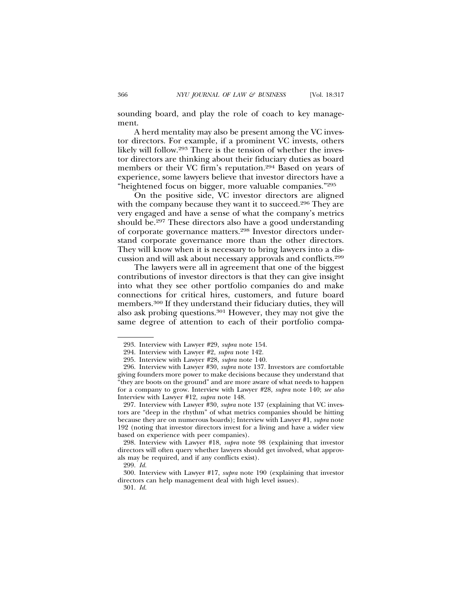sounding board, and play the role of coach to key management.

A herd mentality may also be present among the VC investor directors. For example, if a prominent VC invests, others likely will follow.293 There is the tension of whether the investor directors are thinking about their fiduciary duties as board members or their VC firm's reputation.294 Based on years of experience, some lawyers believe that investor directors have a "heightened focus on bigger, more valuable companies."295

On the positive side, VC investor directors are aligned with the company because they want it to succeed.<sup>296</sup> They are very engaged and have a sense of what the company's metrics should be.<sup>297</sup> These directors also have a good understanding of corporate governance matters.298 Investor directors understand corporate governance more than the other directors. They will know when it is necessary to bring lawyers into a discussion and will ask about necessary approvals and conflicts.299

The lawyers were all in agreement that one of the biggest contributions of investor directors is that they can give insight into what they see other portfolio companies do and make connections for critical hires, customers, and future board members.300 If they understand their fiduciary duties, they will also ask probing questions.301 However, they may not give the same degree of attention to each of their portfolio compa-

<sup>293.</sup> Interview with Lawyer #29, *supra* note 154.

<sup>294.</sup> Interview with Lawyer #2, *supra* note 142.

<sup>295.</sup> Interview with Lawyer #28, *supra* note 140.

<sup>296.</sup> Interview with Lawyer #30, *supra* note 137. Investors are comfortable giving founders more power to make decisions because they understand that "they are boots on the ground" and are more aware of what needs to happen for a company to grow. Interview with Lawyer #28, *supra* note 140; *see also* Interview with Lawyer #12, *supra* note 148.

<sup>297.</sup> Interview with Lawyer #30, *supra* note 137 (explaining that VC investors are "deep in the rhythm" of what metrics companies should be hitting because they are on numerous boards); Interview with Lawyer #1, *supra* note 192 (noting that investor directors invest for a living and have a wider view based on experience with peer companies).

<sup>298.</sup> Interview with Lawyer #18, *supra* note 98 (explaining that investor directors will often query whether lawyers should get involved, what approvals may be required, and if any conflicts exist).

<sup>299.</sup> *Id.*

<sup>300.</sup> Interview with Lawyer #17, *supra* note 190 (explaining that investor directors can help management deal with high level issues).

<sup>301.</sup> *Id.*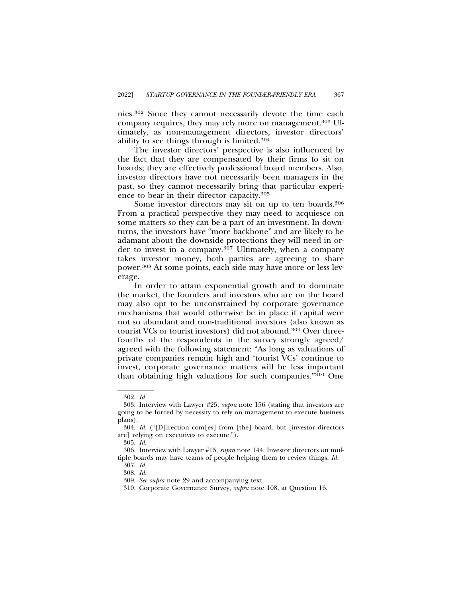nies.302 Since they cannot necessarily devote the time each company requires, they may rely more on management.303 Ultimately, as non-management directors, investor directors' ability to see things through is limited.304

The investor directors' perspective is also influenced by the fact that they are compensated by their firms to sit on boards; they are effectively professional board members. Also, investor directors have not necessarily been managers in the past, so they cannot necessarily bring that particular experience to bear in their director capacity.305

Some investor directors may sit on up to ten boards.<sup>306</sup> From a practical perspective they may need to acquiesce on some matters so they can be a part of an investment. In downturns, the investors have "more backbone" and are likely to be adamant about the downside protections they will need in order to invest in a company.<sup>307</sup> Ultimately, when a company takes investor money, both parties are agreeing to share power.308 At some points, each side may have more or less leverage.

In order to attain exponential growth and to dominate the market, the founders and investors who are on the board may also opt to be unconstrained by corporate governance mechanisms that would otherwise be in place if capital were not so abundant and non-traditional investors (also known as tourist VCs or tourist investors) did not abound.<sup>309</sup> Over threefourths of the respondents in the survey strongly agreed/ agreed with the following statement: "As long as valuations of private companies remain high and 'tourist VCs' continue to invest, corporate governance matters will be less important than obtaining high valuations for such companies."310 One

<sup>302.</sup> *Id.*

<sup>303.</sup> Interview with Lawyer #25, *supra* note 156 (stating that investors are going to be forced by necessity to rely on management to execute business plans).

<sup>304.</sup> *Id.* ("[D]irection com[es] from [the] board, but [investor directors are] relying on executives to execute.").

<sup>305.</sup> *Id.*

<sup>306.</sup> Interview with Lawyer #15, *supra* note 144. Investor directors on multiple boards may have teams of people helping them to review things. *Id.*

<sup>307.</sup> *Id.*

<sup>308.</sup> *Id.*

<sup>309.</sup> *See supra* note 29 and accompanying text.

<sup>310.</sup> Corporate Governance Survey, *supra* note 108, at Question 16.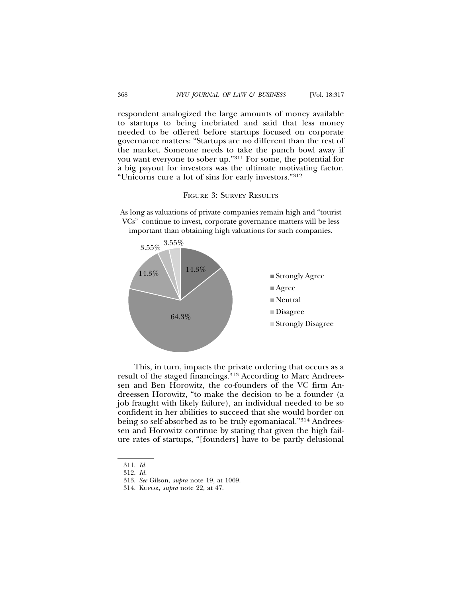respondent analogized the large amounts of money available to startups to being inebriated and said that less money needed to be offered before startups focused on corporate governance matters: "Startups are no different than the rest of the market. Someone needs to take the punch bowl away if you want everyone to sober up."311 For some, the potential for a big payout for investors was the ultimate motivating factor. "Unicorns cure a lot of sins for early investors."312



As long as valuations of private companies remain high and "tourist VCs" continue to invest, corporate governance matters will be less important than obtaining high valuations for such companies.



This, in turn, impacts the private ordering that occurs as a result of the staged financings.313 According to Marc Andreessen and Ben Horowitz, the co-founders of the VC firm Andreessen Horowitz, "to make the decision to be a founder (a job fraught with likely failure), an individual needed to be so confident in her abilities to succeed that she would border on being so self-absorbed as to be truly egomaniacal."314 Andreessen and Horowitz continue by stating that given the high failure rates of startups, "[founders] have to be partly delusional

<sup>311.</sup> *Id.*

<sup>312.</sup> *Id.*

<sup>313.</sup> *See* Gilson, *supra* note 19, at 1069.

<sup>314.</sup> KUPOR, *supra* note 22, at 47.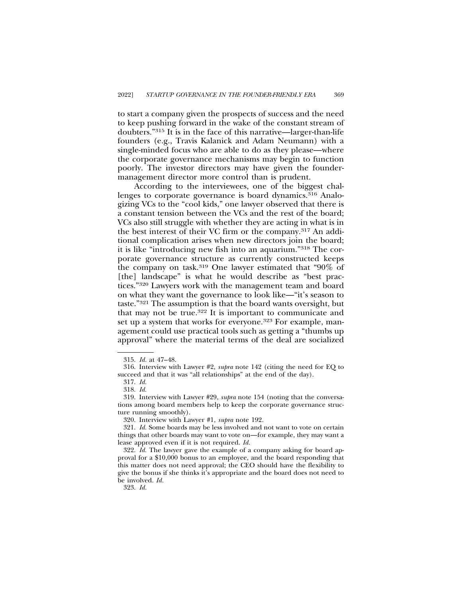to start a company given the prospects of success and the need to keep pushing forward in the wake of the constant stream of doubters."315 It is in the face of this narrative—larger-than-life founders (e.g., Travis Kalanick and Adam Neumann) with a single-minded focus who are able to do as they please—where the corporate governance mechanisms may begin to function poorly. The investor directors may have given the foundermanagement director more control than is prudent.

According to the interviewees, one of the biggest challenges to corporate governance is board dynamics.<sup>316</sup> Analogizing VCs to the "cool kids," one lawyer observed that there is a constant tension between the VCs and the rest of the board; VCs also still struggle with whether they are acting in what is in the best interest of their VC firm or the company.317 An additional complication arises when new directors join the board; it is like "introducing new fish into an aquarium."318 The corporate governance structure as currently constructed keeps the company on task.319 One lawyer estimated that "90% of [the] landscape" is what he would describe as "best practices."320 Lawyers work with the management team and board on what they want the governance to look like—"it's season to taste."321 The assumption is that the board wants oversight, but that may not be true.<sup>322</sup> It is important to communicate and set up a system that works for everyone.<sup>323</sup> For example, management could use practical tools such as getting a "thumbs up approval" where the material terms of the deal are socialized

<sup>315.</sup> *Id.* at 47–48.

<sup>316.</sup> Interview with Lawyer #2, *supra* note 142 (citing the need for EQ to succeed and that it was "all relationships" at the end of the day).

<sup>317.</sup> *Id.*

<sup>318.</sup> *Id.*

<sup>319.</sup> Interview with Lawyer #29, *supra* note 154 (noting that the conversations among board members help to keep the corporate governance structure running smoothly).

<sup>320.</sup> Interview with Lawyer #1, *supra* note 192.

<sup>321.</sup> *Id.* Some boards may be less involved and not want to vote on certain things that other boards may want to vote on—for example, they may want a lease approved even if it is not required. *Id.*

<sup>322.</sup> *Id.* The lawyer gave the example of a company asking for board approval for a \$10,000 bonus to an employee, and the board responding that this matter does not need approval; the CEO should have the flexibility to give the bonus if she thinks it's appropriate and the board does not need to be involved. *Id.*

<sup>323.</sup> *Id.*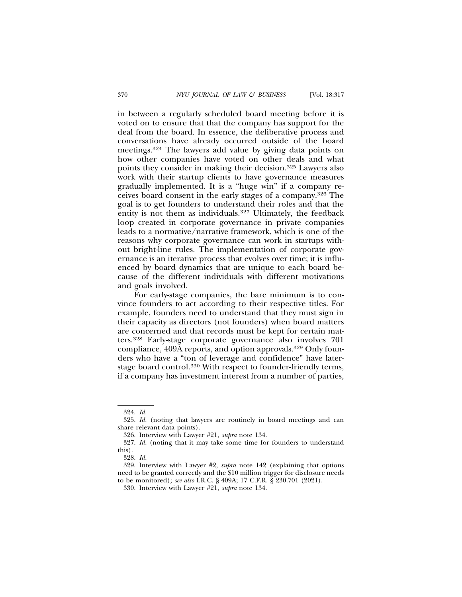in between a regularly scheduled board meeting before it is voted on to ensure that that the company has support for the deal from the board. In essence, the deliberative process and conversations have already occurred outside of the board meetings.324 The lawyers add value by giving data points on how other companies have voted on other deals and what points they consider in making their decision.325 Lawyers also work with their startup clients to have governance measures gradually implemented. It is a "huge win" if a company receives board consent in the early stages of a company.326 The goal is to get founders to understand their roles and that the entity is not them as individuals.327 Ultimately, the feedback loop created in corporate governance in private companies leads to a normative/narrative framework, which is one of the reasons why corporate governance can work in startups without bright-line rules. The implementation of corporate governance is an iterative process that evolves over time; it is influenced by board dynamics that are unique to each board because of the different individuals with different motivations and goals involved.

For early-stage companies, the bare minimum is to convince founders to act according to their respective titles. For example, founders need to understand that they must sign in their capacity as directors (not founders) when board matters are concerned and that records must be kept for certain matters.328 Early-stage corporate governance also involves 701 compliance, 409A reports, and option approvals.329 Only founders who have a "ton of leverage and confidence" have laterstage board control.330 With respect to founder-friendly terms, if a company has investment interest from a number of parties,

<sup>324.</sup> *Id.*

<sup>325.</sup> *Id.* (noting that lawyers are routinely in board meetings and can share relevant data points).

<sup>326.</sup> Interview with Lawyer #21, *supra* note 134.

<sup>327.</sup> *Id.* (noting that it may take some time for founders to understand this).

<sup>328.</sup> *Id.*

<sup>329.</sup> Interview with Lawyer #2, *supra* note 142 (explaining that options need to be granted correctly and the \$10 million trigger for disclosure needs to be monitored)*; see also* I.R.C. § 409A; 17 C.F.R. § 230.701 (2021).

<sup>330.</sup> Interview with Lawyer #21, *supra* note 134.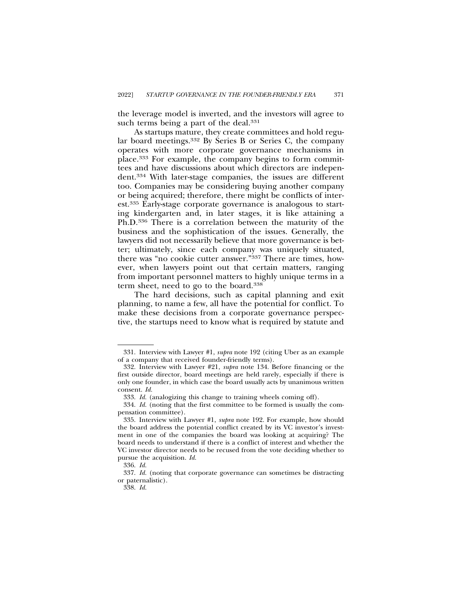the leverage model is inverted, and the investors will agree to such terms being a part of the deal.<sup>331</sup>

As startups mature, they create committees and hold regular board meetings.332 By Series B or Series C, the company operates with more corporate governance mechanisms in place.333 For example, the company begins to form committees and have discussions about which directors are independent.334 With later-stage companies, the issues are different too. Companies may be considering buying another company or being acquired; therefore, there might be conflicts of interest.335 Early-stage corporate governance is analogous to starting kindergarten and, in later stages, it is like attaining a Ph.D.336 There is a correlation between the maturity of the business and the sophistication of the issues. Generally, the lawyers did not necessarily believe that more governance is better; ultimately, since each company was uniquely situated, there was "no cookie cutter answer."337 There are times, however, when lawyers point out that certain matters, ranging from important personnel matters to highly unique terms in a term sheet, need to go to the board.338

The hard decisions, such as capital planning and exit planning, to name a few, all have the potential for conflict. To make these decisions from a corporate governance perspective, the startups need to know what is required by statute and

<sup>331.</sup> Interview with Lawyer #1, *supra* note 192 (citing Uber as an example of a company that received founder-friendly terms).

<sup>332.</sup> Interview with Lawyer #21, *supra* note 134. Before financing or the first outside director, board meetings are held rarely, especially if there is only one founder, in which case the board usually acts by unanimous written consent. *Id.*

<sup>333.</sup> *Id.* (analogizing this change to training wheels coming off).

<sup>334.</sup> *Id.* (noting that the first committee to be formed is usually the compensation committee).

<sup>335.</sup> Interview with Lawyer #1, *supra* note 192. For example, how should the board address the potential conflict created by its VC investor's investment in one of the companies the board was looking at acquiring? The board needs to understand if there is a conflict of interest and whether the VC investor director needs to be recused from the vote deciding whether to pursue the acquisition. *Id.*

<sup>336.</sup> *Id.*

<sup>337.</sup> *Id.* (noting that corporate governance can sometimes be distracting or paternalistic).

<sup>338.</sup> *Id.*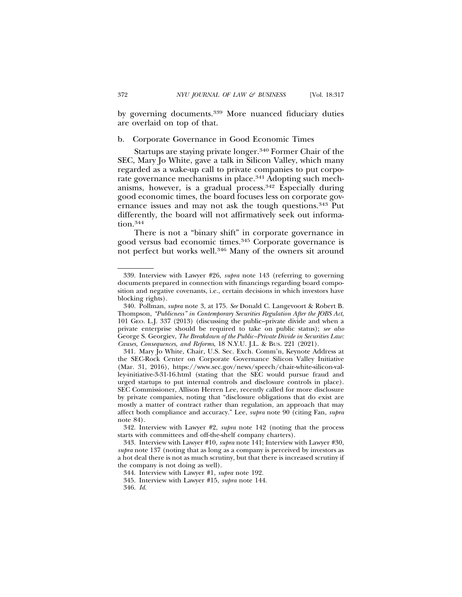by governing documents.339 More nuanced fiduciary duties are overlaid on top of that.

# b. Corporate Governance in Good Economic Times

Startups are staying private longer.340 Former Chair of the SEC, Mary Jo White, gave a talk in Silicon Valley, which many regarded as a wake-up call to private companies to put corporate governance mechanisms in place.341 Adopting such mechanisms, however, is a gradual process.342 Especially during good economic times, the board focuses less on corporate governance issues and may not ask the tough questions.343 Put differently, the board will not affirmatively seek out information.<sup>344</sup>

There is not a "binary shift" in corporate governance in good versus bad economic times.345 Corporate governance is not perfect but works well.346 Many of the owners sit around

<sup>339.</sup> Interview with Lawyer #26, *supra* note 143 (referring to governing documents prepared in connection with financings regarding board composition and negative covenants, i.e., certain decisions in which investors have blocking rights).

<sup>340.</sup> Pollman, *supra* note 3, at 175. *See* Donald C. Langevoort & Robert B. Thompson, *"Publicness" in Contemporary Securities Regulation After the JOBS Act*, 101 GEO. L.J. 337 (2013) (discussing the public–private divide and when a private enterprise should be required to take on public status); *see also* George S. Georgiev, *The Breakdown of the Public–Private Divide in Securities Law: Causes, Consequences, and Reforms*, 18 N.Y.U. J.L. & BUS. 221 (2021).

<sup>341.</sup> Mary Jo White, Chair, U.S. Sec. Exch. Comm'n, Keynote Address at the SEC-Rock Center on Corporate Governance Silicon Valley Initiative (Mar. 31, 2016), https://www.sec.gov/news/speech/chair-white-silicon-valley-initiative-3-31-16.html (stating that the SEC would pursue fraud and urged startups to put internal controls and disclosure controls in place). SEC Commissioner, Allison Herren Lee, recently called for more disclosure by private companies, noting that "disclosure obligations that do exist are mostly a matter of contract rather than regulation, an approach that may affect both compliance and accuracy." Lee, *supra* note 90 (citing Fan, *supra* note 84).

<sup>342.</sup> Interview with Lawyer #2, *supra* note 142 (noting that the process starts with committees and off-the-shelf company charters).

<sup>343.</sup> Interview with Lawyer #10, *supra* note 141; Interview with Lawyer #30, *supra* note 137 (noting that as long as a company is perceived by investors as a hot deal there is not as much scrutiny, but that there is increased scrutiny if the company is not doing as well).

<sup>344.</sup> Interview with Lawyer #1, *supra* note 192.

<sup>345.</sup> Interview with Lawyer #15, *supra* note 144.

<sup>346.</sup> *Id.*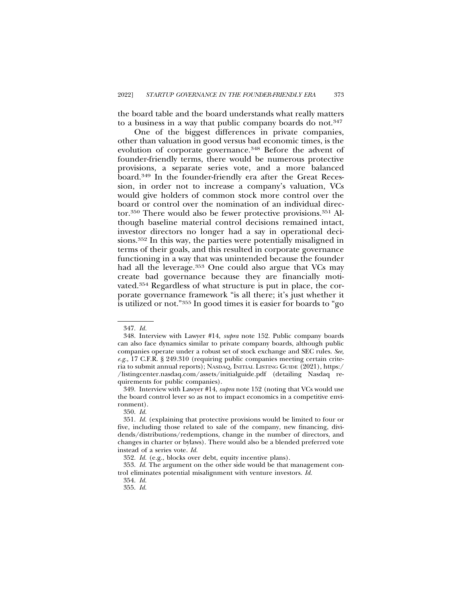the board table and the board understands what really matters to a business in a way that public company boards do not.347

One of the biggest differences in private companies, other than valuation in good versus bad economic times, is the evolution of corporate governance.348 Before the advent of founder-friendly terms, there would be numerous protective provisions, a separate series vote, and a more balanced board.349 In the founder-friendly era after the Great Recession, in order not to increase a company's valuation, VCs would give holders of common stock more control over the board or control over the nomination of an individual director.350 There would also be fewer protective provisions.351 Although baseline material control decisions remained intact, investor directors no longer had a say in operational decisions.352 In this way, the parties were potentially misaligned in terms of their goals, and this resulted in corporate governance functioning in a way that was unintended because the founder had all the leverage.<sup>353</sup> One could also argue that VCs may create bad governance because they are financially motivated.354 Regardless of what structure is put in place, the corporate governance framework "is all there; it's just whether it is utilized or not."355 In good times it is easier for boards to "go

<sup>347.</sup> *Id.*

<sup>348.</sup> Interview with Lawyer #14, *supra* note 152. Public company boards can also face dynamics similar to private company boards, although public companies operate under a robust set of stock exchange and SEC rules. *See, e.g.*, 17 C.F.R. § 249.310 (requiring public companies meeting certain criteria to submit annual reports); NASDAQ, INITIAL LISTING GUIDE (2021), https:/ /listingcenter.nasdaq.com/assets/initialguide.pdf (detailing Nasdaq requirements for public companies).

<sup>349.</sup> Interview with Lawyer #14, *supra* note 152 (noting that VCs would use the board control lever so as not to impact economics in a competitive environment).

<sup>350.</sup> *Id.*

<sup>351.</sup> *Id.* (explaining that protective provisions would be limited to four or five, including those related to sale of the company, new financing, dividends/distributions/redemptions, change in the number of directors, and changes in charter or bylaws). There would also be a blended preferred vote instead of a series vote. *Id.*

<sup>352.</sup> *Id.* (e.g., blocks over debt, equity incentive plans).

<sup>353.</sup> *Id.* The argument on the other side would be that management control eliminates potential misalignment with venture investors. *Id.*

<sup>354.</sup> *Id.*

<sup>355.</sup> *Id.*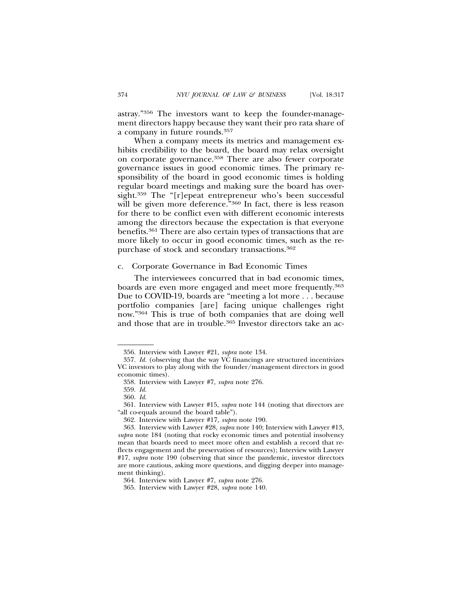astray."356 The investors want to keep the founder-management directors happy because they want their pro rata share of a company in future rounds.357

When a company meets its metrics and management exhibits credibility to the board, the board may relax oversight on corporate governance.358 There are also fewer corporate governance issues in good economic times. The primary responsibility of the board in good economic times is holding regular board meetings and making sure the board has oversight.359 The "[r]epeat entrepreneur who's been successful will be given more deference."<sup>360</sup> In fact, there is less reason for there to be conflict even with different economic interests among the directors because the expectation is that everyone benefits.361 There are also certain types of transactions that are more likely to occur in good economic times, such as the repurchase of stock and secondary transactions.362

### c. Corporate Governance in Bad Economic Times

The interviewees concurred that in bad economic times, boards are even more engaged and meet more frequently.363 Due to COVID-19, boards are "meeting a lot more . . . because portfolio companies [are] facing unique challenges right now."364 This is true of both companies that are doing well and those that are in trouble.365 Investor directors take an ac-

<sup>356.</sup> Interview with Lawyer #21, *supra* note 134.

<sup>357.</sup> *Id.* (observing that the way VC financings are structured incentivizes VC investors to play along with the founder/management directors in good economic times).

<sup>358.</sup> Interview with Lawyer #7, *supra* note 276.

<sup>359.</sup> *Id.*

<sup>360.</sup> *Id.*

<sup>361.</sup> Interview with Lawyer #15, *supra* note 144 (noting that directors are "all co-equals around the board table").

<sup>362.</sup> Interview with Lawyer #17, *supra* note 190.

<sup>363.</sup> Interview with Lawyer #28, *supra* note 140; Interview with Lawyer #13, *supra* note 184 (noting that rocky economic times and potential insolvency mean that boards need to meet more often and establish a record that reflects engagement and the preservation of resources); Interview with Lawyer #17, *supra* note 190 (observing that since the pandemic, investor directors are more cautious, asking more questions, and digging deeper into management thinking).

<sup>364.</sup> Interview with Lawyer #7, *supra* note 276.

<sup>365.</sup> Interview with Lawyer #28, *supra* note 140.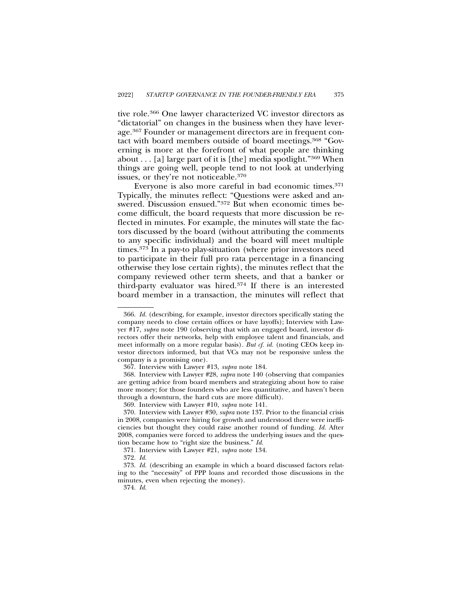tive role.366 One lawyer characterized VC investor directors as "dictatorial" on changes in the business when they have leverage.367 Founder or management directors are in frequent contact with board members outside of board meetings.368 "Governing is more at the forefront of what people are thinking about  $\ldots$  [a] large part of it is [the] media spotlight."<sup>369</sup> When things are going well, people tend to not look at underlying issues, or they're not noticeable.370

Everyone is also more careful in bad economic times.371 Typically, the minutes reflect: "Questions were asked and answered. Discussion ensued."372 But when economic times become difficult, the board requests that more discussion be reflected in minutes. For example, the minutes will state the factors discussed by the board (without attributing the comments to any specific individual) and the board will meet multiple times.373 In a pay-to play-situation (where prior investors need to participate in their full pro rata percentage in a financing otherwise they lose certain rights), the minutes reflect that the company reviewed other term sheets, and that a banker or third-party evaluator was hired.374 If there is an interested board member in a transaction, the minutes will reflect that

<sup>366.</sup> *Id.* (describing, for example, investor directors specifically stating the company needs to close certain offices or have layoffs); Interview with Lawyer #17, *supra* note 190 (observing that with an engaged board, investor directors offer their networks, help with employee talent and financials, and meet informally on a more regular basis)*. But cf. id.* (noting CEOs keep investor directors informed, but that VCs may not be responsive unless the company is a promising one).

<sup>367.</sup> Interview with Lawyer #13, *supra* note 184.

<sup>368.</sup> Interview with Lawyer #28, *supra* note 140 (observing that companies are getting advice from board members and strategizing about how to raise more money; for those founders who are less quantitative, and haven't been through a downturn, the hard cuts are more difficult).

<sup>369.</sup> Interview with Lawyer #10, *supra* note 141.

<sup>370.</sup> Interview with Lawyer #30, *supra* note 137. Prior to the financial crisis in 2008, companies were hiring for growth and understood there were inefficiencies but thought they could raise another round of funding. *Id.* After 2008, companies were forced to address the underlying issues and the question became how to "right size the business." *Id.*

<sup>371.</sup> Interview with Lawyer #21, *supra* note 134.

<sup>372.</sup> *Id.*

<sup>373.</sup> *Id.* (describing an example in which a board discussed factors relating to the "necessity" of PPP loans and recorded those discussions in the minutes, even when rejecting the money).

<sup>374.</sup> *Id.*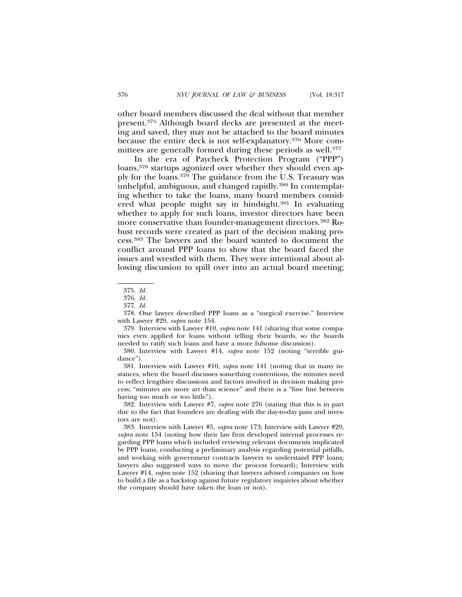other board members discussed the deal without that member present.375 Although board decks are presented at the meeting and saved, they may not be attached to the board minutes because the entire deck is not self-explanatory.376 More committees are generally formed during these periods as well.<sup>377</sup>

In the era of Paycheck Protection Program ("PPP") loans,<sup>378</sup> startups agonized over whether they should even apply for the loans.379 The guidance from the U.S. Treasury was unhelpful, ambiguous, and changed rapidly.<sup>380</sup> In contemplating whether to take the loans, many board members considered what people might say in hindsight.381 In evaluating whether to apply for such loans, investor directors have been more conservative than founder-management directors.382 Robust records were created as part of the decision making process.383 The lawyers and the board wanted to document the conflict around PPP loans to show that the board faced the issues and wrestled with them. They were intentional about allowing discussion to spill over into an actual board meeting;

379. Interview with Lawyer #10, *supra* note 141 (sharing that some companies even applied for loans without telling their boards, so the boards needed to ratify such loans and have a more fulsome discussion).

381. Interview with Lawyer #10, *supra* note 141 (noting that in many instances, when the board discusses something contentious, the minutes need to reflect lengthier discussions and factors involved in decision making process; "minutes are more art than science" and there is a "fine line between having too much or too little").

382. Interview with Lawyer #7, *supra* note 276 (stating that this is in part due to the fact that founders are dealing with the day-to-day pain and investors are not).

383. Interview with Lawyer #5, *supra* note 173; Interview with Lawyer #29, *supra* note 154 (noting how their law firm developed internal processes regarding PPP loans which included reviewing relevant documents implicated by PPP loans, conducting a preliminary analysis regarding potential pitfalls, and working with government contracts lawyers to understand PPP loans; lawyers also suggested ways to move the process forward); Interview with Lawyer #14, *supra* note 152 (sharing that lawyers advised companies on how to build a file as a backstop against future regulatory inquiries about whether the company should have taken the loan or not).

<sup>375.</sup> *Id.*

<sup>376.</sup> *Id.*

<sup>377.</sup> *Id.*

<sup>378.</sup> One lawyer described PPP loans as a "surgical exercise." Interview with Lawyer #29, *supra* note 154.

<sup>380.</sup> Interview with Lawyer #14, *supra* note 152 (noting "terrible guidance").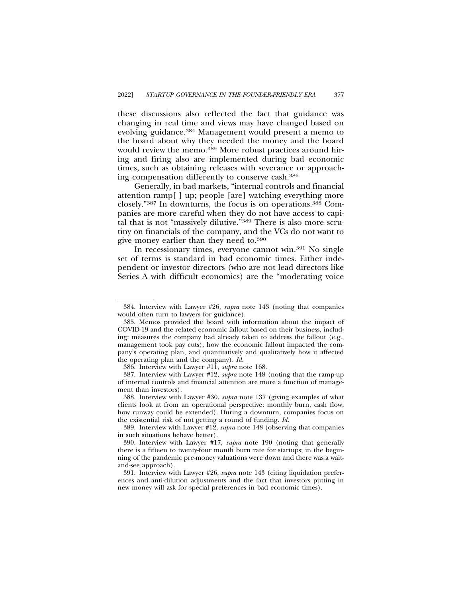these discussions also reflected the fact that guidance was changing in real time and views may have changed based on evolving guidance.384 Management would present a memo to the board about why they needed the money and the board would review the memo.<sup>385</sup> More robust practices around hiring and firing also are implemented during bad economic times, such as obtaining releases with severance or approaching compensation differently to conserve cash.386

Generally, in bad markets, "internal controls and financial attention ramp[ ] up; people [are] watching everything more closely."387 In downturns, the focus is on operations.388 Companies are more careful when they do not have access to capital that is not "massively dilutive."389 There is also more scrutiny on financials of the company, and the VCs do not want to give money earlier than they need to.390

In recessionary times, everyone cannot win.391 No single set of terms is standard in bad economic times. Either independent or investor directors (who are not lead directors like Series A with difficult economics) are the "moderating voice

<sup>384.</sup> Interview with Lawyer #26*, supra* note 143 (noting that companies would often turn to lawyers for guidance).

<sup>385.</sup> Memos provided the board with information about the impact of COVID-19 and the related economic fallout based on their business, including: measures the company had already taken to address the fallout (e.g., management took pay cuts), how the economic fallout impacted the company's operating plan, and quantitatively and qualitatively how it affected the operating plan and the company). *Id.*

<sup>386.</sup> Interview with Lawyer #11, *supra* note 168.

<sup>387.</sup> Interview with Lawyer #12, *supra* note 148 (noting that the ramp-up of internal controls and financial attention are more a function of management than investors).

<sup>388.</sup> Interview with Lawyer #30, *supra* note 137 (giving examples of what clients look at from an operational perspective: monthly burn, cash flow, how runway could be extended). During a downturn, companies focus on the existential risk of not getting a round of funding. *Id.*

<sup>389.</sup> Interview with Lawyer #12, *supra* note 148 (observing that companies in such situations behave better).

<sup>390.</sup> Interview with Lawyer #17, *supra* note 190 (noting that generally there is a fifteen to twenty-four month burn rate for startups; in the beginning of the pandemic pre-money valuations were down and there was a waitand-see approach).

<sup>391.</sup> Interview with Lawyer #26, *supra* note 143 (citing liquidation preferences and anti-dilution adjustments and the fact that investors putting in new money will ask for special preferences in bad economic times).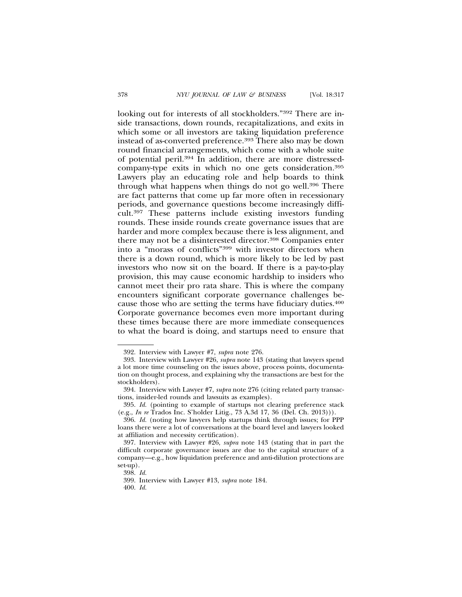looking out for interests of all stockholders."392 There are inside transactions, down rounds, recapitalizations, and exits in which some or all investors are taking liquidation preference instead of as-converted preference.393 There also may be down round financial arrangements, which come with a whole suite of potential peril.394 In addition, there are more distressedcompany-type exits in which no one gets consideration.395 Lawyers play an educating role and help boards to think through what happens when things do not go well.396 There are fact patterns that come up far more often in recessionary periods, and governance questions become increasingly difficult.397 These patterns include existing investors funding rounds. These inside rounds create governance issues that are harder and more complex because there is less alignment, and there may not be a disinterested director.398 Companies enter into a "morass of conflicts"399 with investor directors when there is a down round, which is more likely to be led by past investors who now sit on the board. If there is a pay-to-play provision, this may cause economic hardship to insiders who cannot meet their pro rata share. This is where the company encounters significant corporate governance challenges because those who are setting the terms have fiduciary duties.400 Corporate governance becomes even more important during these times because there are more immediate consequences to what the board is doing, and startups need to ensure that

<sup>392.</sup> Interview with Lawyer #7, *supra* note 276.

<sup>393.</sup> Interview with Lawyer #26, *supra* note 143 (stating that lawyers spend a lot more time counseling on the issues above, process points, documentation on thought process, and explaining why the transactions are best for the stockholders).

<sup>394.</sup> Interview with Lawyer #7, *supra* note 276 (citing related party transactions, insider-led rounds and lawsuits as examples).

<sup>395.</sup> *Id.* (pointing to example of startups not clearing preference stack (e.g., *In re* Trados Inc. S'holder Litig., 73 A.3d 17, 36 (Del. Ch. 2013))).

<sup>396.</sup> *Id.* (noting how lawyers help startups think through issues; for PPP loans there were a lot of conversations at the board level and lawyers looked at affiliation and necessity certification).

<sup>397.</sup> Interview with Lawyer #26, *supra* note 143 (stating that in part the difficult corporate governance issues are due to the capital structure of a company—e.g., how liquidation preference and anti-dilution protections are set-up).

<sup>398.</sup> *Id.*

<sup>399.</sup> Interview with Lawyer #13, *supra* note 184.

<sup>400.</sup> *Id.*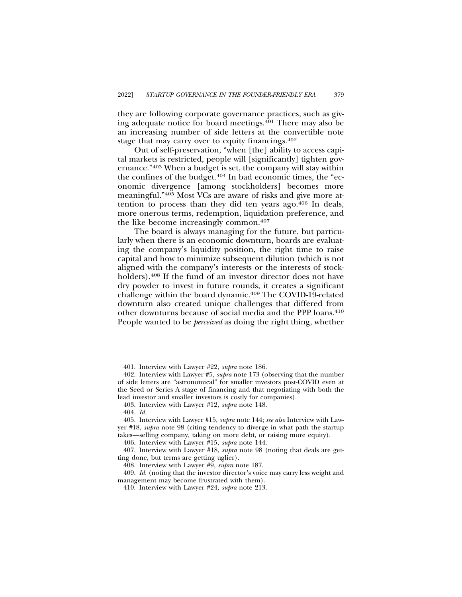they are following corporate governance practices, such as giving adequate notice for board meetings.401 There may also be an increasing number of side letters at the convertible note stage that may carry over to equity financings.<sup>402</sup>

Out of self-preservation, "when [the] ability to access capital markets is restricted, people will [significantly] tighten governance."403 When a budget is set, the company will stay within the confines of the budget.404 In bad economic times, the "economic divergence [among stockholders] becomes more meaningful."405 Most VCs are aware of risks and give more attention to process than they did ten years ago.406 In deals, more onerous terms, redemption, liquidation preference, and the like become increasingly common.407

The board is always managing for the future, but particularly when there is an economic downturn, boards are evaluating the company's liquidity position, the right time to raise capital and how to minimize subsequent dilution (which is not aligned with the company's interests or the interests of stockholders).<sup>408</sup> If the fund of an investor director does not have dry powder to invest in future rounds, it creates a significant challenge within the board dynamic.409 The COVID-19-related downturn also created unique challenges that differed from other downturns because of social media and the PPP loans.410 People wanted to be *perceived* as doing the right thing, whether

<sup>401.</sup> Interview with Lawyer #22, *supra* note 186.

<sup>402.</sup> Interview with Lawyer #5, *supra* note 173 (observing that the number of side letters are "astronomical" for smaller investors post-COVID even at the Seed or Series A stage of financing and that negotiating with both the lead investor and smaller investors is costly for companies).

<sup>403.</sup> Interview with Lawyer #12, *supra* note 148.

<sup>404.</sup> *Id.*

<sup>405.</sup> Interview with Lawyer #15, *supra* note 144; *see also* Interview with Lawyer #18, *supra* note 98 (citing tendency to diverge in what path the startup takes—selling company, taking on more debt, or raising more equity).

<sup>406.</sup> Interview with Lawyer #15, *supra* note 144.

<sup>407.</sup> Interview with Lawyer #18, *supra* note 98 (noting that deals are getting done, but terms are getting uglier).

<sup>408.</sup> Interview with Lawyer #9, *supra* note 187.

<sup>409.</sup> *Id.* (noting that the investor director's voice may carry less weight and management may become frustrated with them).

<sup>410.</sup> Interview with Lawyer #24, *supra* note 213.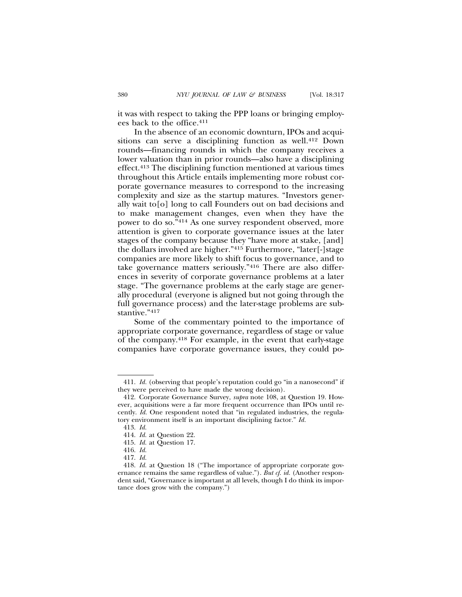it was with respect to taking the PPP loans or bringing employees back to the office.411

In the absence of an economic downturn, IPOs and acquisitions can serve a disciplining function as well.412 Down rounds—financing rounds in which the company receives a lower valuation than in prior rounds—also have a disciplining effect.413 The disciplining function mentioned at various times throughout this Article entails implementing more robust corporate governance measures to correspond to the increasing complexity and size as the startup matures. "Investors generally wait to[o] long to call Founders out on bad decisions and to make management changes, even when they have the power to do so."414 As one survey respondent observed, more attention is given to corporate governance issues at the later stages of the company because they "have more at stake, [and] the dollars involved are higher."415 Furthermore, "later[-]stage companies are more likely to shift focus to governance, and to take governance matters seriously."416 There are also differences in severity of corporate governance problems at a later stage. "The governance problems at the early stage are generally procedural (everyone is aligned but not going through the full governance process) and the later-stage problems are substantive."417

Some of the commentary pointed to the importance of appropriate corporate governance, regardless of stage or value of the company.418 For example, in the event that early-stage companies have corporate governance issues, they could po-

<sup>411.</sup> *Id.* (observing that people's reputation could go "in a nanosecond" if they were perceived to have made the wrong decision).

<sup>412.</sup> Corporate Governance Survey, *supra* note 108, at Question 19. However, acquisitions were a far more frequent occurrence than IPOs until recently. *Id.* One respondent noted that "in regulated industries, the regulatory environment itself is an important disciplining factor." *Id.*

<sup>413.</sup> *Id.*

<sup>414.</sup> *Id.* at Question 22.

<sup>415.</sup> *Id.* at Question 17.

<sup>416.</sup> *Id.*

<sup>417.</sup> *Id.*

<sup>418.</sup> *Id.* at Question 18 ("The importance of appropriate corporate governance remains the same regardless of value."). *But cf. id.* (Another respondent said, "Governance is important at all levels, though I do think its importance does grow with the company.")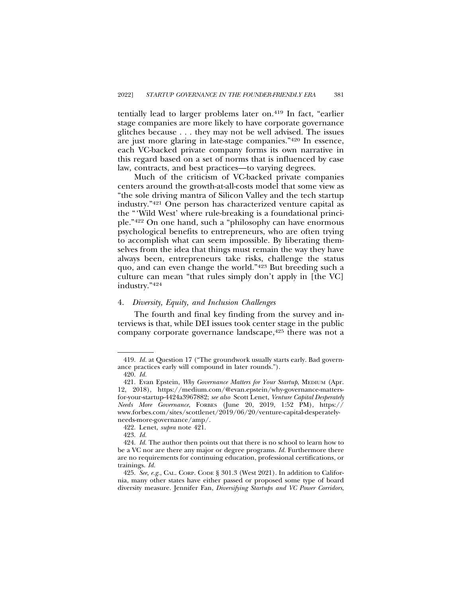tentially lead to larger problems later on.419 In fact, "earlier stage companies are more likely to have corporate governance glitches because . . . they may not be well advised. The issues are just more glaring in late-stage companies."420 In essence, each VC-backed private company forms its own narrative in this regard based on a set of norms that is influenced by case law, contracts, and best practices—to varying degrees.

Much of the criticism of VC-backed private companies centers around the growth-at-all-costs model that some view as "the sole driving mantra of Silicon Valley and the tech startup industry."421 One person has characterized venture capital as the "'Wild West' where rule-breaking is a foundational principle."422 On one hand, such a "philosophy can have enormous psychological benefits to entrepreneurs, who are often trying to accomplish what can seem impossible. By liberating themselves from the idea that things must remain the way they have always been, entrepreneurs take risks, challenge the status quo, and can even change the world."423 But breeding such a culture can mean "that rules simply don't apply in [the VC] industry."424

#### 4. *Diversity, Equity, and Inclusion Challenges*

The fourth and final key finding from the survey and interviews is that, while DEI issues took center stage in the public company corporate governance landscape, <sup>425</sup> there was not a

<sup>419.</sup> *Id.* at Question 17 ("The groundwork usually starts early. Bad governance practices early will compound in later rounds.").

<sup>420.</sup> *Id.*

<sup>421.</sup> Evan Epstein, *Why Governance Matters for Your Startup*, MEDIUM (Apr. 12, 2018), https://medium.com/@evan.epstein/why-governance-mattersfor-your-startup-4424a3967882; *see also* Scott Lenet, *Venture Capital Desperately Needs More Governance*, FORBES (June 20, 2019, 1:52 PM), https:// www.forbes.com/sites/scottlenet/2019/06/20/venture-capital-desperatelyneeds-more-governance/amp/.

<sup>422.</sup> Lenet, *supra* note 421.

<sup>423.</sup> *Id.*

<sup>424.</sup> *Id.* The author then points out that there is no school to learn how to be a VC nor are there any major or degree programs. *Id.* Furthermore there are no requirements for continuing education, professional certifications, or trainings. *Id.*

<sup>425.</sup> *See, e.g.*, CAL. CORP. CODE § 301.3 (West 2021). In addition to California, many other states have either passed or proposed some type of board diversity measure. Jennifer Fan, *Diversifying Startups and VC Power Corridors*,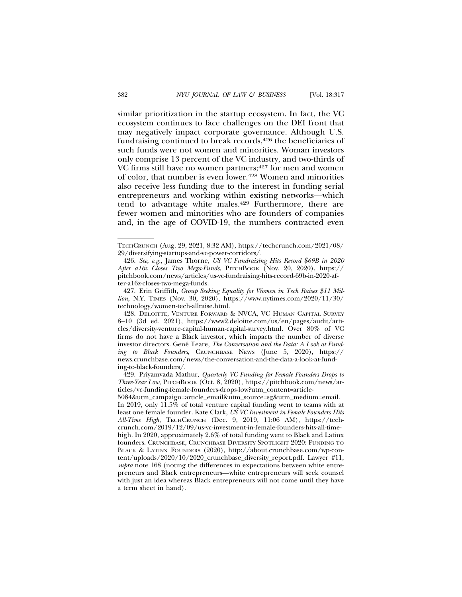similar prioritization in the startup ecosystem. In fact, the VC ecosystem continues to face challenges on the DEI front that may negatively impact corporate governance. Although U.S. fundraising continued to break records,<sup>426</sup> the beneficiaries of such funds were not women and minorities. Woman investors only comprise 13 percent of the VC industry, and two-thirds of VC firms still have no women partners;<sup>427</sup> for men and women of color, that number is even lower.428 Women and minorities also receive less funding due to the interest in funding serial entrepreneurs and working within existing networks—which tend to advantage white males.429 Furthermore, there are fewer women and minorities who are founders of companies and, in the age of COVID-19, the numbers contracted even

427. Erin Griffith, *Group Seeking Equality for Women in Tech Raises \$11 Million*, N.Y. TIMES (Nov. 30, 2020), https://www.nytimes.com/2020/11/30/ technology/women-tech-allraise.html.

TECHCRUNCH (Aug. 29, 2021, 8:32 AM), https://techcrunch.com/2021/08/ 29/diversifying-startups-and-vc-power-corridors/.

<sup>426.</sup> *See, e.g.*, James Thorne, *US VC Fundraising Hits Record \$69B in 2020 After a16z Closes Two Mega-Funds*, PITCHBOOK (Nov. 20, 2020), https:// pitchbook.com/news/articles/us-vc-fundraising-hits-record-69b-in-2020-after-a16z-closes-two-mega-funds.

<sup>428.</sup> DELOITTE, VENTURE FORWARD & NVCA, VC HUMAN CAPITAL SURVEY 8–10 (3d ed. 2021), https://www2.deloitte.com/us/en/pages/audit/articles/diversity-venture-capital-human-capital-survey.html. Over 80% of VC firms do not have a Black investor, which impacts the number of diverse investor directors. Gené Teare, *The Conversation and the Data: A Look at Funding to Black Founders*, CRUNCHBASE NEWS (June 5, 2020), https:// news.crunchbase.com/news/the-conversation-and-the-data-a-look-at-funding-to-black-founders/.

<sup>429.</sup> Priyamvada Mathur, *Quarterly VC Funding for Female Founders Drops to Three-Year Low*, PITCHBOOK (Oct. 8, 2020), https://pitchbook.com/news/articles/vc-funding-female-founders-drops-low?utm\_content=article-

<sup>5084&</sup>amp;utm\_campaign=article\_email&utm\_source=sg&utm\_medium=email. In 2019, only 11.5% of total venture capital funding went to teams with at least one female founder. Kate Clark, *US VC Investment in Female Founders Hits All-Time High*, TECHCRUNCH (Dec. 9, 2019, 11:06 AM), https://techcrunch.com/2019/12/09/us-vc-investment-in-female-founders-hits-all-timehigh. In 2020, approximately 2.6% of total funding went to Black and Latinx founders. CRUNCHBASE, CRUNCHBASE DIVERSITY SPOTLIGHT 2020: FUNDING TO BLACK & LATINX FOUNDERS (2020), http://about.crunchbase.com/wp-content/uploads/2020/10/2020\_crunchbase\_diversity\_report.pdf. Lawyer #11, *supra* note 168 (noting the differences in expectations between white entrepreneurs and Black entrepreneurs—white entrepreneurs will seek counsel with just an idea whereas Black entrepreneurs will not come until they have a term sheet in hand).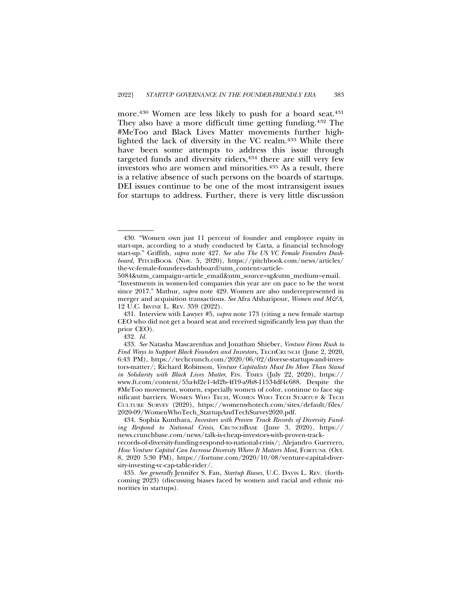more.<sup>430</sup> Women are less likely to push for a board seat.<sup>431</sup> They also have a more difficult time getting funding.432 The #MeToo and Black Lives Matter movements further highlighted the lack of diversity in the VC realm.433 While there have been some attempts to address this issue through targeted funds and diversity riders,<sup>434</sup> there are still very few investors who are women and minorities.435 As a result, there is a relative absence of such persons on the boards of startups. DEI issues continue to be one of the most intransigent issues for startups to address. Further, there is very little discussion

431. Interview with Lawyer #5, *supra* note 173 (citing a new female startup CEO who did not get a board seat and received significantly less pay than the prior CEO).

432. *Id.*

<sup>430. &</sup>quot;Women own just 11 percent of founder and employee equity in start-ups, according to a study conducted by Carta, a financial technology start-up." Griffith, *supra* note 427. *See also The US VC Female Founders Dash*board, PITCHBOOK (Nov. 5, 2020), https://pitchbook.com/news/articles/ the-vc-female-founders-dashboard?utm\_content=article-

<sup>5084&</sup>amp;utm\_campaign=article\_email&utm\_source=sg&utm\_medium=email. "Investments in women-led companies this year are on pace to be the worst since 2017." Mathur, *supra* note 429. Women are also underrepresented in merger and acquisition transactions. *See* Afra Afsharipour, *Women and M&A*, 12 U.C. IRVINE L. REV. 359 (2022).

<sup>433.</sup> *See* Natasha Mascarenhas and Jonathan Shieber, *Venture Firms Rush to Find Ways to Support Black Founders and Investors*, TECHCRUNCH (June 2, 2020, 6:43 PM), https://techcrunch.com/2020/06/02/diverse-startups-and-investors-matter/; Richard Robinson, *Venture Capitalists Must Do More Than Stand in Solidarity with Black Lives Matter*, FIN. TIMES (July 22, 2020), https:// www.ft.com/content/55a4d2e1-4d2b-4f19-a9b8-11534df4c688. Despite the #MeToo movement, women, especially women of color, continue to face significant barriers. WOMEN WHO TECH, WOMEN WHO TECH STARTUP & TECH CULTURE SURVEY (2020), https://womenwhotech.com/sites/default/files/ 2020-09/WomenWhoTech\_StartupAndTechSurvey2020.pdf.

<sup>434.</sup> Sophia Kunthara, *Investors with Proven Track Records of Diversity Funding Respond to National Crisis*, CRUNCHBASE (June 3, 2020), https:// news.crunchbase.com/news/talk-is-cheap-investors-with-proven-trackrecords-of-diversity-funding-respond-to-national-crisis/; Alejandro Guerrero, *How Venture Capital Can Increase Diversity Where It Matters Most*, FORTUNE (Oct. 8, 2020 5:30 PM), https://fortune.com/2020/10/08/venture-capital-diversity-investing-vc-cap-table-rider/.

<sup>435.</sup> *See generally* Jennifer S. Fan, *Startup Biases*, U.C. DAVIS L. REV. (forthcoming 2023) (discussing biases faced by women and racial and ethnic minorities in startups).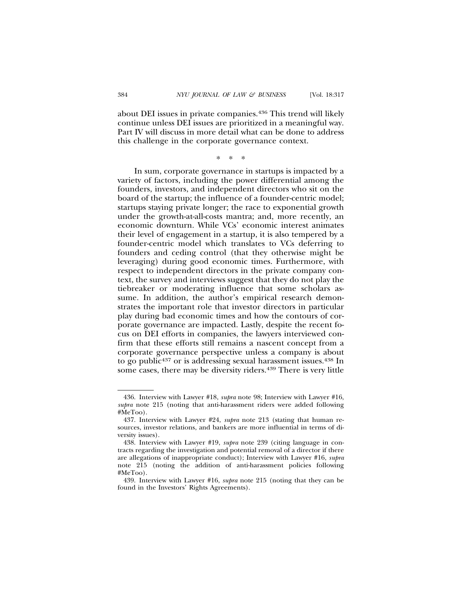about DEI issues in private companies.436 This trend will likely continue unless DEI issues are prioritized in a meaningful way. Part IV will discuss in more detail what can be done to address this challenge in the corporate governance context.

\*\*\*

In sum, corporate governance in startups is impacted by a variety of factors, including the power differential among the founders, investors, and independent directors who sit on the board of the startup; the influence of a founder-centric model; startups staying private longer; the race to exponential growth under the growth-at-all-costs mantra; and, more recently, an economic downturn. While VCs' economic interest animates their level of engagement in a startup, it is also tempered by a founder-centric model which translates to VCs deferring to founders and ceding control (that they otherwise might be leveraging) during good economic times. Furthermore, with respect to independent directors in the private company context, the survey and interviews suggest that they do not play the tiebreaker or moderating influence that some scholars assume. In addition, the author's empirical research demonstrates the important role that investor directors in particular play during bad economic times and how the contours of corporate governance are impacted. Lastly, despite the recent focus on DEI efforts in companies, the lawyers interviewed confirm that these efforts still remains a nascent concept from a corporate governance perspective unless a company is about to go public<sup>437</sup> or is addressing sexual harassment issues.<sup>438</sup> In some cases, there may be diversity riders.<sup>439</sup> There is very little

439. Interview with Lawyer #16, *supra* note 215 (noting that they can be found in the Investors' Rights Agreements).

<sup>436.</sup> Interview with Lawyer #18, *supra* note 98; Interview with Lawyer #16, *supra* note 215 (noting that anti-harassment riders were added following #MeToo).

<sup>437.</sup> Interview with Lawyer #24, *supra* note 213 (stating that human resources, investor relations, and bankers are more influential in terms of diversity issues).

<sup>438.</sup> Interview with Lawyer #19, *supra* note 239 (citing language in contracts regarding the investigation and potential removal of a director if there are allegations of inappropriate conduct); Interview with Lawyer #16, *supra* note 215 (noting the addition of anti-harassment policies following #MeToo).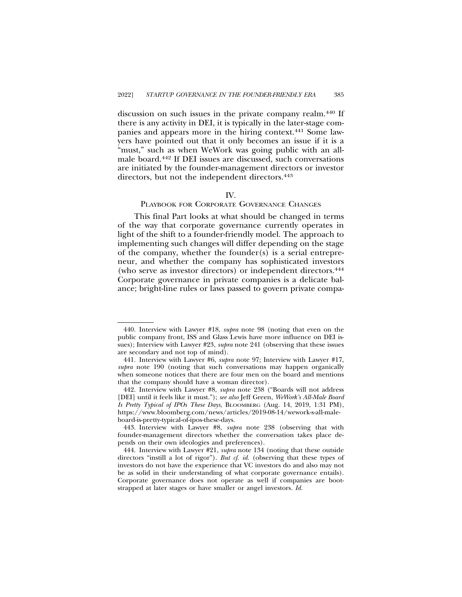discussion on such issues in the private company realm.<sup>440</sup> If there is any activity in DEI, it is typically in the later-stage companies and appears more in the hiring context.441 Some lawyers have pointed out that it only becomes an issue if it is a "must," such as when WeWork was going public with an allmale board.442 If DEI issues are discussed, such conversations are initiated by the founder-management directors or investor directors, but not the independent directors.<sup>443</sup>

# IV.

# PLAYBOOK FOR CORPORATE GOVERNANCE CHANGES

This final Part looks at what should be changed in terms of the way that corporate governance currently operates in light of the shift to a founder-friendly model. The approach to implementing such changes will differ depending on the stage of the company, whether the founder(s) is a serial entrepreneur, and whether the company has sophisticated investors (who serve as investor directors) or independent directors.444 Corporate governance in private companies is a delicate balance; bright-line rules or laws passed to govern private compa-

<sup>440.</sup> Interview with Lawyer #18, *supra* note 98 (noting that even on the public company front, ISS and Glass Lewis have more influence on DEI issues); Interview with Lawyer #23, *supra* note 241 (observing that these issues are secondary and not top of mind).

<sup>441.</sup> Interview with Lawyer #6, *supra* note 97; Interview with Lawyer #17, *supra* note 190 (noting that such conversations may happen organically when someone notices that there are four men on the board and mentions that the company should have a woman director).

<sup>442.</sup> Interview with Lawyer #8, *supra* note 238 ("Boards will not address [DEI] until it feels like it must."); *see also* Jeff Green, *WeWork's All-Male Board Is Pretty Typical of IPOs These Days*, BLOOMBERG (Aug. 14, 2019, 1:31 PM), https://www.bloomberg.com/news/articles/2019-08-14/wework-s-all-maleboard-is-pretty-typical-of-ipos-these-days.

<sup>443.</sup> Interview with Lawyer #8, *supra* note 238 (observing that with founder-management directors whether the conversation takes place depends on their own ideologies and preferences).

<sup>444.</sup> Interview with Lawyer #21, *supra* note 134 (noting that these outside directors "instill a lot of rigor"). *But cf. id.* (observing that these types of investors do not have the experience that VC investors do and also may not be as solid in their understanding of what corporate governance entails). Corporate governance does not operate as well if companies are bootstrapped at later stages or have smaller or angel investors. *Id.*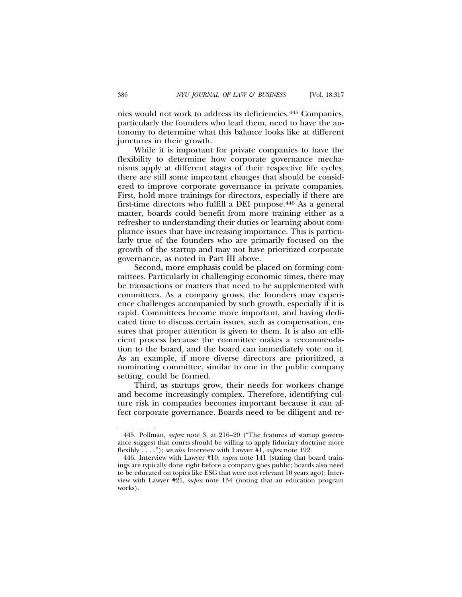nies would not work to address its deficiencies.445 Companies, particularly the founders who lead them, need to have the autonomy to determine what this balance looks like at different junctures in their growth.

While it is important for private companies to have the flexibility to determine how corporate governance mechanisms apply at different stages of their respective life cycles, there are still some important changes that should be considered to improve corporate governance in private companies. First, hold more trainings for directors, especially if there are first-time directors who fulfill a DEI purpose.446 As a general matter, boards could benefit from more training either as a refresher to understanding their duties or learning about compliance issues that have increasing importance. This is particularly true of the founders who are primarily focused on the growth of the startup and may not have prioritized corporate governance, as noted in Part III above.

Second, more emphasis could be placed on forming committees. Particularly in challenging economic times, there may be transactions or matters that need to be supplemented with committees. As a company grows, the founders may experience challenges accompanied by such growth, especially if it is rapid. Committees become more important, and having dedicated time to discuss certain issues, such as compensation, ensures that proper attention is given to them. It is also an efficient process because the committee makes a recommendation to the board, and the board can immediately vote on it. As an example, if more diverse directors are prioritized, a nominating committee, similar to one in the public company setting, could be formed.

Third, as startups grow, their needs for workers change and become increasingly complex. Therefore, identifying culture risk in companies becomes important because it can affect corporate governance. Boards need to be diligent and re-

<sup>445.</sup> Pollman, *supra* note 3, at 216–20 ("The features of startup governance suggest that courts should be willing to apply fiduciary doctrine more flexibly . . . ."); *see also* Interview with Lawyer #1, *supra* note 192.

<sup>446.</sup> Interview with Lawyer #10, *supra* note 141 (stating that board trainings are typically done right before a company goes public; boards also need to be educated on topics like ESG that were not relevant 10 years ago); Interview with Lawyer #21, *supra* note 134 (noting that an education program works).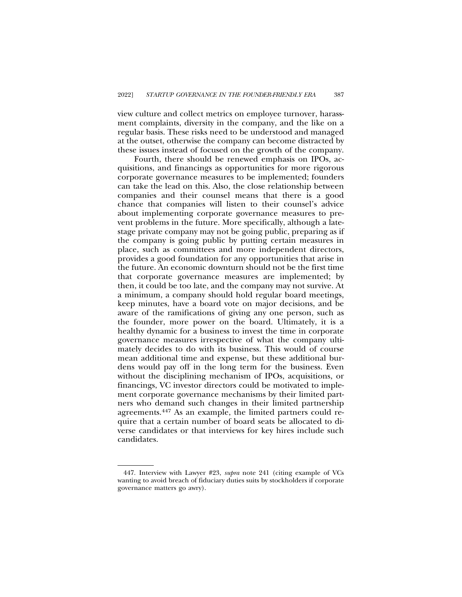view culture and collect metrics on employee turnover, harassment complaints, diversity in the company, and the like on a regular basis. These risks need to be understood and managed at the outset, otherwise the company can become distracted by these issues instead of focused on the growth of the company.

Fourth, there should be renewed emphasis on IPOs, acquisitions, and financings as opportunities for more rigorous corporate governance measures to be implemented; founders can take the lead on this. Also, the close relationship between companies and their counsel means that there is a good chance that companies will listen to their counsel's advice about implementing corporate governance measures to prevent problems in the future. More specifically, although a latestage private company may not be going public, preparing as if the company is going public by putting certain measures in place, such as committees and more independent directors, provides a good foundation for any opportunities that arise in the future. An economic downturn should not be the first time that corporate governance measures are implemented; by then, it could be too late, and the company may not survive. At a minimum, a company should hold regular board meetings, keep minutes, have a board vote on major decisions, and be aware of the ramifications of giving any one person, such as the founder, more power on the board. Ultimately, it is a healthy dynamic for a business to invest the time in corporate governance measures irrespective of what the company ultimately decides to do with its business. This would of course mean additional time and expense, but these additional burdens would pay off in the long term for the business. Even without the disciplining mechanism of IPOs, acquisitions, or financings, VC investor directors could be motivated to implement corporate governance mechanisms by their limited partners who demand such changes in their limited partnership agreements.447 As an example, the limited partners could require that a certain number of board seats be allocated to diverse candidates or that interviews for key hires include such candidates.

<sup>447.</sup> Interview with Lawyer #23, *supra* note 241 (citing example of VCs wanting to avoid breach of fiduciary duties suits by stockholders if corporate governance matters go awry).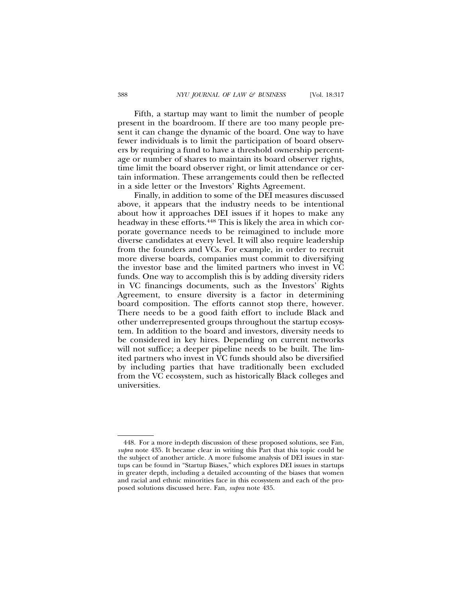Fifth, a startup may want to limit the number of people present in the boardroom. If there are too many people present it can change the dynamic of the board. One way to have fewer individuals is to limit the participation of board observers by requiring a fund to have a threshold ownership percentage or number of shares to maintain its board observer rights, time limit the board observer right, or limit attendance or certain information. These arrangements could then be reflected in a side letter or the Investors' Rights Agreement.

Finally, in addition to some of the DEI measures discussed above, it appears that the industry needs to be intentional about how it approaches DEI issues if it hopes to make any headway in these efforts.<sup>448</sup> This is likely the area in which corporate governance needs to be reimagined to include more diverse candidates at every level. It will also require leadership from the founders and VCs. For example, in order to recruit more diverse boards, companies must commit to diversifying the investor base and the limited partners who invest in VC funds. One way to accomplish this is by adding diversity riders in VC financings documents, such as the Investors' Rights Agreement, to ensure diversity is a factor in determining board composition. The efforts cannot stop there, however. There needs to be a good faith effort to include Black and other underrepresented groups throughout the startup ecosystem. In addition to the board and investors, diversity needs to be considered in key hires. Depending on current networks will not suffice; a deeper pipeline needs to be built. The limited partners who invest in VC funds should also be diversified by including parties that have traditionally been excluded from the VC ecosystem, such as historically Black colleges and universities.

<sup>448.</sup> For a more in-depth discussion of these proposed solutions, see Fan, *supra* note 435. It became clear in writing this Part that this topic could be the subject of another article. A more fulsome analysis of DEI issues in startups can be found in "Startup Biases," which explores DEI issues in startups in greater depth, including a detailed accounting of the biases that women and racial and ethnic minorities face in this ecosystem and each of the proposed solutions discussed here. Fan, *supra* note 435.